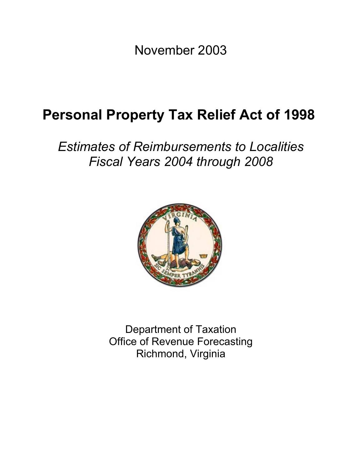November 2003

# **Personal Property Tax Relief Act of 1998**

*Estimates of Reimbursements to Localities Fiscal Years 2004 through 2008* 



Department of Taxation Office of Revenue Forecasting Richmond, Virginia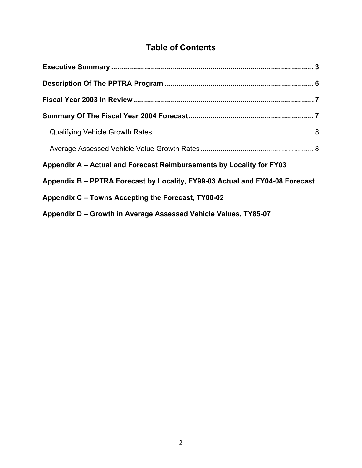# **Table of Contents**

| Appendix A - Actual and Forecast Reimbursements by Locality for FY03         |  |
|------------------------------------------------------------------------------|--|
| Appendix B - PPTRA Forecast by Locality, FY99-03 Actual and FY04-08 Forecast |  |
| Appendix C – Towns Accepting the Forecast, TY00-02                           |  |
| Appendix D – Growth in Average Assessed Vehicle Values, TY85-07              |  |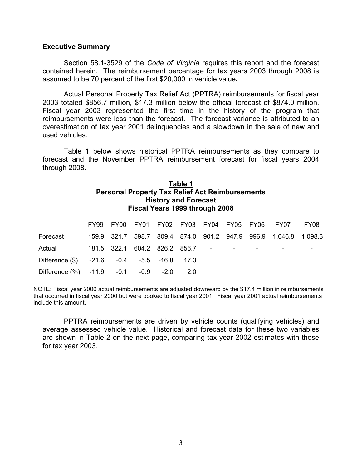#### **Executive Summary**

Section 58.1-3529 of the *Code of Virginia* requires this report and the forecast contained herein. The reimbursement percentage for tax years 2003 through 2008 is assumed to be 70 percent of the first \$20,000 in vehicle value**.**

Actual Personal Property Tax Relief Act (PPTRA) reimbursements for fiscal year 2003 totaled \$856.7 million, \$17.3 million below the official forecast of \$874.0 million. Fiscal year 2003 represented the first time in the history of the program that reimbursements were less than the forecast. The forecast variance is attributed to an overestimation of tax year 2001 delinquencies and a slowdown in the sale of new and used vehicles.

 Table 1 below shows historical PPTRA reimbursements as they compare to forecast and the November PPTRA reimbursement forecast for fiscal years 2004 through 2008.

# **Table 1 Personal Property Tax Relief Act Reimbursements History and Forecast Fiscal Years 1999 through 2008**

|                                                   |  |  |  |                                            | <u>FY99 FY00 FY01 FY02 FY03 FY04 FY05 FY06 FY07</u>             | FY08 |
|---------------------------------------------------|--|--|--|--------------------------------------------|-----------------------------------------------------------------|------|
| Forecast                                          |  |  |  |                                            | 159.9 321.7 598.7 809.4 874.0 901.2 947.9 996.9 1,046.8 1,098.3 |      |
| Actual                                            |  |  |  | 181.5 322.1 604.2 826.2 856.7   -    -   - |                                                                 |      |
| Difference (\$) -21.6 -0.4 -5.5 -16.8 17.3        |  |  |  |                                            |                                                                 |      |
| Difference $\frac{9}{6}$ -11.9 -0.1 -0.9 -2.0 2.0 |  |  |  |                                            |                                                                 |      |

 include this amount. NOTE: Fiscal year 2000 actual reimbursements are adjusted downward by the \$17.4 million in reimbursements that occurred in fiscal year 2000 but were booked to fiscal year 2001. Fiscal year 2001 actual reimbursements

PPTRA reimbursements are driven by vehicle counts (qualifying vehicles) and average assessed vehicle value. Historical and forecast data for these two variables are shown in Table 2 on the next page, comparing tax year 2002 estimates with those for tax year 2003.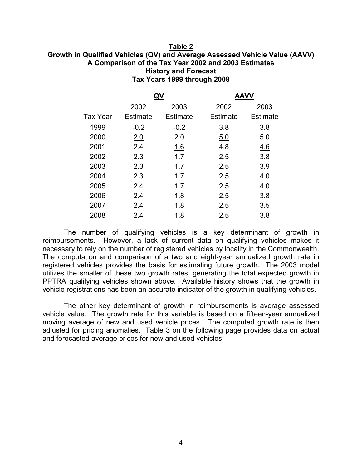#### **Table 2 Growth in Qualified Vehicles (QV) and Average Assessed Vehicle Value (AAVV) A Comparison of the Tax Year 2002 and 2003 Estimates History and Forecast Tax Years 1999 through 2008**

|                 |                 |                 | <b>AAVV</b>     |                 |
|-----------------|-----------------|-----------------|-----------------|-----------------|
|                 | 2002            | 2003            | 2002            | 2003            |
| <b>Tax Year</b> | <b>Estimate</b> | <b>Estimate</b> | <b>Estimate</b> | <b>Estimate</b> |
| 1999            | $-0.2$          | $-0.2$          | 3.8             | 3.8             |
| 2000            | 2.0             | 2.0             | <u>5.0</u>      | 5.0             |
| 2001            | 2.4             | 1.6             | 4.8             | 4.6             |
| 2002            | 2.3             | 1.7             | 2.5             | 3.8             |
| 2003            | 2.3             | 1.7             | 2.5             | 3.9             |
| 2004            | 2.3             | 1.7             | 2.5             | 4.0             |
| 2005            | 2.4             | 1.7             | 2.5             | 4.0             |
| 2006            | 2.4             | 1.8             | 2.5             | 3.8             |
| 2007            | 2.4             | 1.8             | 2.5             | 3.5             |
| 2008            | 2.4             | 1.8             | 2.5             | 3.8             |

The number of qualifying vehicles is a key determinant of growth in reimbursements. However, a lack of current data on qualifying vehicles makes it necessary to rely on the number of registered vehicles by locality in the Commonwealth. The computation and comparison of a two and eight-year annualized growth rate in registered vehicles provides the basis for estimating future growth. The 2003 model utilizes the smaller of these two growth rates, generating the total expected growth in PPTRA qualifying vehicles shown above. Available history shows that the growth in vehicle registrations has been an accurate indicator of the growth in qualifying vehicles.

The other key determinant of growth in reimbursements is average assessed vehicle value. The growth rate for this variable is based on a fifteen-year annualized moving average of new and used vehicle prices. The computed growth rate is then adjusted for pricing anomalies. Table 3 on the following page provides data on actual and forecasted average prices for new and used vehicles.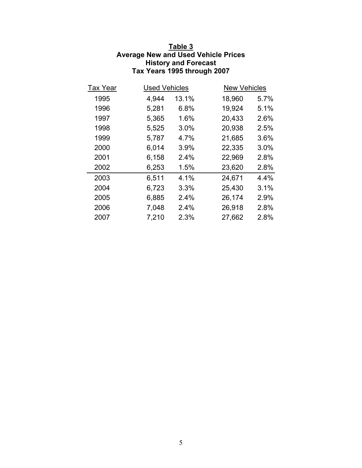# **Table 3 Average New and Used Vehicle Prices History and Forecast Tax Years 1995 through 2007**

| <b>Tax Year</b> | <b>Used Vehicles</b> |       | <b>New Vehicles</b> |      |
|-----------------|----------------------|-------|---------------------|------|
| 1995            | 4,944                | 13.1% | 18,960              | 5.7% |
| 1996            | 5,281                | 6.8%  | 19,924              | 5.1% |
| 1997            | 5,365                | 1.6%  | 20,433              | 2.6% |
| 1998            | 5,525                | 3.0%  | 20,938              | 2.5% |
| 1999            | 5,787                | 4.7%  | 21,685              | 3.6% |
| 2000            | 6,014                | 3.9%  | 22,335              | 3.0% |
| 2001            | 6,158                | 2.4%  | 22,969              | 2.8% |
| 2002            | 6,253                | 1.5%  | 23,620              | 2.8% |
| 2003            | 6,511                | 4.1%  | 24,671              | 4.4% |
| 2004            | 6,723                | 3.3%  | 25,430              | 3.1% |
| 2005            | 6,885                | 2.4%  | 26,174              | 2.9% |
| 2006            | 7,048                | 2.4%  | 26,918              | 2.8% |
| 2007            | 7,210                | 2.3%  | 27,662              | 2.8% |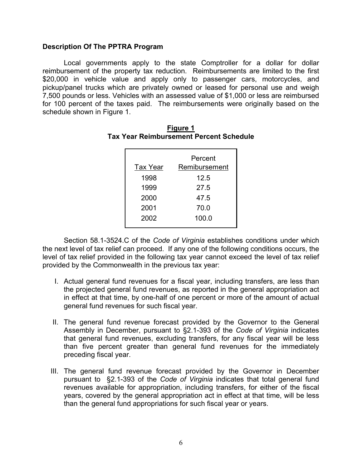# **Description Of The PPTRA Program**

Local governments apply to the state Comptroller for a dollar for dollar reimbursement of the property tax reduction. Reimbursements are limited to the first \$20,000 in vehicle value and apply only to passenger cars, motorcycles, and pickup/panel trucks which are privately owned or leased for personal use and weigh 7,500 pounds or less. Vehicles with an assessed value of \$1,000 or less are reimbursed for 100 percent of the taxes paid. The reimbursements were originally based on the schedule shown in Figure 1.

|                 | Percent       |
|-----------------|---------------|
| <b>Tax Year</b> | Remibursement |
| 1998            | 12.5          |
| 1999            | 27.5          |
| 2000            | 47.5          |
| 2001            | 70.0          |
| 2002            | 100.0         |

#### **Figure 1 Tax Year Reimbursement Percent Schedule**

Section 58.1-3524.C of the *Code of Virginia* establishes conditions under which the next level of tax relief can proceed. If any one of the following conditions occurs, the level of tax relief provided in the following tax year cannot exceed the level of tax relief provided by the Commonwealth in the previous tax year:

- I. Actual general fund revenues for a fiscal year, including transfers, are less than the projected general fund revenues, as reported in the general appropriation act in effect at that time, by one-half of one percent or more of the amount of actual general fund revenues for such fiscal year.
- II. The general fund revenue forecast provided by the Governor to the General Assembly in December, pursuant to §2.1-393 of the *Code of Virginia* indicates that general fund revenues, excluding transfers, for any fiscal year will be less than five percent greater than general fund revenues for the immediately preceding fiscal year.
- III. The general fund revenue forecast provided by the Governor in December pursuant to §2.1-393 of the *Code of Virginia* indicates that total general fund revenues available for appropriation, including transfers, for either of the fiscal years, covered by the general appropriation act in effect at that time, will be less than the general fund appropriations for such fiscal year or years.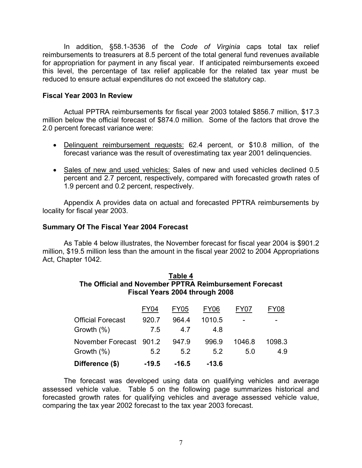In addition, §58.1-3536 of the *Code of Virginia* caps total tax relief reimbursements to treasurers at 8.5 percent of the total general fund revenues available for appropriation for payment in any fiscal year. If anticipated reimbursements exceed this level, the percentage of tax relief applicable for the related tax year must be reduced to ensure actual expenditures do not exceed the statutory cap.

# **Fiscal Year 2003 In Review**

Actual PPTRA reimbursements for fiscal year 2003 totaled \$856.7 million, \$17.3 million below the official forecast of \$874.0 million. Some of the factors that drove the 2.0 percent forecast variance were:

- Delinquent reimbursement requests: 62.4 percent, or \$10.8 million, of the forecast variance was the result of overestimating tax year 2001 delinquencies.
- Sales of new and used vehicles: Sales of new and used vehicles declined 0.5 percent and 2.7 percent, respectively, compared with forecasted growth rates of 1.9 percent and 0.2 percent, respectively.

Appendix A provides data on actual and forecasted PPTRA reimbursements by locality for fiscal year 2003.

# **Summary Of The Fiscal Year 2004 Forecast**

 As Table 4 below illustrates, the November forecast for fiscal year 2004 is \$901.2 million, \$19.5 million less than the amount in the fiscal year 2002 to 2004 Appropriations Act, Chapter 1042.

## **Table 4 The Official and November PPTRA Reimbursement Forecast Fiscal Years 2004 through 2008**

| Difference (\$)          | $-19.5$ | $-16.5$          | $-13.6$     |        |        |
|--------------------------|---------|------------------|-------------|--------|--------|
| Growth (%)               | 5.2     | 5.2              | 5.2         | 5.0    | 4.9    |
| November Forecast 901.2  |         | 947.9            | 996.9       | 1046.8 | 1098.3 |
| Growth (%)               | 7.5     | 47               | 48          |        |        |
| <b>Official Forecast</b> | 920.7   | 964.4            | 1010.5      |        |        |
|                          | FY04    | FY <sub>05</sub> | <b>FY06</b> | FY07   | FY08   |

The forecast was developed using data on qualifying vehicles and average assessed vehicle value. Table 5 on the following page summarizes historical and forecasted growth rates for qualifying vehicles and average assessed vehicle value, comparing the tax year 2002 forecast to the tax year 2003 forecast.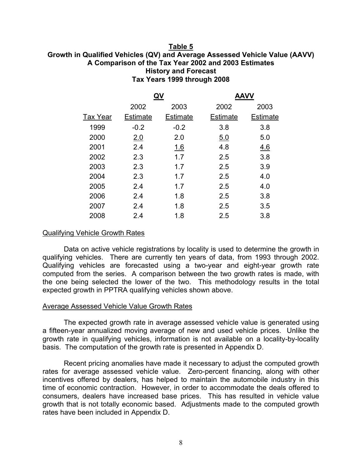#### **Table 5 Growth in Qualified Vehicles (QV) and Average Assessed Vehicle Value (AAVV) A Comparison of the Tax Year 2002 and 2003 Estimates History and Forecast Tax Years 1999 through 2008**

| 2002            | 2003            | 2002            | 2003            |
|-----------------|-----------------|-----------------|-----------------|
| <b>Estimate</b> | <b>Estimate</b> | <b>Estimate</b> | <b>Estimate</b> |
| $-0.2$          | $-0.2$          | 3.8             | 3.8             |
| 2.0             | 2.0             | 5.0             | 5.0             |
| 2.4             | 1.6             | 4.8             | 4.6             |
| 2.3             | 1.7             | 2.5             | 3.8             |
| 2.3             | 1.7             | 2.5             | 3.9             |
| 2.3             | 1.7             | 2.5             | 4.0             |
| 2.4             | 1.7             | 2.5             | 4.0             |
| 2.4             | 1.8             | 2.5             | 3.8             |
| 2.4             | 1.8             | 2.5             | 3.5             |
| 2.4             | 1.8             | 2.5             | 3.8             |
|                 |                 | QV              | AAVV            |

#### Qualifying Vehicle Growth Rates

 Data on active vehicle registrations by locality is used to determine the growth in qualifying vehicles. There are currently ten years of data, from 1993 through 2002. Qualifying vehicles are forecasted using a two-year and eight-year growth rate computed from the series. A comparison between the two growth rates is made, with the one being selected the lower of the two. This methodology results in the total expected growth in PPTRA qualifying vehicles shown above.

#### Average Assessed Vehicle Value Growth Rates

 The expected growth rate in average assessed vehicle value is generated using a fifteen-year annualized moving average of new and used vehicle prices. Unlike the growth rate in qualifying vehicles, information is not available on a locality-by-locality basis. The computation of the growth rate is presented in Appendix D.

 Recent pricing anomalies have made it necessary to adjust the computed growth rates for average assessed vehicle value. Zero-percent financing, along with other incentives offered by dealers, has helped to maintain the automobile industry in this time of economic contraction. However, in order to accommodate the deals offered to consumers, dealers have increased base prices. This has resulted in vehicle value growth that is not totally economic based. Adjustments made to the computed growth rates have been included in Appendix D.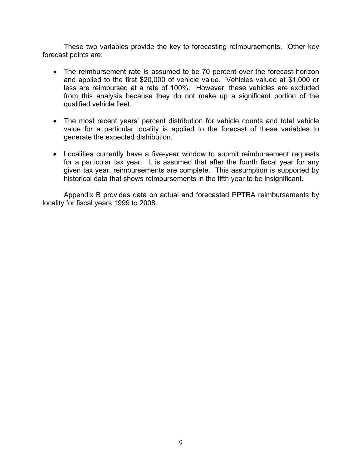These two variables provide the key to forecasting reimbursements. Other key forecast points are:

- The reimbursement rate is assumed to be 70 percent over the forecast horizon and applied to the first \$20,000 of vehicle value. Vehicles valued at \$1,000 or less are reimbursed at a rate of 100%. However, these vehicles are excluded from this analysis because they do not make up a significant portion of the qualified vehicle fleet.
- The most recent years' percent distribution for vehicle counts and total vehicle value for a particular locality is applied to the forecast of these variables to generate the expected distribution.
- Localities currently have a five-year window to submit reimbursement requests for a particular tax year. It is assumed that after the fourth fiscal year for any given tax year, reimbursements are complete. This assumption is supported by historical data that shows reimbursements in the fifth year to be insignificant.

Appendix B provides data on actual and forecasted PPTRA reimbursements by locality for fiscal years 1999 to 2008.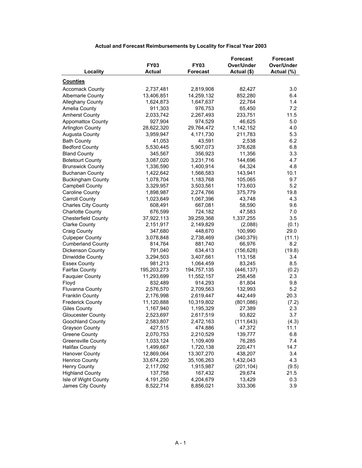|                            |               |                 | <b>Forecast</b> | <b>Forecast</b> |
|----------------------------|---------------|-----------------|-----------------|-----------------|
|                            | <b>FY03</b>   | <b>FY03</b>     | Over/Under      | Over/Under      |
| Locality                   | <b>Actual</b> | <b>Forecast</b> | Actual (\$)     | Actual (%)      |
| <b>Counties</b>            |               |                 |                 |                 |
| <b>Accomack County</b>     | 2,737,481     | 2,819,908       | 82,427          | 3.0             |
| <b>Albemarle County</b>    | 13,406,851    | 14,259,132      | 852,280         | 6.4             |
| <b>Alleghany County</b>    | 1,624,873     | 1,647,637       | 22,764          | 1.4             |
| Amelia County              | 911,303       | 976,753         | 65,450          | 7.2             |
| <b>Amherst County</b>      | 2,033,742     | 2,267,493       | 233,751         | 11.5            |
| <b>Appomattox County</b>   | 927,904       | 974,529         | 46,625          | 5.0             |
| <b>Arlington County</b>    | 28,622,320    | 29,764,472      | 1,142,152       | 4.0             |
| <b>Augusta County</b>      | 3,959,947     | 4,171,730       | 211,783         | 5.3             |
| <b>Bath County</b>         | 41,053        | 43,591          | 2,538           | 6.2             |
| <b>Bedford County</b>      | 5,530,445     | 5,907,073       | 376,628         | 6.8             |
| <b>Bland County</b>        | 345,567       | 356,923         | 11,356          | 3.3             |
| <b>Botetourt County</b>    | 3,087,020     | 3,231,716       | 144,696         | 4.7             |
| <b>Brunswick County</b>    | 1,336,590     | 1,400,914       | 64,324          | 4.8             |
| <b>Buchanan County</b>     | 1,422,642     | 1,566,583       | 143,941         | 10.1            |
| <b>Buckingham County</b>   | 1,078,704     | 1,183,768       | 105,065         | 9.7             |
| <b>Campbell County</b>     | 3,329,957     | 3,503,561       | 173,603         | 5.2             |
| Caroline County            | 1,898,987     | 2,274,766       | 375,779         | 19.8            |
| <b>Carroll County</b>      | 1,023,649     | 1,067,396       | 43,748          | 4.3             |
| <b>Charles City County</b> | 608,491       | 667,081         | 58,590          | 9.6             |
| <b>Charlotte County</b>    | 676,599       | 724,182         | 47,583          | 7.0             |
| <b>Chesterfield County</b> | 37,922,113    | 39,259,368      | 1,337,255       | 3.5             |
| <b>Clarke County</b>       | 2,151,917     | 2,149,829       | (2,088)         | (0.1)           |
| Craig County               | 347,680       | 448,670         | 100,990         | 29.0            |
| <b>Culpeper County</b>     | 3,078,848     | 2,738,469       | (340, 379)      | (11.1)          |
| <b>Cumberland County</b>   | 814,764       | 881,740         | 66,976          | 8.2             |
| Dickenson County           | 791,040       | 634,413         | (156, 628)      | (19.8)          |
| Dinwiddie County           | 3,294,503     | 3,407,661       | 113,158         | 3.4             |
| <b>Essex County</b>        | 981,213       | 1,064,459       | 83,245          | 8.5             |
| <b>Fairfax County</b>      | 195,203,273   | 194,757,135     | (446, 137)      | (0.2)           |
| <b>Fauquier County</b>     | 11,293,699    | 11,552,157      | 258,458         | 2.3             |
| Floyd                      | 832,489       | 914,293         | 81,804          | 9.8             |
| <b>Fluvanna County</b>     | 2,576,570     | 2,709,563       | 132,993         | 5.2             |
| <b>Franklin County</b>     | 2,176,998     | 2,619,447       | 442,449         | 20.3            |
| Frederick County           | 11,120,888    | 10,319,802      | (801,086)       | (7.2)           |
| <b>Giles County</b>        | 1,167,940     | 1,195,329       | 27,389          | 2.3             |
| <b>Gloucester County</b>   | 2,523,697     | 2,617,519       | 93,822          | 3.7             |
| Goochland County           | 2,583,807     | 2,472,163       | (111, 643)      | (4.3)           |
| <b>Grayson County</b>      | 427,515       | 474,886         | 47,372          | 11.1            |
| <b>Greene County</b>       | 2,070,753     | 2,210,529       | 139,777         | 6.8             |
| <b>Greensville County</b>  | 1,033,124     | 1,109,409       | 76,285          | 7.4             |
| <b>Halifax County</b>      | 1,499,667     | 1,720,138       | 220,471         | 14.7            |
| <b>Hanover County</b>      | 12,869,064    | 13,307,270      | 438,207         | 3.4             |
| <b>Henrico County</b>      | 33,674,220    | 35,106,263      | 1,432,043       | 4.3             |
| Henry County               | 2,117,092     | 1,915,987       | (201, 104)      | (9.5)           |
| <b>Highland County</b>     | 137,758       | 167,432         | 29,674          | 21.5            |
| Isle of Wight County       | 4,191,250     | 4,204,679       | 13,429          | 0.3             |
| James City County          | 8,522,714     | 8,856,021       | 333,306         | 3.9             |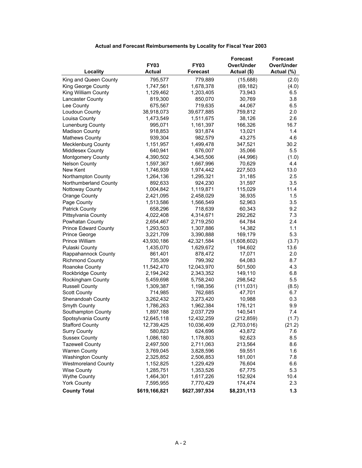|                             |               |                 | <b>Forecast</b> | <b>Forecast</b> |
|-----------------------------|---------------|-----------------|-----------------|-----------------|
|                             | <b>FY03</b>   | <b>FY03</b>     | Over/Under      | Over/Under      |
| Locality                    | <b>Actual</b> | <b>Forecast</b> | Actual (\$)     | Actual (%)      |
| King and Queen County       | 795,577       | 779,889         | (15,688)        | (2.0)           |
| King George County          | 1,747,561     | 1,678,378       | (69, 182)       | (4.0)           |
| King William County         | 1,129,462     | 1,203,405       | 73,943          | 6.5             |
| <b>Lancaster County</b>     | 819,300       | 850,070         | 30,769          | 3.8             |
| Lee County                  | 675,567       | 719,635         | 44,067          | 6.5             |
| Loudoun County              | 38,918,073    | 39,677,885      | 759,812         | 2.0             |
| Louisa County               | 1,473,549     | 1,511,675       | 38,126          | 2.6             |
| Lunenburg County            | 995,071       | 1,161,397       | 166,326         | 16.7            |
| <b>Madison County</b>       | 918,853       | 931,874         | 13,021          | 1.4             |
| <b>Mathews County</b>       | 939,304       | 982,579         | 43,275          | 4.6             |
| <b>Mecklenburg County</b>   | 1,151,957     | 1,499,478       | 347,521         | 30.2            |
| Middlesex County            | 640,941       | 676,007         | 35,066          | 5.5             |
| Montgomery County           | 4,390,502     | 4,345,506       | (44, 996)       | (1.0)           |
| <b>Nelson County</b>        | 1,597,367     | 1,667,996       | 70,629          | 4.4             |
| New Kent                    | 1,746,939     | 1,974,442       | 227,503         | 13.0            |
| Northampton County          | 1,264,136     | 1,295,321       | 31,185          | 2.5             |
| Northumberland County       | 892,633       | 924,230         | 31,597          | 3.5             |
| <b>Nottoway County</b>      | 1,004,842     | 1,119,871       | 115,029         | 11.4            |
| Orange County               | 2,421,095     | 2,458,029       | 36,935          | 1.5             |
| Page County                 | 1,513,586     | 1,566,549       | 52,963          | 3.5             |
| <b>Patrick County</b>       | 658,296       | 718,639         | 60,343          | 9.2             |
| Pittsylvania County         | 4,022,408     | 4,314,671       | 292,262         | 7.3             |
| Powhatan County             | 2,654,467     | 2,719,250       | 64,784          | 2.4             |
| <b>Prince Edward County</b> | 1,293,503     | 1,307,886       | 14,382          | 1.1             |
| Prince George               | 3,221,709     | 3,390,888       | 169,179         | 5.3             |
| Prince William              | 43,930,186    | 42,321,584      | (1,608,602)     | (3.7)           |
| Pulaski County              | 1,435,070     | 1,629,672       | 194,602         | 13.6            |
| Rappahannock County         | 861,401       | 878,472         | 17,071          | 2.0             |
| <b>Richmond County</b>      | 735,309       | 799,392         | 64,083          | 8.7             |
| Roanoke County              | 11,542,470    | 12,043,970      | 501,500         | 4.3             |
| Rockbridge County           | 2,194,242     | 2,343,352       | 149,110         | 6.8             |
| Rockingham County           | 5,459,698     | 5,758,240       | 298,542         | 5.5             |
| <b>Russell County</b>       | 1,309,387     | 1,198,356       | (111, 031)      | (8.5)           |
| Scott County                | 714,985       | 762,685         | 47,701          | 6.7             |
| Shenandoah County           | 3,262,432     | 3,273,420       | 10,988          | 0.3             |
| Smyth County                | 1,786,263     | 1,962,384       | 176,121         | 9.9             |
| Southampton County          | 1,897,188     | 2,037,729       | 140,541         | 7.4             |
| Spotsylvania County         | 12,645,118    | 12,432,259      | (212, 859)      | (1.7)           |
| <b>Stafford County</b>      | 12,739,425    | 10,036,409      | (2,703,016)     | (21.2)          |
| <b>Surry County</b>         | 580,823       | 624,696         | 43,872          | 7.6             |
| <b>Sussex County</b>        | 1,086,180     | 1,178,803       | 92,623          | 8.5             |
| <b>Tazewell County</b>      | 2,497,500     | 2,711,063       | 213,564         | 8.6             |
| <b>Warren County</b>        | 3,769,045     | 3,828,596       | 59,551          | 1.6             |
| <b>Washington County</b>    | 2,325,852     | 2,506,853       | 181,001         | 7.8             |
| <b>Westmoreland County</b>  | 1,152,825     | 1,229,429       | 76,604          | 6.6             |
| Wise County                 | 1,285,751     | 1,353,526       | 67,775          | 5.3             |
| <b>Wythe County</b>         | 1,464,301     | 1,617,226       | 152,924         | 10.4            |
| <b>York County</b>          | 7,595,955     | 7,770,429       | 174,474         | 2.3             |
| <b>County Total</b>         | \$619,166,821 | \$627,397,934   | \$8,231,113     | 1.3             |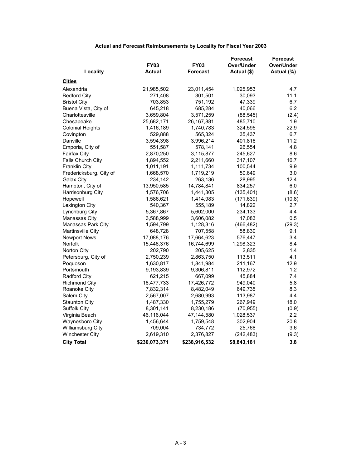|                         |               |                 | <b>Forecast</b> | <b>Forecast</b>  |
|-------------------------|---------------|-----------------|-----------------|------------------|
|                         | <b>FY03</b>   | <b>FY03</b>     | Over/Under      | Over/Under       |
| Locality                | Actual        | <b>Forecast</b> | Actual (\$)     | Actual (%)       |
| <b>Cities</b>           |               |                 |                 |                  |
| Alexandria              | 21,985,502    | 23,011,454      | 1,025,953       | 4.7              |
| <b>Bedford City</b>     | 271,408       | 301,501         | 30,093          | 11.1             |
| <b>Bristol City</b>     | 703,853       | 751,192         | 47,339          | 6.7              |
| Buena Vista, City of    | 645,218       | 685,284         | 40,066          | 6.2              |
| Charlottesville         | 3,659,804     | 3,571,259       | (88, 545)       | (2.4)            |
| Chesapeake              | 25,682,171    | 26, 167, 881    | 485,710         | 1.9              |
| <b>Colonial Heights</b> | 1,416,189     | 1,740,783       | 324,595         | 22.9             |
| Covington               | 529,888       | 565,324         | 35,437          | 6.7              |
| Danville                | 3,594,398     | 3,996,214       | 401,816         | 11.2             |
| Emporia, City of        | 551,587       | 578,141         | 26,554          | 4.8              |
| Fairfax City            | 2,870,250     | 3,115,877       | 245,627         | 8.6              |
| Falls Church City       | 1,894,552     | 2,211,660       | 317,107         | 16.7             |
| <b>Franklin City</b>    | 1,011,191     | 1,111,734       | 100,544         | 9.9              |
| Fredericksburg, City of | 1,668,570     | 1,719,219       | 50,649          | 3.0              |
| Galax City              | 234,142       | 263,136         | 28,995          | 12.4             |
| Hampton, City of        | 13,950,585    | 14,784,841      | 834,257         | 6.0              |
| Harrisonburg City       | 1,576,706     | 1,441,305       | (135, 401)      | (8.6)            |
| Hopewell                | 1,586,621     | 1,414,983       | (171, 639)      | (10.8)           |
| Lexington City          | 540,367       | 555,189         | 14,822          | 2.7              |
| Lynchburg City          | 5,367,867     | 5,602,000       | 234,133         | 4.4              |
| Manassas City           | 3,588,999     | 3,606,082       | 17,083          | 0.5              |
| Manassas Park City      | 1,594,799     | 1,128,316       | (466, 482)      | (29.3)           |
| Martinsville City       | 648,728       | 707,558         | 58,830          | 9.1              |
| <b>Newport News</b>     | 17,088,176    | 17,664,623      | 576,447         | 3.4              |
| Norfolk                 | 15,446,376    | 16,744,699      | 1,298,323       | 8.4              |
| Norton City             | 202,790       | 205,625         | 2,835           | 1.4              |
| Petersburg, City of     | 2,750,239     | 2,863,750       | 113,511         | 4.1              |
| Poquoson                | 1,630,817     | 1,841,984       | 211,167         | 12.9             |
| Portsmouth              | 9,193,839     | 9,306,811       | 112,972         | 1.2              |
| Radford City            | 621,215       | 667,099         | 45,884          | 7.4              |
| Richmond City           | 16,477,733    | 17,426,772      | 949,040         | 5.8              |
| Roanoke City            | 7,832,314     | 8,482,049       | 649,735         | 8.3              |
| Salem City              | 2,567,007     | 2,680,993       | 113,987         | 4.4              |
| <b>Staunton City</b>    | 1,487,330     | 1,755,279       | 267,949         | 18.0             |
| Suffolk City            | 8,301,141     | 8,230,186       | (70, 955)       | (0.9)            |
| Virginia Beach          | 46,116,044    | 47,144,580      | 1,028,537       | $2.2\phantom{0}$ |
| Waynesboro City         | 1,456,644     | 1,759,548       | 302,904         | 20.8             |
| Williamsburg City       | 709,004       | 734,772         | 25,768          | 3.6              |
| <b>Winchester City</b>  | 2,619,310     | 2,376,827       | (242, 483)      | (9.3)            |
| <b>City Total</b>       | \$230,073,371 | \$238,916,532   | \$8,843,161     | 3.8              |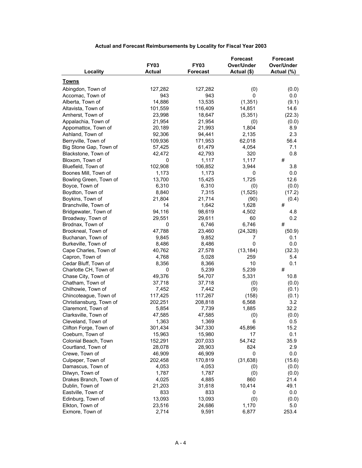| <b>FY03</b><br><b>FY03</b><br>Over/Under<br>Over/Under<br>Locality<br><b>Actual</b><br><b>Forecast</b><br>Actual (\$)<br>Actual (%)<br><b>Towns</b><br>Abingdon, Town of<br>127,282<br>127,282<br>(0)<br>(0.0)<br>943<br>943<br>Accomac, Town of<br>0<br>0.0<br>14,886<br>13,535<br>(1, 351)<br>Alberta, Town of<br>(9.1)<br>101,559<br>116,409<br>14,851<br>14.6<br>Altavista, Town of<br>23,998<br>18,647<br>(22.3)<br>Amherst, Town of<br>(5,351)<br>21,954<br>Appalachia, Town of<br>21,954<br>(0.0)<br>(0)<br>21,993<br>1,804<br>8.9<br>Appomattox, Town of<br>20,189<br>2,135<br>Ashland, Town of<br>92,306<br>94,441<br>2.3<br>Berryville, Town of<br>109,936<br>171,953<br>62,018<br>56.4<br>Big Stone Gap, Town of<br>57,425<br>61,479<br>4,054<br>7.1<br>Blackstone, Town of<br>42,793<br>320<br>0.8<br>42,472<br>#<br>1,117<br>1,117<br>Bloxom, Town of<br>0<br>102,908<br>106,852<br>Bluefield, Town of<br>3,944<br>3.8<br>1,173<br>Boones Mill, Town of<br>1,173<br>0<br>0.0<br>1,725<br>12.6<br>13,700<br>15,425<br>Bowling Green, Town of<br>6,310<br>6,310<br>Boyce, Town of<br>(0)<br>(0.0)<br>7,315<br>Boydton, Town of<br>8,840<br>(1,525)<br>(17.2)<br>Boykins, Town of<br>21,804<br>21,714<br>(90)<br>(0.4)<br>14<br>#<br>Branchville, Town of<br>1,642<br>1,628<br>Bridgewater, Town of<br>94,116<br>98,619<br>4,502<br>4.8<br>29,551<br>29,611<br>60<br>0.2<br>Broadway, Town of<br>6,746<br>6,746<br>#<br>Brodnax, Town of<br>0<br>47,788<br>23,460<br>(24, 328)<br>Brookneal, Town of<br>(50.9)<br>Buchanan, Town of<br>9,845<br>9,852<br>7<br>0.1<br>$\mathbf 0$<br>Burkeville, Town of<br>8,486<br>8,486<br>0.0<br>Cape Charles, Town of<br>40,762<br>27,578<br>(13, 184)<br>(32.3)<br>Capron, Town of<br>4,768<br>5,028<br>259<br>5.4<br>Cedar Bluff, Town of<br>10<br>0.1<br>8,356<br>8,366<br>#<br>Charlotte CH, Town of<br>0<br>5,239<br>5,239<br>49,376<br>54,707<br>5,331<br>10.8<br>Chase City, Town of<br>37,718<br>Chatham, Town of<br>37,718<br>(0)<br>(0.0)<br>7,452<br>7,442<br>Chilhowie, Town of<br>(9)<br>(0.1)<br>117,425<br>117,267<br>Chincoteague, Town of<br>(158)<br>(0.1)<br>Christiansburg, Town of<br>202,251<br>208,818<br>6,568<br>3.2<br>Claremont, Town of<br>5,854<br>7,739<br>1,885<br>32.2<br>47,585<br>Clarksville, Town of<br>47,585<br>(0)<br>(0.0)<br>0.5<br>1,363<br>1,369<br>6<br>Cleveland, Town of<br>347,330<br>Clifton Forge, Town of<br>301,434<br>45,896<br>15.2<br>15,963<br>15,980<br>0.1<br>Coeburn, Town of<br>17<br>207,033<br>54,742<br>35.9<br>Colonial Beach, Town<br>152,291<br>824<br>2.9<br>Courtland, Town of<br>28,078<br>28,903<br>Crewe, Town of<br>46,909<br>46,909<br>0<br>0.0<br>Culpeper, Town of<br>202,458<br>170,819<br>(31, 638)<br>(15.6)<br>Damascus, Town of<br>4,053<br>4,053<br>(0)<br>(0.0)<br>Dilwyn, Town of<br>1,787<br>1,787<br>(0)<br>(0.0)<br>Drakes Branch, Town of<br>4,025<br>4,885<br>860<br>21.4<br>21,203<br>31,618<br>10,414<br>Dublin, Town of<br>49.1<br>833<br>833<br>0<br>Eastville, Town of<br>0.0<br>13,093<br>Edinburg, Town of<br>13,093<br>(0)<br>(0.0)<br>Elkton, Town of<br>23,516<br>1,170<br>5.0<br>24,686<br>Exmore, Town of<br>2,714<br>9,591<br>6,877<br>253.4 |  | <b>Forecast</b> | <b>Forecast</b> |
|------------------------------------------------------------------------------------------------------------------------------------------------------------------------------------------------------------------------------------------------------------------------------------------------------------------------------------------------------------------------------------------------------------------------------------------------------------------------------------------------------------------------------------------------------------------------------------------------------------------------------------------------------------------------------------------------------------------------------------------------------------------------------------------------------------------------------------------------------------------------------------------------------------------------------------------------------------------------------------------------------------------------------------------------------------------------------------------------------------------------------------------------------------------------------------------------------------------------------------------------------------------------------------------------------------------------------------------------------------------------------------------------------------------------------------------------------------------------------------------------------------------------------------------------------------------------------------------------------------------------------------------------------------------------------------------------------------------------------------------------------------------------------------------------------------------------------------------------------------------------------------------------------------------------------------------------------------------------------------------------------------------------------------------------------------------------------------------------------------------------------------------------------------------------------------------------------------------------------------------------------------------------------------------------------------------------------------------------------------------------------------------------------------------------------------------------------------------------------------------------------------------------------------------------------------------------------------------------------------------------------------------------------------------------------------------------------------------------------------------------------------------------------------------------------------------------------------------------------------------------------------------------------------------------------------------------------------------------------------------------------------------------------------------------------------------------------------------------------------------------------------------------------------------------------------------------|--|-----------------|-----------------|
|                                                                                                                                                                                                                                                                                                                                                                                                                                                                                                                                                                                                                                                                                                                                                                                                                                                                                                                                                                                                                                                                                                                                                                                                                                                                                                                                                                                                                                                                                                                                                                                                                                                                                                                                                                                                                                                                                                                                                                                                                                                                                                                                                                                                                                                                                                                                                                                                                                                                                                                                                                                                                                                                                                                                                                                                                                                                                                                                                                                                                                                                                                                                                                                                |  |                 |                 |
|                                                                                                                                                                                                                                                                                                                                                                                                                                                                                                                                                                                                                                                                                                                                                                                                                                                                                                                                                                                                                                                                                                                                                                                                                                                                                                                                                                                                                                                                                                                                                                                                                                                                                                                                                                                                                                                                                                                                                                                                                                                                                                                                                                                                                                                                                                                                                                                                                                                                                                                                                                                                                                                                                                                                                                                                                                                                                                                                                                                                                                                                                                                                                                                                |  |                 |                 |
|                                                                                                                                                                                                                                                                                                                                                                                                                                                                                                                                                                                                                                                                                                                                                                                                                                                                                                                                                                                                                                                                                                                                                                                                                                                                                                                                                                                                                                                                                                                                                                                                                                                                                                                                                                                                                                                                                                                                                                                                                                                                                                                                                                                                                                                                                                                                                                                                                                                                                                                                                                                                                                                                                                                                                                                                                                                                                                                                                                                                                                                                                                                                                                                                |  |                 |                 |
|                                                                                                                                                                                                                                                                                                                                                                                                                                                                                                                                                                                                                                                                                                                                                                                                                                                                                                                                                                                                                                                                                                                                                                                                                                                                                                                                                                                                                                                                                                                                                                                                                                                                                                                                                                                                                                                                                                                                                                                                                                                                                                                                                                                                                                                                                                                                                                                                                                                                                                                                                                                                                                                                                                                                                                                                                                                                                                                                                                                                                                                                                                                                                                                                |  |                 |                 |
|                                                                                                                                                                                                                                                                                                                                                                                                                                                                                                                                                                                                                                                                                                                                                                                                                                                                                                                                                                                                                                                                                                                                                                                                                                                                                                                                                                                                                                                                                                                                                                                                                                                                                                                                                                                                                                                                                                                                                                                                                                                                                                                                                                                                                                                                                                                                                                                                                                                                                                                                                                                                                                                                                                                                                                                                                                                                                                                                                                                                                                                                                                                                                                                                |  |                 |                 |
|                                                                                                                                                                                                                                                                                                                                                                                                                                                                                                                                                                                                                                                                                                                                                                                                                                                                                                                                                                                                                                                                                                                                                                                                                                                                                                                                                                                                                                                                                                                                                                                                                                                                                                                                                                                                                                                                                                                                                                                                                                                                                                                                                                                                                                                                                                                                                                                                                                                                                                                                                                                                                                                                                                                                                                                                                                                                                                                                                                                                                                                                                                                                                                                                |  |                 |                 |
|                                                                                                                                                                                                                                                                                                                                                                                                                                                                                                                                                                                                                                                                                                                                                                                                                                                                                                                                                                                                                                                                                                                                                                                                                                                                                                                                                                                                                                                                                                                                                                                                                                                                                                                                                                                                                                                                                                                                                                                                                                                                                                                                                                                                                                                                                                                                                                                                                                                                                                                                                                                                                                                                                                                                                                                                                                                                                                                                                                                                                                                                                                                                                                                                |  |                 |                 |
|                                                                                                                                                                                                                                                                                                                                                                                                                                                                                                                                                                                                                                                                                                                                                                                                                                                                                                                                                                                                                                                                                                                                                                                                                                                                                                                                                                                                                                                                                                                                                                                                                                                                                                                                                                                                                                                                                                                                                                                                                                                                                                                                                                                                                                                                                                                                                                                                                                                                                                                                                                                                                                                                                                                                                                                                                                                                                                                                                                                                                                                                                                                                                                                                |  |                 |                 |
|                                                                                                                                                                                                                                                                                                                                                                                                                                                                                                                                                                                                                                                                                                                                                                                                                                                                                                                                                                                                                                                                                                                                                                                                                                                                                                                                                                                                                                                                                                                                                                                                                                                                                                                                                                                                                                                                                                                                                                                                                                                                                                                                                                                                                                                                                                                                                                                                                                                                                                                                                                                                                                                                                                                                                                                                                                                                                                                                                                                                                                                                                                                                                                                                |  |                 |                 |
|                                                                                                                                                                                                                                                                                                                                                                                                                                                                                                                                                                                                                                                                                                                                                                                                                                                                                                                                                                                                                                                                                                                                                                                                                                                                                                                                                                                                                                                                                                                                                                                                                                                                                                                                                                                                                                                                                                                                                                                                                                                                                                                                                                                                                                                                                                                                                                                                                                                                                                                                                                                                                                                                                                                                                                                                                                                                                                                                                                                                                                                                                                                                                                                                |  |                 |                 |
|                                                                                                                                                                                                                                                                                                                                                                                                                                                                                                                                                                                                                                                                                                                                                                                                                                                                                                                                                                                                                                                                                                                                                                                                                                                                                                                                                                                                                                                                                                                                                                                                                                                                                                                                                                                                                                                                                                                                                                                                                                                                                                                                                                                                                                                                                                                                                                                                                                                                                                                                                                                                                                                                                                                                                                                                                                                                                                                                                                                                                                                                                                                                                                                                |  |                 |                 |
|                                                                                                                                                                                                                                                                                                                                                                                                                                                                                                                                                                                                                                                                                                                                                                                                                                                                                                                                                                                                                                                                                                                                                                                                                                                                                                                                                                                                                                                                                                                                                                                                                                                                                                                                                                                                                                                                                                                                                                                                                                                                                                                                                                                                                                                                                                                                                                                                                                                                                                                                                                                                                                                                                                                                                                                                                                                                                                                                                                                                                                                                                                                                                                                                |  |                 |                 |
|                                                                                                                                                                                                                                                                                                                                                                                                                                                                                                                                                                                                                                                                                                                                                                                                                                                                                                                                                                                                                                                                                                                                                                                                                                                                                                                                                                                                                                                                                                                                                                                                                                                                                                                                                                                                                                                                                                                                                                                                                                                                                                                                                                                                                                                                                                                                                                                                                                                                                                                                                                                                                                                                                                                                                                                                                                                                                                                                                                                                                                                                                                                                                                                                |  |                 |                 |
|                                                                                                                                                                                                                                                                                                                                                                                                                                                                                                                                                                                                                                                                                                                                                                                                                                                                                                                                                                                                                                                                                                                                                                                                                                                                                                                                                                                                                                                                                                                                                                                                                                                                                                                                                                                                                                                                                                                                                                                                                                                                                                                                                                                                                                                                                                                                                                                                                                                                                                                                                                                                                                                                                                                                                                                                                                                                                                                                                                                                                                                                                                                                                                                                |  |                 |                 |
|                                                                                                                                                                                                                                                                                                                                                                                                                                                                                                                                                                                                                                                                                                                                                                                                                                                                                                                                                                                                                                                                                                                                                                                                                                                                                                                                                                                                                                                                                                                                                                                                                                                                                                                                                                                                                                                                                                                                                                                                                                                                                                                                                                                                                                                                                                                                                                                                                                                                                                                                                                                                                                                                                                                                                                                                                                                                                                                                                                                                                                                                                                                                                                                                |  |                 |                 |
|                                                                                                                                                                                                                                                                                                                                                                                                                                                                                                                                                                                                                                                                                                                                                                                                                                                                                                                                                                                                                                                                                                                                                                                                                                                                                                                                                                                                                                                                                                                                                                                                                                                                                                                                                                                                                                                                                                                                                                                                                                                                                                                                                                                                                                                                                                                                                                                                                                                                                                                                                                                                                                                                                                                                                                                                                                                                                                                                                                                                                                                                                                                                                                                                |  |                 |                 |
|                                                                                                                                                                                                                                                                                                                                                                                                                                                                                                                                                                                                                                                                                                                                                                                                                                                                                                                                                                                                                                                                                                                                                                                                                                                                                                                                                                                                                                                                                                                                                                                                                                                                                                                                                                                                                                                                                                                                                                                                                                                                                                                                                                                                                                                                                                                                                                                                                                                                                                                                                                                                                                                                                                                                                                                                                                                                                                                                                                                                                                                                                                                                                                                                |  |                 |                 |
|                                                                                                                                                                                                                                                                                                                                                                                                                                                                                                                                                                                                                                                                                                                                                                                                                                                                                                                                                                                                                                                                                                                                                                                                                                                                                                                                                                                                                                                                                                                                                                                                                                                                                                                                                                                                                                                                                                                                                                                                                                                                                                                                                                                                                                                                                                                                                                                                                                                                                                                                                                                                                                                                                                                                                                                                                                                                                                                                                                                                                                                                                                                                                                                                |  |                 |                 |
|                                                                                                                                                                                                                                                                                                                                                                                                                                                                                                                                                                                                                                                                                                                                                                                                                                                                                                                                                                                                                                                                                                                                                                                                                                                                                                                                                                                                                                                                                                                                                                                                                                                                                                                                                                                                                                                                                                                                                                                                                                                                                                                                                                                                                                                                                                                                                                                                                                                                                                                                                                                                                                                                                                                                                                                                                                                                                                                                                                                                                                                                                                                                                                                                |  |                 |                 |
|                                                                                                                                                                                                                                                                                                                                                                                                                                                                                                                                                                                                                                                                                                                                                                                                                                                                                                                                                                                                                                                                                                                                                                                                                                                                                                                                                                                                                                                                                                                                                                                                                                                                                                                                                                                                                                                                                                                                                                                                                                                                                                                                                                                                                                                                                                                                                                                                                                                                                                                                                                                                                                                                                                                                                                                                                                                                                                                                                                                                                                                                                                                                                                                                |  |                 |                 |
|                                                                                                                                                                                                                                                                                                                                                                                                                                                                                                                                                                                                                                                                                                                                                                                                                                                                                                                                                                                                                                                                                                                                                                                                                                                                                                                                                                                                                                                                                                                                                                                                                                                                                                                                                                                                                                                                                                                                                                                                                                                                                                                                                                                                                                                                                                                                                                                                                                                                                                                                                                                                                                                                                                                                                                                                                                                                                                                                                                                                                                                                                                                                                                                                |  |                 |                 |
|                                                                                                                                                                                                                                                                                                                                                                                                                                                                                                                                                                                                                                                                                                                                                                                                                                                                                                                                                                                                                                                                                                                                                                                                                                                                                                                                                                                                                                                                                                                                                                                                                                                                                                                                                                                                                                                                                                                                                                                                                                                                                                                                                                                                                                                                                                                                                                                                                                                                                                                                                                                                                                                                                                                                                                                                                                                                                                                                                                                                                                                                                                                                                                                                |  |                 |                 |
|                                                                                                                                                                                                                                                                                                                                                                                                                                                                                                                                                                                                                                                                                                                                                                                                                                                                                                                                                                                                                                                                                                                                                                                                                                                                                                                                                                                                                                                                                                                                                                                                                                                                                                                                                                                                                                                                                                                                                                                                                                                                                                                                                                                                                                                                                                                                                                                                                                                                                                                                                                                                                                                                                                                                                                                                                                                                                                                                                                                                                                                                                                                                                                                                |  |                 |                 |
|                                                                                                                                                                                                                                                                                                                                                                                                                                                                                                                                                                                                                                                                                                                                                                                                                                                                                                                                                                                                                                                                                                                                                                                                                                                                                                                                                                                                                                                                                                                                                                                                                                                                                                                                                                                                                                                                                                                                                                                                                                                                                                                                                                                                                                                                                                                                                                                                                                                                                                                                                                                                                                                                                                                                                                                                                                                                                                                                                                                                                                                                                                                                                                                                |  |                 |                 |
|                                                                                                                                                                                                                                                                                                                                                                                                                                                                                                                                                                                                                                                                                                                                                                                                                                                                                                                                                                                                                                                                                                                                                                                                                                                                                                                                                                                                                                                                                                                                                                                                                                                                                                                                                                                                                                                                                                                                                                                                                                                                                                                                                                                                                                                                                                                                                                                                                                                                                                                                                                                                                                                                                                                                                                                                                                                                                                                                                                                                                                                                                                                                                                                                |  |                 |                 |
|                                                                                                                                                                                                                                                                                                                                                                                                                                                                                                                                                                                                                                                                                                                                                                                                                                                                                                                                                                                                                                                                                                                                                                                                                                                                                                                                                                                                                                                                                                                                                                                                                                                                                                                                                                                                                                                                                                                                                                                                                                                                                                                                                                                                                                                                                                                                                                                                                                                                                                                                                                                                                                                                                                                                                                                                                                                                                                                                                                                                                                                                                                                                                                                                |  |                 |                 |
|                                                                                                                                                                                                                                                                                                                                                                                                                                                                                                                                                                                                                                                                                                                                                                                                                                                                                                                                                                                                                                                                                                                                                                                                                                                                                                                                                                                                                                                                                                                                                                                                                                                                                                                                                                                                                                                                                                                                                                                                                                                                                                                                                                                                                                                                                                                                                                                                                                                                                                                                                                                                                                                                                                                                                                                                                                                                                                                                                                                                                                                                                                                                                                                                |  |                 |                 |
|                                                                                                                                                                                                                                                                                                                                                                                                                                                                                                                                                                                                                                                                                                                                                                                                                                                                                                                                                                                                                                                                                                                                                                                                                                                                                                                                                                                                                                                                                                                                                                                                                                                                                                                                                                                                                                                                                                                                                                                                                                                                                                                                                                                                                                                                                                                                                                                                                                                                                                                                                                                                                                                                                                                                                                                                                                                                                                                                                                                                                                                                                                                                                                                                |  |                 |                 |
|                                                                                                                                                                                                                                                                                                                                                                                                                                                                                                                                                                                                                                                                                                                                                                                                                                                                                                                                                                                                                                                                                                                                                                                                                                                                                                                                                                                                                                                                                                                                                                                                                                                                                                                                                                                                                                                                                                                                                                                                                                                                                                                                                                                                                                                                                                                                                                                                                                                                                                                                                                                                                                                                                                                                                                                                                                                                                                                                                                                                                                                                                                                                                                                                |  |                 |                 |
|                                                                                                                                                                                                                                                                                                                                                                                                                                                                                                                                                                                                                                                                                                                                                                                                                                                                                                                                                                                                                                                                                                                                                                                                                                                                                                                                                                                                                                                                                                                                                                                                                                                                                                                                                                                                                                                                                                                                                                                                                                                                                                                                                                                                                                                                                                                                                                                                                                                                                                                                                                                                                                                                                                                                                                                                                                                                                                                                                                                                                                                                                                                                                                                                |  |                 |                 |
|                                                                                                                                                                                                                                                                                                                                                                                                                                                                                                                                                                                                                                                                                                                                                                                                                                                                                                                                                                                                                                                                                                                                                                                                                                                                                                                                                                                                                                                                                                                                                                                                                                                                                                                                                                                                                                                                                                                                                                                                                                                                                                                                                                                                                                                                                                                                                                                                                                                                                                                                                                                                                                                                                                                                                                                                                                                                                                                                                                                                                                                                                                                                                                                                |  |                 |                 |
|                                                                                                                                                                                                                                                                                                                                                                                                                                                                                                                                                                                                                                                                                                                                                                                                                                                                                                                                                                                                                                                                                                                                                                                                                                                                                                                                                                                                                                                                                                                                                                                                                                                                                                                                                                                                                                                                                                                                                                                                                                                                                                                                                                                                                                                                                                                                                                                                                                                                                                                                                                                                                                                                                                                                                                                                                                                                                                                                                                                                                                                                                                                                                                                                |  |                 |                 |
|                                                                                                                                                                                                                                                                                                                                                                                                                                                                                                                                                                                                                                                                                                                                                                                                                                                                                                                                                                                                                                                                                                                                                                                                                                                                                                                                                                                                                                                                                                                                                                                                                                                                                                                                                                                                                                                                                                                                                                                                                                                                                                                                                                                                                                                                                                                                                                                                                                                                                                                                                                                                                                                                                                                                                                                                                                                                                                                                                                                                                                                                                                                                                                                                |  |                 |                 |
|                                                                                                                                                                                                                                                                                                                                                                                                                                                                                                                                                                                                                                                                                                                                                                                                                                                                                                                                                                                                                                                                                                                                                                                                                                                                                                                                                                                                                                                                                                                                                                                                                                                                                                                                                                                                                                                                                                                                                                                                                                                                                                                                                                                                                                                                                                                                                                                                                                                                                                                                                                                                                                                                                                                                                                                                                                                                                                                                                                                                                                                                                                                                                                                                |  |                 |                 |
|                                                                                                                                                                                                                                                                                                                                                                                                                                                                                                                                                                                                                                                                                                                                                                                                                                                                                                                                                                                                                                                                                                                                                                                                                                                                                                                                                                                                                                                                                                                                                                                                                                                                                                                                                                                                                                                                                                                                                                                                                                                                                                                                                                                                                                                                                                                                                                                                                                                                                                                                                                                                                                                                                                                                                                                                                                                                                                                                                                                                                                                                                                                                                                                                |  |                 |                 |
|                                                                                                                                                                                                                                                                                                                                                                                                                                                                                                                                                                                                                                                                                                                                                                                                                                                                                                                                                                                                                                                                                                                                                                                                                                                                                                                                                                                                                                                                                                                                                                                                                                                                                                                                                                                                                                                                                                                                                                                                                                                                                                                                                                                                                                                                                                                                                                                                                                                                                                                                                                                                                                                                                                                                                                                                                                                                                                                                                                                                                                                                                                                                                                                                |  |                 |                 |
|                                                                                                                                                                                                                                                                                                                                                                                                                                                                                                                                                                                                                                                                                                                                                                                                                                                                                                                                                                                                                                                                                                                                                                                                                                                                                                                                                                                                                                                                                                                                                                                                                                                                                                                                                                                                                                                                                                                                                                                                                                                                                                                                                                                                                                                                                                                                                                                                                                                                                                                                                                                                                                                                                                                                                                                                                                                                                                                                                                                                                                                                                                                                                                                                |  |                 |                 |
|                                                                                                                                                                                                                                                                                                                                                                                                                                                                                                                                                                                                                                                                                                                                                                                                                                                                                                                                                                                                                                                                                                                                                                                                                                                                                                                                                                                                                                                                                                                                                                                                                                                                                                                                                                                                                                                                                                                                                                                                                                                                                                                                                                                                                                                                                                                                                                                                                                                                                                                                                                                                                                                                                                                                                                                                                                                                                                                                                                                                                                                                                                                                                                                                |  |                 |                 |
|                                                                                                                                                                                                                                                                                                                                                                                                                                                                                                                                                                                                                                                                                                                                                                                                                                                                                                                                                                                                                                                                                                                                                                                                                                                                                                                                                                                                                                                                                                                                                                                                                                                                                                                                                                                                                                                                                                                                                                                                                                                                                                                                                                                                                                                                                                                                                                                                                                                                                                                                                                                                                                                                                                                                                                                                                                                                                                                                                                                                                                                                                                                                                                                                |  |                 |                 |
|                                                                                                                                                                                                                                                                                                                                                                                                                                                                                                                                                                                                                                                                                                                                                                                                                                                                                                                                                                                                                                                                                                                                                                                                                                                                                                                                                                                                                                                                                                                                                                                                                                                                                                                                                                                                                                                                                                                                                                                                                                                                                                                                                                                                                                                                                                                                                                                                                                                                                                                                                                                                                                                                                                                                                                                                                                                                                                                                                                                                                                                                                                                                                                                                |  |                 |                 |
|                                                                                                                                                                                                                                                                                                                                                                                                                                                                                                                                                                                                                                                                                                                                                                                                                                                                                                                                                                                                                                                                                                                                                                                                                                                                                                                                                                                                                                                                                                                                                                                                                                                                                                                                                                                                                                                                                                                                                                                                                                                                                                                                                                                                                                                                                                                                                                                                                                                                                                                                                                                                                                                                                                                                                                                                                                                                                                                                                                                                                                                                                                                                                                                                |  |                 |                 |
|                                                                                                                                                                                                                                                                                                                                                                                                                                                                                                                                                                                                                                                                                                                                                                                                                                                                                                                                                                                                                                                                                                                                                                                                                                                                                                                                                                                                                                                                                                                                                                                                                                                                                                                                                                                                                                                                                                                                                                                                                                                                                                                                                                                                                                                                                                                                                                                                                                                                                                                                                                                                                                                                                                                                                                                                                                                                                                                                                                                                                                                                                                                                                                                                |  |                 |                 |
|                                                                                                                                                                                                                                                                                                                                                                                                                                                                                                                                                                                                                                                                                                                                                                                                                                                                                                                                                                                                                                                                                                                                                                                                                                                                                                                                                                                                                                                                                                                                                                                                                                                                                                                                                                                                                                                                                                                                                                                                                                                                                                                                                                                                                                                                                                                                                                                                                                                                                                                                                                                                                                                                                                                                                                                                                                                                                                                                                                                                                                                                                                                                                                                                |  |                 |                 |
|                                                                                                                                                                                                                                                                                                                                                                                                                                                                                                                                                                                                                                                                                                                                                                                                                                                                                                                                                                                                                                                                                                                                                                                                                                                                                                                                                                                                                                                                                                                                                                                                                                                                                                                                                                                                                                                                                                                                                                                                                                                                                                                                                                                                                                                                                                                                                                                                                                                                                                                                                                                                                                                                                                                                                                                                                                                                                                                                                                                                                                                                                                                                                                                                |  |                 |                 |
|                                                                                                                                                                                                                                                                                                                                                                                                                                                                                                                                                                                                                                                                                                                                                                                                                                                                                                                                                                                                                                                                                                                                                                                                                                                                                                                                                                                                                                                                                                                                                                                                                                                                                                                                                                                                                                                                                                                                                                                                                                                                                                                                                                                                                                                                                                                                                                                                                                                                                                                                                                                                                                                                                                                                                                                                                                                                                                                                                                                                                                                                                                                                                                                                |  |                 |                 |
|                                                                                                                                                                                                                                                                                                                                                                                                                                                                                                                                                                                                                                                                                                                                                                                                                                                                                                                                                                                                                                                                                                                                                                                                                                                                                                                                                                                                                                                                                                                                                                                                                                                                                                                                                                                                                                                                                                                                                                                                                                                                                                                                                                                                                                                                                                                                                                                                                                                                                                                                                                                                                                                                                                                                                                                                                                                                                                                                                                                                                                                                                                                                                                                                |  |                 |                 |
|                                                                                                                                                                                                                                                                                                                                                                                                                                                                                                                                                                                                                                                                                                                                                                                                                                                                                                                                                                                                                                                                                                                                                                                                                                                                                                                                                                                                                                                                                                                                                                                                                                                                                                                                                                                                                                                                                                                                                                                                                                                                                                                                                                                                                                                                                                                                                                                                                                                                                                                                                                                                                                                                                                                                                                                                                                                                                                                                                                                                                                                                                                                                                                                                |  |                 |                 |
|                                                                                                                                                                                                                                                                                                                                                                                                                                                                                                                                                                                                                                                                                                                                                                                                                                                                                                                                                                                                                                                                                                                                                                                                                                                                                                                                                                                                                                                                                                                                                                                                                                                                                                                                                                                                                                                                                                                                                                                                                                                                                                                                                                                                                                                                                                                                                                                                                                                                                                                                                                                                                                                                                                                                                                                                                                                                                                                                                                                                                                                                                                                                                                                                |  |                 |                 |
|                                                                                                                                                                                                                                                                                                                                                                                                                                                                                                                                                                                                                                                                                                                                                                                                                                                                                                                                                                                                                                                                                                                                                                                                                                                                                                                                                                                                                                                                                                                                                                                                                                                                                                                                                                                                                                                                                                                                                                                                                                                                                                                                                                                                                                                                                                                                                                                                                                                                                                                                                                                                                                                                                                                                                                                                                                                                                                                                                                                                                                                                                                                                                                                                |  |                 |                 |
|                                                                                                                                                                                                                                                                                                                                                                                                                                                                                                                                                                                                                                                                                                                                                                                                                                                                                                                                                                                                                                                                                                                                                                                                                                                                                                                                                                                                                                                                                                                                                                                                                                                                                                                                                                                                                                                                                                                                                                                                                                                                                                                                                                                                                                                                                                                                                                                                                                                                                                                                                                                                                                                                                                                                                                                                                                                                                                                                                                                                                                                                                                                                                                                                |  |                 |                 |
|                                                                                                                                                                                                                                                                                                                                                                                                                                                                                                                                                                                                                                                                                                                                                                                                                                                                                                                                                                                                                                                                                                                                                                                                                                                                                                                                                                                                                                                                                                                                                                                                                                                                                                                                                                                                                                                                                                                                                                                                                                                                                                                                                                                                                                                                                                                                                                                                                                                                                                                                                                                                                                                                                                                                                                                                                                                                                                                                                                                                                                                                                                                                                                                                |  |                 |                 |
|                                                                                                                                                                                                                                                                                                                                                                                                                                                                                                                                                                                                                                                                                                                                                                                                                                                                                                                                                                                                                                                                                                                                                                                                                                                                                                                                                                                                                                                                                                                                                                                                                                                                                                                                                                                                                                                                                                                                                                                                                                                                                                                                                                                                                                                                                                                                                                                                                                                                                                                                                                                                                                                                                                                                                                                                                                                                                                                                                                                                                                                                                                                                                                                                |  |                 |                 |
|                                                                                                                                                                                                                                                                                                                                                                                                                                                                                                                                                                                                                                                                                                                                                                                                                                                                                                                                                                                                                                                                                                                                                                                                                                                                                                                                                                                                                                                                                                                                                                                                                                                                                                                                                                                                                                                                                                                                                                                                                                                                                                                                                                                                                                                                                                                                                                                                                                                                                                                                                                                                                                                                                                                                                                                                                                                                                                                                                                                                                                                                                                                                                                                                |  |                 |                 |
|                                                                                                                                                                                                                                                                                                                                                                                                                                                                                                                                                                                                                                                                                                                                                                                                                                                                                                                                                                                                                                                                                                                                                                                                                                                                                                                                                                                                                                                                                                                                                                                                                                                                                                                                                                                                                                                                                                                                                                                                                                                                                                                                                                                                                                                                                                                                                                                                                                                                                                                                                                                                                                                                                                                                                                                                                                                                                                                                                                                                                                                                                                                                                                                                |  |                 |                 |
|                                                                                                                                                                                                                                                                                                                                                                                                                                                                                                                                                                                                                                                                                                                                                                                                                                                                                                                                                                                                                                                                                                                                                                                                                                                                                                                                                                                                                                                                                                                                                                                                                                                                                                                                                                                                                                                                                                                                                                                                                                                                                                                                                                                                                                                                                                                                                                                                                                                                                                                                                                                                                                                                                                                                                                                                                                                                                                                                                                                                                                                                                                                                                                                                |  |                 |                 |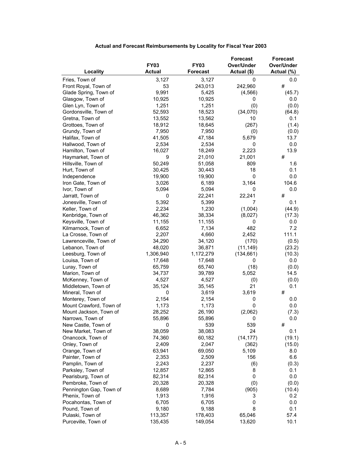|                         |               |                 | <b>Forecast</b> | <b>Forecast</b> |
|-------------------------|---------------|-----------------|-----------------|-----------------|
|                         | <b>FY03</b>   | <b>FY03</b>     | Over/Under      | Over/Under      |
| Locality                | <b>Actual</b> | <b>Forecast</b> | Actual (\$)     | Actual (%)      |
| Fries, Town of          | 3,127         | 3,127           | $\mathbf 0$     | 0.0             |
| Front Royal, Town of    | 53            | 243,013         | 242,960         | #               |
| Glade Spring, Town of   | 9,991         | 5,425           | (4, 566)        | (45.7)          |
| Glasgow, Town of        | 10,925        | 10,925          | 0               | 0.0             |
| Glen Lyn, Town of       | 1,251         | 1,251           | (0)             | (0.0)           |
| Gordonsville, Town of   | 52,593        | 18,523          | (34,070)        | (64.8)          |
| Gretna, Town of         | 13,552        | 13,562          | 10              | 0.1             |
| Grottoes, Town of       | 18,912        | 18,645          | (267)           | (1.4)           |
| Grundy, Town of         | 7,950         | 7,950           | (0)             | (0.0)           |
| Halifax, Town of        | 41,505        | 47,184          | 5,679           | 13.7            |
| Hallwood, Town of       | 2,534         | 2,534           | 0               | 0.0             |
| Hamilton, Town of       | 16,027        | 18,249          | 2,223           | 13.9            |
| Haymarket, Town of      | 9             | 21,010          | 21,001          | #               |
| Hillsville, Town of     | 50,249        | 51,058          | 809             | 1.6             |
| Hurt, Town of           | 30,425        | 30,443          | 18              | 0.1             |
|                         | 19,900        | 19,900          | 0               |                 |
| Independence            |               | 6,189           |                 | 0.0<br>104.6    |
| Iron Gate, Town of      | 3,026         |                 | 3,164           |                 |
| Ivor, Town of           | 5,094         | 5,094           | 0               | 0.0             |
| Jarratt, Town of        | 0             | 22,241          | 22,241          | #               |
| Jonesville, Town of     | 5,392         | 5,399           | 7               | 0.1             |
| Keller, Town of         | 2,234         | 1,230           | (1,004)         | (44.9)          |
| Kenbridge, Town of      | 46,362        | 38,334          | (8,027)         | (17.3)          |
| Keysville, Town of      | 11,155        | 11,155          | 0               | 0.0             |
| Kilmarnock, Town of     | 6,652         | 7,134           | 482             | 7.2             |
| La Crosse, Town of      | 2,207         | 4,660           | 2,452           | 111.1           |
| Lawrenceville, Town of  | 34,290        | 34,120          | (170)           | (0.5)           |
| Lebanon, Town of        | 48,020        | 36,871          | (11, 149)       | (23.2)          |
| Leesburg, Town of       | 1,306,940     | 1,172,279       | (134, 661)      | (10.3)          |
| Louisa, Town of         | 17,648        | 17,648          | 0               | 0.0             |
| Luray, Town of          | 65,759        | 65,740          | (18)            | (0.0)           |
| Marion, Town of         | 34,737        | 39,789          | 5,052           | 14.5            |
| McKenney, Town of       | 4,527         | 4,527           | (0)             | (0.0)           |
| Middletown, Town of     | 35,124        | 35,145          | 21              | 0.1             |
| Mineral, Town of        | 0             | 3,619           | 3,619           | #               |
| Monterey, Town of       | 2,154         | 2,154           | 0               | 0.0             |
| Mount Crawford, Town of | 1,173         | 1,173           | 0               | 0.0             |
| Mount Jackson, Town of  | 28,252        | 26,190          | (2,062)         | (7.3)           |
| Narrows, Town of        | 55,896        | 55,896          | 0               | 0.0             |
| New Castle, Town of     | 0             | 539             | 539             | #               |
| New Market, Town of     | 38,059        | 38,083          | 24              | 0.1             |
| Onancock, Town of       | 74,360        | 60,182          | (14, 177)       | (19.1)          |
| Onley, Town of          | 2,409         | 2,047           | (362)           | (15.0)          |
| Orange, Town of         | 63,941        | 69,050          | 5,109           | 8.0             |
| Painter, Town of        | 2,353         | 2,509           | 156             | 6.6             |
| Pamplin, Town of        | 2,243         | 2,237           | (6)             | (0.3)           |
| Parksley, Town of       | 12,857        | 12,865          | 8               | 0.1             |
| Pearisburg, Town of     | 82,314        | 82,314          | 0               | 0.0             |
| Pembroke, Town of       | 20,328        | 20,328          | (0)             | (0.0)           |
| Pennington Gap, Town of | 8,689         | 7,784           | (905)           | (10.4)          |
| Phenix, Town of         | 1,913         | 1,916           | 3               | 0.2             |
| Pocahontas, Town of     | 6,705         | 6,705           | 0               | 0.0             |
| Pound, Town of          | 9,180         | 9,188           | 8               | 0.1             |
| Pulaski, Town of        | 113,357       | 178,403         | 65,046          | 57.4            |
| Purceville, Town of     | 135,435       | 149,054         | 13,620          | 10.1            |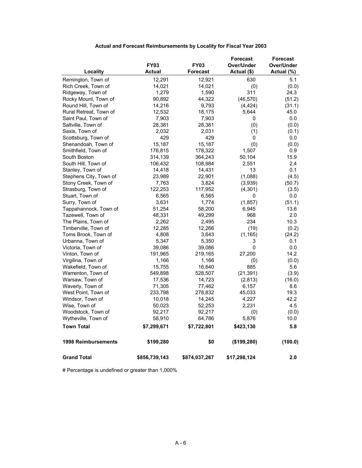|                            |               |               | <b>Forecast</b> | <b>Forecast</b> |
|----------------------------|---------------|---------------|-----------------|-----------------|
|                            | <b>FY03</b>   | <b>FY03</b>   | Over/Under      | Over/Under      |
| Locality                   | <b>Actual</b> | Forecast      | Actual (\$)     | Actual (%)      |
| Remington, Town of         | 12,291        | 12,921        | 630             | 5.1             |
| Rich Creek, Town of        | 14,021        | 14,021        | (0)             | (0.0)           |
| Ridgeway, Town of          | 1,279         | 1,590         | 311             | 24.3            |
| Rocky Mount, Town of       | 90,892        | 44,322        | (46, 570)       | (51.2)          |
| Round Hill, Town of        | 14,216        | 9,793         | (4, 424)        | (31.1)          |
| Rural Retreat, Town of     | 12,532        | 18,175        | 5,644           | 45.0            |
| Saint Paul, Town of        | 7,903         | 7,903         | 0               | 0.0             |
| Saltville, Town of         | 28,381        | 28,381        | (0)             | (0.0)           |
| Saxis, Town of             | 2,032         | 2,031         | (1)             | (0.1)           |
| Scottsburg, Town of        | 429           | 429           | 0               | $0.0\,$         |
| Shenandoah, Town of        | 15,187        | 15,187        | (0)             | (0.0)           |
| Smithfield, Town of        | 176,815       | 178,322       | 1,507           | 0.9             |
| South Boston               | 314,139       | 364,243       | 50,104          | 15.9            |
| South Hill, Town of        | 106,432       | 108,984       | 2,551           | 2.4             |
| Stanley, Town of           | 14,418        | 14,431        | 13              | 0.1             |
| Stephens City, Town of     | 23,989        | 22,901        | (1,088)         | (4.5)           |
| Stony Creek, Town of       | 7,763         | 3,824         | (3,939)         | (50.7)          |
| Strasburg, Town of         | 122,253       | 117,952       | (4,301)         | (3.5)           |
| Stuart, Town of            | 6,565         | 6,565         | 0               | 0.0             |
| Surry, Town of             | 3,631         | 1,774         | (1, 857)        | (51.1)          |
| Tappahannock, Town of      | 51,254        | 58,200        | 6,945           | 13.6            |
| Tazewell, Town of          | 48,331        | 49,299        | 968             | 2.0             |
| The Plains, Town of        | 2,262         | 2,495         | 234             | 10.3            |
| Timberville, Town of       | 12,285        | 12,266        | (19)            | (0.2)           |
| Toms Brook, Town of        | 4,808         | 3,643         | (1, 165)        | (24.2)          |
| Urbanna, Town of           | 5,347         | 5,350         | 3               | 0.1             |
| Victoria, Town of          | 39,086        | 39,086        | 0               | 0.0             |
| Vinton, Town of            | 191,965       | 219,165       | 27,200          | 14.2            |
| Virgilina, Town of         | 1,166         | 1,166         | (0)             | (0.0)           |
| Wakefield, Town of         | 15,755        | 16,640        | 885             | 5.6             |
| Warrenton, Town of         | 549,898       | 528,507       | (21, 391)       | (3.9)           |
| Warsaw, Town of            | 17,536        | 14,723        | (2,813)         | (16.0)          |
| Waverly, Town of           | 71,305        | 77,462        | 6,157           | 8.6             |
| West Point, Town of        | 233,798       | 278,832       | 45,033          | 19.3            |
| Windsor, Town of           | 10,018        | 14,245        | 4,227           | 42.2            |
| Wise, Town of              | 50,023        | 52,253        | 2,231           | 4.5             |
| Woodstock, Town of         | 92,217        | 92,217        | (0)             | (0.0)           |
| Wytheville, Town of        | 58,910        | 64,786        | 5,876           | 10.0            |
| <b>Town Total</b>          | \$7,299,671   | \$7,722,801   | \$423,130       | 5.8             |
| <b>1998 Reimbursements</b> | \$199,280     | \$0           | (\$199,280)     | (100.0)         |
| <b>Grand Total</b>         | \$856,739,143 | \$874,037,267 | \$17,298,124    | 2.0             |

# Percentage is undefined or greater than 1,000%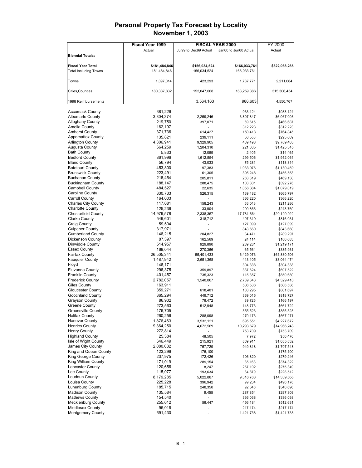|                              | <b>Fiscal Year 1999</b> |                          | <b>FISCAL YEAR 2000</b> | FY 2000       |
|------------------------------|-------------------------|--------------------------|-------------------------|---------------|
|                              | Actual                  | Jul99 to Dec99 Actual    | Jan00 to Jun00 Actual   | Actual        |
| <b>Biennial Totals:</b>      |                         |                          |                         |               |
|                              |                         |                          |                         |               |
| <b>Fiscal Year Total</b>     | \$181,484,846           | \$156,034,524            | \$166,033,761           | \$322,068,285 |
| <b>Total including Towns</b> | 181,484,846             | 156,034,524              | 166,033,761             |               |
|                              |                         |                          |                         |               |
| Towns                        | 1,097,014               | 423,293                  | 1,787,771               | 2,211,064     |
|                              |                         |                          |                         |               |
| Cities, Counties             | 180,387,832             | 152,047,068              | 163,259,386             | 315,306,454   |
|                              |                         |                          |                         |               |
| 1998 Reimbursements          |                         | 3,564,163                | 986,603                 | 4,550,767     |
|                              |                         |                          |                         |               |
| <b>Accomack County</b>       | 381,226                 |                          | 933,124                 | \$933,124     |
| <b>Albemarle County</b>      | 3,804,374               | 2,259,246                | 3,807,847               | \$6,067,093   |
| <b>Alleghany County</b>      | 219,750                 | 397,071                  | 69,615                  | \$466,687     |
| Amelia County                | 162,197                 |                          | 312,223                 | \$312,223     |
| <b>Amherst County</b>        | 371,736                 | 614,427                  | 150,418                 | \$764,845     |
| <b>Appomattox County</b>     | 135,821                 | 239,111                  | 56,558                  | \$295,669     |
| <b>Arlington County</b>      | 4,306,941               | 9,329,905                | 439,498                 | \$9,769,403   |
| <b>Augusta County</b>        | 664,259                 | 1,204,310                | 221,035                 | \$1,425,345   |
| <b>Bath County</b>           | 5,833                   | 12,059                   | 2,405                   | \$14,465      |
| <b>Bedford County</b>        | 861,996                 | 1,612,554                | 299,506                 | \$1,912,061   |
| <b>Bland County</b>          | 56,794                  | 43,033                   | 75,281                  | \$118,314     |
| <b>Botetourt County</b>      | 453,800                 | 97,383                   | 1,033,076               | \$1,130,459   |
| <b>Brunswick County</b>      | 223,491                 | 61,305                   | 395,248                 | \$456,553     |
| <b>Buchanan County</b>       | 218,454                 | 205,811                  | 263,319                 | \$469,130     |
| <b>Buckingham County</b>     | 188,147                 | 288,475                  | 103,801                 | \$392,276     |
| Campbell County              | 484,527                 | 22,635                   | 1,056,384               | \$1,079,019   |
| Caroline County              | 330,733                 | 526,315                  | 139,482                 | \$665,797     |
| <b>Carroll County</b>        | 164,003                 | $\blacksquare$           | 366,220                 | \$366,220     |
| <b>Charles City County</b>   | 117,081                 | 158,243                  | 53,043                  | \$211,286     |
| <b>Charlotte County</b>      | 125,236                 | 33,904                   | 209,866                 | \$243,769     |
| <b>Chesterfield County</b>   | 14,979,578              | 2,338,357                | 17,781,664              | \$20,120,022  |
| <b>Clarke County</b>         | 549,601                 | 318,712                  | 497,319                 | \$816,031     |
| <b>Craig County</b>          | 59,504                  |                          | 127,099                 | \$127,099     |
| <b>Culpeper County</b>       | 317,971                 |                          | 843,660                 | \$843,660     |
| <b>Cumberland County</b>     | 146,215                 | 204,827                  | 84,471                  | \$289,297     |
| <b>Dickenson County</b>      | 87,397                  | 162,569                  | 24,114                  | \$186,683     |
| Dinwiddie County             | 514,957                 | 929,890                  | 289,281                 | \$1,219,171   |
| <b>Essex County</b>          | 169,044                 | 270,366                  | 65,564                  | \$335,931     |
| Fairfax County               | 26,505,341              | 55,401,433               | 6,429,073               | \$61,830,506  |
| <b>Fauquier County</b>       | 1,487,942               | 2,651,368                | 413,105                 | \$3,064,474   |
| Floyd                        | 146,171                 |                          | 304,338                 | \$304,338     |
| <b>Fluvanna County</b>       | 296,375                 | 359,897                  | 337,624                 | \$697,522     |
| <b>Franklin County</b>       | 401,457                 | 735,323                  | 115,357                 | \$850,680     |
| <b>Frederick County</b>      | 2,782,057               | 1,540,067                | 2,789,343               | \$4,329,410   |
| Giles County                 | 163,911                 |                          | 506,536                 | \$506,536     |
| <b>Gloucester County</b>     | 359,271                 | 618,401                  | 183,295                 | \$801,697     |
| Goochland County             | 365,294                 | 449,712                  | 369,015                 | \$818,727     |
| Grayson County               | 86,902                  | 76,472                   | 89,725                  | \$166,197     |
| Greene County                | 273,563                 | 512,948                  | 148,773                 | \$661,722     |
| <b>Greensville County</b>    | 176,705                 |                          | 355,523                 | \$355,523     |
| <b>Halifax County</b>        | 260,256                 | 288,098                  | 279,173                 | \$567,271     |
| <b>Hanover County</b>        | 1,876,463               | 3,532,121                | 695,551                 | \$4,227,672   |
| <b>Henrico County</b>        | 9,364,250               | 4,672,569                | 10,293,679              | \$14,966,248  |
| <b>Henry County</b>          | 272,814                 |                          | 753,709                 | \$753,709     |
| <b>Highland County</b>       | 25,384                  | 48,505                   | 7,972                   | \$56,476      |
| Isle of Wight County         | 646,449                 | 215,921                  | 869,911                 | \$1,085,832   |
| James City County            | 2,080,082               | 757,729                  | 949,818                 | \$1,707,548   |
| King and Queen County        | 123,296                 | 175,100                  | $\blacksquare$          | \$175,100     |
| King George County           | 237,975                 | 172,426                  | 106,820                 | \$279,246     |
| King William County          | 171,019                 | 289,154                  | 85,168                  | \$374,322     |
| <b>Lancaster County</b>      | 120,656                 | 8,247                    | 267,102                 | \$275,349     |
| Lee County                   | 115,077                 | 193,634                  | 34,879                  | \$228,512     |
| Loudoun County               | 8,179,285               | 5,022,887                | 9,316,768               | \$14,339,656  |
| Louisa County                | 225,228                 | 396,942                  | 99,234                  | \$496,176     |
| <b>Lunenburg County</b>      | 185,715                 | 248,350                  | 92,346                  | \$340,696     |
| <b>Madison County</b>        | 135,584                 | 9,455                    | 287,854                 | \$297,309     |
| <b>Mathews County</b>        | 154,540                 | $\overline{\phantom{a}}$ | 336,038                 | \$336,038     |
| <b>Mecklenburg County</b>    | 255,612                 | 56,447                   | 456,184                 | \$512,631     |
| <b>Middlesex County</b>      | 95,019                  |                          | 217,174                 | \$217,174     |
| <b>Montgomery County</b>     | 691,430                 |                          | 1,421,738               | \$1,421,738   |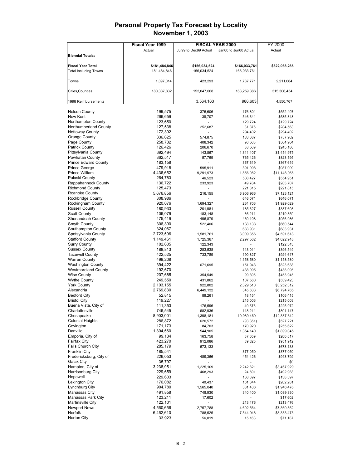|                                          | <b>Fiscal Year 1999</b> |                          | <b>FISCAL YEAR 2000</b> | FY 2000                   |
|------------------------------------------|-------------------------|--------------------------|-------------------------|---------------------------|
|                                          | Actual                  | Jul99 to Dec99 Actual    | Jan00 to Jun00 Actual   | Actual                    |
| <b>Biennial Totals:</b>                  |                         |                          |                         |                           |
|                                          |                         |                          |                         |                           |
| <b>Fiscal Year Total</b>                 | \$181,484,846           | \$156,034,524            | \$166,033,761           | \$322,068,285             |
| <b>Total including Towns</b>             | 181,484,846             | 156,034,524              | 166,033,761             |                           |
|                                          |                         |                          |                         |                           |
| Towns                                    | 1,097,014               | 423,293                  | 1,787,771               | 2,211,064                 |
|                                          |                         |                          |                         |                           |
| Cities, Counties                         | 180,387,832             | 152,047,068              | 163,259,386             | 315,306,454               |
| 1998 Reimbursements                      |                         | 3,564,163                | 986,603                 | 4,550,767                 |
|                                          |                         |                          |                         |                           |
| <b>Nelson County</b>                     | 199,575                 | 375,606                  | 176,801                 | \$552,407                 |
| New Kent                                 | 266,659                 | 38,707                   | 546,641                 | \$585,348                 |
| Northampton County                       | 123,650                 |                          | 129,724                 | \$129,724                 |
| Northumberland County                    | 127,538                 | 252,687                  | 31,876                  | \$284,563                 |
| <b>Nottoway County</b>                   | 172,392                 |                          | 294,402                 | \$294,402                 |
| Orange County                            | 336,625                 | 574,875                  | 183,087                 | \$757,962                 |
| Page County                              | 258,732                 | 408,342                  | 96,563                  | \$504,904                 |
| <b>Patrick County</b>                    | 126,426                 | 206,670                  | 38,509                  | \$245,180                 |
| Pittsylvania County                      | 692,494                 | 143,867                  | 1,311,107               | \$1,454,975               |
| Powhatan County                          | 362,517                 | 57,769                   | 765,426                 | \$823,195                 |
| <b>Prince Edward County</b>              | 183,158                 |                          | 367,619                 | \$367,619                 |
| <b>Prince George</b>                     | 479,918                 | 595,911                  | 391,098                 | \$987,009                 |
| Prince William                           | 4,436,652               | 9,291,973                | 1,856,082               | \$11,148,055              |
| Pulaski County                           | 264,783                 | 46,523                   | 508,427                 | \$554,951                 |
| Rappahannock County                      | 136,722                 | 233,923                  | 49,784                  | \$283,707                 |
| <b>Richmond County</b>                   | 125,473                 |                          | 221,815                 | \$221,815                 |
| Roanoke County                           | 5,676,856               | 216,155                  | 6,906,966               | \$7,123,121               |
| <b>Rockbridge County</b>                 | 308,986                 |                          | 646,071                 | \$646,071                 |
| Rockingham County                        | 920,076                 | 1,694,327                | 234,703                 | \$1,929,029               |
| <b>Russell County</b>                    | 180,933                 | 201,981                  | 185,627                 | \$387,608                 |
| <b>Scott County</b><br>Shenandoah County | 106,079<br>475,419      | 183,148                  | 36,211<br>460,108       | \$219,359                 |
| Smyth County                             | 306,390                 | 496,879<br>522,406       | 138,138                 | \$956,986<br>\$660,544    |
| Southampton County                       | 324,067                 |                          | 683,931                 | \$683,931                 |
| Spotsylvania County                      | 2,723,596               | 1,581,761                | 3,009,856               | \$4,591,618               |
| <b>Stafford County</b>                   | 1,149,461               | 1,725,387                | 2,297,562               | \$4,022,948               |
| <b>Surry County</b>                      | 102,605                 | 122,343                  |                         | \$122,343                 |
| <b>Sussex County</b>                     | 188,813                 | 283,538                  | 113,011                 | \$396,549                 |
| <b>Tazewell County</b>                   | 422,525                 | 733,789                  | 190,827                 | \$924,617                 |
| <b>Warren County</b>                     | 499,208                 |                          | 1,158,580               | \$1,158,580               |
| <b>Washington County</b>                 | 394,422                 | 671,695                  | 151,943                 | \$823,638                 |
| <b>Westmoreland County</b>               | 192,670                 |                          | 438,095                 | \$438,095                 |
| <b>Wise County</b>                       | 207,685                 | 354,549                  | 99,395                  | \$453,945                 |
| <b>Wythe County</b>                      | 249,550                 | 431,862                  | 107,560                 | \$539,423                 |
| <b>York County</b>                       | 2,103,155               | 922,802                  | 2,329,510               | \$3,252,312               |
| Alexandria                               | 2,769,830               | 6,449,132                | 345,633                 | \$6,794,765               |
| <b>Bedford City</b>                      | 52,815                  | 88,261                   | 18,154                  | \$106,415                 |
| <b>Bristol City</b>                      | 119,227                 | ÷,                       | 215,003                 | \$215,003                 |
| Buena Vista, City of                     | 111,353                 | 176,596                  | 49,376                  | \$225,972                 |
| Charlottesville<br>Chesapeake            | 746,545                 | 682,936                  | 118,211                 | \$801,147                 |
| <b>Colonial Heights</b>                  | 8,903,001<br>286,872    | 1,398,181<br>620,572     | 10,989,460<br>(93, 351) | \$12,387,642<br>\$527,221 |
| Covington                                | 171,173                 | 84,703                   | 170,920                 | \$255,622                 |
| Danville                                 | 1,304,560               | 544,905                  | 1,354,140               | \$1,899,045               |
| Emporia, City of                         | 99,134                  | 163,758                  | 37,059                  | \$200,817                 |
| <b>Fairfax City</b>                      | 423,270                 | 912,086                  | 39,825                  | \$951,912                 |
| Falls Church City                        | 285,179                 | 673,133                  |                         | \$673,133                 |
| <b>Franklin City</b>                     | 185,541                 | $\overline{\phantom{a}}$ | 377,050                 | \$377,050                 |
| Fredericksburg, City of                  | 226,053                 | 489,366                  | 454,426                 | \$943,792                 |
| Galax City                               | 35,797                  |                          |                         | \$0                       |
| Hampton, City of                         | 3,238,951               | 1,225,109                | 2,242,821               | \$3,467,929               |
| Harrisonburg City                        | 229,659                 | 468,293                  | 24,691                  | \$492,983                 |
| Hopewell                                 | 229,603                 |                          | 138,397                 | \$138,397                 |
| Lexington City                           | 176,082                 | 40,437                   | 161,844                 | \$202,281                 |
| Lynchburg City                           | 904,780                 | 1,565,040                | 381,436                 | \$1,946,476               |
| Manassas City                            | 491,858                 | 748,930                  | 340,400                 | \$1,089,330               |
| Manassas Park City                       | 123,211                 | 17,602                   |                         | \$17,602                  |
| <b>Martinsville City</b>                 | 122,101                 |                          | 213,476                 | \$213,476                 |
| <b>Newport News</b>                      | 4,560,656               | 2,757,788                | 4,602,564               | \$7,360,352               |
| Norfolk<br>Norton City                   | 6,462,610<br>33,923     | 788,525<br>56,019        | 7,544,948               | \$8,333,473               |
|                                          |                         |                          | 15,168                  | \$71,187                  |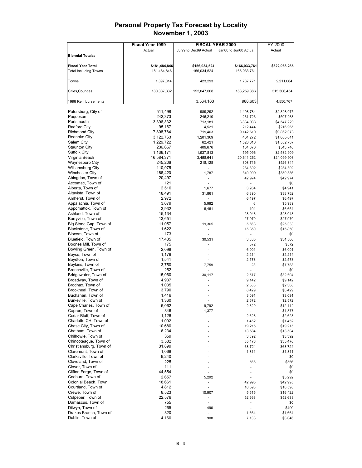|                                              | Fiscal Year 1999 |                       | <b>FISCAL YEAR 2000</b>  | FY 2000         |
|----------------------------------------------|------------------|-----------------------|--------------------------|-----------------|
|                                              | Actual           | Jul99 to Dec99 Actual | Jan00 to Jun00 Actual    | Actual          |
| <b>Biennial Totals:</b>                      |                  |                       |                          |                 |
|                                              |                  |                       |                          |                 |
| <b>Fiscal Year Total</b>                     | \$181,484,846    | \$156,034,524         | \$166,033,761            | \$322,068,285   |
| <b>Total including Towns</b>                 | 181,484,846      | 156,034,524           | 166,033,761              |                 |
|                                              |                  |                       |                          |                 |
| Towns                                        | 1,097,014        | 423,293               | 1,787,771                | 2,211,064       |
|                                              |                  |                       |                          |                 |
| Cities, Counties                             | 180,387,832      | 152,047,068           | 163,259,386              | 315,306,454     |
|                                              |                  |                       |                          |                 |
| 1998 Reimbursements                          |                  | 3,564,163             | 986,603                  | 4,550,767       |
|                                              |                  |                       |                          |                 |
| Petersburg, City of                          | 511,498          | 989,292               | 1,408,784                | \$2,398,075     |
| Poquoson                                     | 242,373          | 246,210               | 261,723                  | \$507,933       |
| Portsmouth                                   | 3,396,332        | 713,181               | 3,834,038                | \$4,547,220     |
| <b>Radford City</b>                          | 95,167           | 4,521                 | 212,444                  | \$216,965       |
| <b>Richmond City</b>                         | 7,808,784        | 719,463               | 9,142,610                | \$9,862,073     |
| Roanoke City                                 | 3,122,763        | 1,201,369             | 404,272                  | \$1,605,641     |
| Salem City                                   | 1,229,722        | 62,421                | 1,520,316                | \$1,582,737     |
| <b>Staunton City</b>                         | 236,667          | 409,676               | 134,070                  | \$543,746       |
| <b>Suffolk City</b>                          | 1,136,171        | 1,937,813             | 595,096                  | \$2,532,909     |
| Virginia Beach                               | 16,584,371       | 3,458,641             | 20,641,262               | \$24,099,903    |
| Waynesboro City                              | 245,206          | 218,128               | 308,716                  | \$526,844       |
| <b>Williamsburg City</b>                     | 110,975          |                       | 234,302                  | \$234,302       |
| <b>Winchester City</b>                       | 186,420          | 1,787                 | 349,099                  | \$350,886       |
| Abingdon, Town of                            | 20,497           |                       | 42,974                   | \$42,974        |
| Accomac, Town of                             | 121              |                       |                          | \$0             |
| Alberta, Town of                             | 2,516            | 1,677                 | 3,264                    | \$4,941         |
| Altavista, Town of                           | 18,491           | 31,861                | 6,890                    | \$38,752        |
| Amherst, Town of                             | 2,972            | ÷,                    | 6,497                    | \$6,497         |
| Appalachia, Town of                          | 3,679            | 5,982                 | 6                        | \$5,989         |
| Appomattox, Town of                          | 3,932            | 6,461                 | 194                      | \$6,654         |
| Ashland, Town of                             | 15,134           | $\frac{1}{2}$         | 28,048                   | \$28,048        |
| Berryville, Town of                          | 13,651           |                       | 27,970                   | \$27,970        |
| Big Stone Gap, Town of                       | 11,057           | 19,365                | 5,668                    | \$25,033        |
| Blackstone, Town of                          | 1,622            |                       | 15,850                   | \$15,850        |
| Bloxom, Town of                              | 173              |                       | ٠                        | \$0             |
| Bluefield, Town of                           | 17,435           | 30,531                | 3,835                    | \$34,366        |
| Boones Mill, Town of                         | 175              |                       | 572                      | \$572           |
| Bowling Green, Town of                       | 2,098            |                       | 6,001                    | \$6,001         |
| Boyce, Town of                               | 1,179            |                       | 2,214                    | \$2,214         |
| Boydton, Town of<br>Boykins, Town of         | 1,541<br>3,750   |                       | 2,573<br>28              | \$2,573         |
|                                              | 252              | 7,759                 |                          | \$7,788         |
| Branchville, Town of<br>Bridgewater, Town of | 15,060           | 30,117                | 2,577                    | \$0<br>\$32,694 |
| Broadway, Town of                            | 4,937            |                       | 9,142                    | \$9,142         |
| Brodnax, Town of                             | 1,035            |                       | 2,368                    | \$2,368         |
| Brookneal, Town of                           | 3,790            |                       | 8,429                    | \$8,429         |
| Buchanan, Town of                            | 1,416            |                       | 3,091                    | \$3,091         |
| Burkeville, Town of                          | 1,360            |                       | 2,572                    | \$2,572         |
| Cape Charles, Town of                        | 6,062            | 9,792                 | 2,320                    | \$12,112        |
| Capron, Town of                              | 846              | 1,377                 | $\overline{\phantom{a}}$ | \$1,377         |
| Cedar Bluff, Town of                         | 1,128            |                       | 2,628                    | \$2,628         |
| Charlotte CH, Town of                        | 1,092            |                       | 1,452                    | \$1,452         |
| Chase City, Town of                          | 10,680           |                       | 19,215                   | \$19,215        |
| Chatham, Town of                             | 6,234            |                       | 13,584                   | \$13,584        |
| Chilhowie, Town of                           | 359              |                       | 3,392                    | \$3,392         |
| Chincoteague, Town of                        | 3,582            |                       | 35,476                   | \$35,476        |
| Christiansburg, Town of                      | 31,899           |                       | 68,724                   | \$68,724        |
| Claremont, Town of                           | 1,068            |                       | 1,811                    | \$1,811         |
| Clarksville, Town of                         | 9,240            |                       |                          | \$0             |
| Cleveland, Town of                           | 225              |                       | 566                      | \$566           |
| Clover, Town of                              | 111              |                       |                          | \$0             |
| Clifton Forge, Town of                       | 44,554           |                       |                          | \$0             |
| Coeburn, Town of                             | 2,657            | 5,292                 |                          | \$5,292         |
| Colonial Beach, Town                         | 18,661           | ÷,                    | 42,995                   | \$42,995        |
| Courtland, Town of                           | 4,812            | ÷,                    | 10,598                   | \$10,598        |
| Crewe, Town of                               | 8,523            | 10,907                | 5,515                    | \$16,422        |
| Culpeper, Town of                            | 22,576           |                       | 52,633                   | \$52,633        |
| Damascus, Town of                            | 755              | ÷,                    |                          | \$0             |
| Dilwyn, Town of                              | 265              | 490                   |                          | \$490           |
| Drakes Branch, Town of                       | 820              |                       | 1,664                    | \$1,664         |
| Dublin, Town of                              | 4,160            | 908                   | 7,138                    | \$8,046         |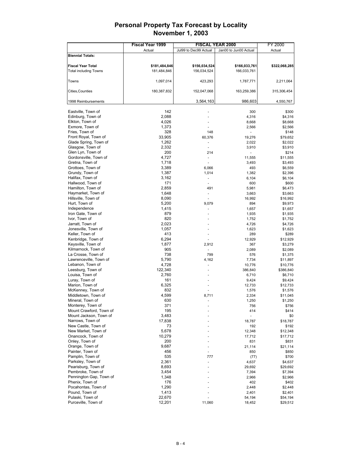| Fiscal Year 1999<br>FY 2000<br>Actual<br>Jul99 to Dec99 Actual<br>Actual<br>Jan00 to Jun00 Actual<br><b>Biennial Totals:</b><br><b>Fiscal Year Total</b><br>\$181,484,846<br>\$156,034,524<br>\$166,033,761<br>156,034,524<br><b>Total including Towns</b><br>181,484,846<br>166,033,761 | \$322,068,285<br>2,211,064<br>315,306,454 |
|------------------------------------------------------------------------------------------------------------------------------------------------------------------------------------------------------------------------------------------------------------------------------------------|-------------------------------------------|
|                                                                                                                                                                                                                                                                                          |                                           |
|                                                                                                                                                                                                                                                                                          |                                           |
|                                                                                                                                                                                                                                                                                          |                                           |
|                                                                                                                                                                                                                                                                                          |                                           |
|                                                                                                                                                                                                                                                                                          |                                           |
|                                                                                                                                                                                                                                                                                          |                                           |
| Towns<br>1,097,014<br>423,293<br>1,787,771                                                                                                                                                                                                                                               |                                           |
| 152,047,068                                                                                                                                                                                                                                                                              |                                           |
| Cities, Counties<br>180,387,832<br>163,259,386                                                                                                                                                                                                                                           |                                           |
| 3,564,163<br>986,603<br>1998 Reimbursements                                                                                                                                                                                                                                              | 4,550,767                                 |
|                                                                                                                                                                                                                                                                                          |                                           |
| 142<br>Eastville, Town of<br>300                                                                                                                                                                                                                                                         | \$300                                     |
| Edinburg, Town of<br>2,088<br>4,316                                                                                                                                                                                                                                                      | \$4,316                                   |
| 4,026<br>Elkton, Town of<br>8,668                                                                                                                                                                                                                                                        | \$8,668                                   |
| Exmore, Town of<br>1,373<br>2,566                                                                                                                                                                                                                                                        | \$2,566                                   |
| Fries, Town of<br>328<br>148                                                                                                                                                                                                                                                             | \$148                                     |
| Front Royal, Town of<br>33,905<br>60,376<br>19,276                                                                                                                                                                                                                                       | \$79,652                                  |
| Glade Spring, Town of<br>1,262<br>2,022<br>$\overline{\phantom{a}}$                                                                                                                                                                                                                      | \$2,022                                   |
| Glasgow, Town of<br>2,332<br>3,910                                                                                                                                                                                                                                                       | \$3,910                                   |
| Glen Lyn, Town of<br>200<br>214                                                                                                                                                                                                                                                          | \$214                                     |
| Gordonsville, Town of<br>4,727<br>11,555                                                                                                                                                                                                                                                 | \$11,555                                  |
| Gretna, Town of<br>1,718<br>3,493                                                                                                                                                                                                                                                        | \$3,493                                   |
| Grottoes, Town of<br>3,389<br>6,066<br>493                                                                                                                                                                                                                                               | \$6,559                                   |
| Grundy, Town of<br>1,387<br>1,014<br>1,382                                                                                                                                                                                                                                               | \$2,396                                   |
| Halifax, Town of<br>3,162<br>6,104<br>$\blacksquare$                                                                                                                                                                                                                                     | \$6,104                                   |
| Hallwood, Town of<br>171<br>600                                                                                                                                                                                                                                                          | \$600                                     |
| Hamilton, Town of<br>2,859<br>491<br>5,981                                                                                                                                                                                                                                               | \$6,473                                   |
| Haymarket, Town of<br>1,648<br>3,663                                                                                                                                                                                                                                                     | \$3,663                                   |
| Hillsville, Town of<br>8,090<br>16,992                                                                                                                                                                                                                                                   | \$16,992                                  |
| Hurt, Town of<br>5,200<br>9,079<br>894                                                                                                                                                                                                                                                   | \$9,973                                   |
| Independence<br>1,415<br>1,657                                                                                                                                                                                                                                                           | \$1,657                                   |
| Iron Gate, Town of<br>879<br>1,935                                                                                                                                                                                                                                                       | \$1,935                                   |
| Ivor, Town of<br>820<br>1,752                                                                                                                                                                                                                                                            | \$1,752                                   |
| 2,023<br>Jarratt, Town of<br>4,726                                                                                                                                                                                                                                                       | \$4,726                                   |
| Jonesville, Town of<br>1,057<br>1,623                                                                                                                                                                                                                                                    | \$1,623                                   |
| 413<br>Keller, Town of<br>289                                                                                                                                                                                                                                                            | \$289                                     |
| 6,294<br>Kenbridge, Town of<br>12,929                                                                                                                                                                                                                                                    | \$12,929                                  |
| Keysville, Town of<br>1,877<br>2,912<br>367                                                                                                                                                                                                                                              | \$3,279                                   |
| Kilmarnock, Town of<br>905<br>2,089                                                                                                                                                                                                                                                      | \$2,089                                   |
| 738<br>La Crosse, Town of<br>799<br>576                                                                                                                                                                                                                                                  | \$1,375                                   |
| Lawrenceville, Town of<br>5,790<br>4,162<br>7,734                                                                                                                                                                                                                                        | \$11,897                                  |
| Lebanon, Town of<br>4,728<br>10,776                                                                                                                                                                                                                                                      | \$10,776                                  |
| 122,340<br>Leesburg, Town of<br>386,840                                                                                                                                                                                                                                                  | \$386,840                                 |
| Louisa, Town of<br>2,760<br>6,710                                                                                                                                                                                                                                                        | \$6,710                                   |
| Luray, Town of<br>161<br>9,424                                                                                                                                                                                                                                                           | \$9,424                                   |
| 6,325<br>Marion, Town of<br>12,733                                                                                                                                                                                                                                                       | \$12,733                                  |
| 832<br>McKenney, Town of<br>1,576                                                                                                                                                                                                                                                        | \$1,576                                   |
| Middletown, Town of<br>4,599<br>8,711<br>2,334                                                                                                                                                                                                                                           | \$11,045                                  |
| Mineral, Town of<br>630<br>1,250<br>÷,                                                                                                                                                                                                                                                   | \$1,250                                   |
| Monterey, Town of<br>371<br>756                                                                                                                                                                                                                                                          | \$756                                     |
| Mount Crawford, Town of<br>195<br>414                                                                                                                                                                                                                                                    | \$414                                     |
| Mount Jackson, Town of<br>3,483<br>$\overline{\phantom{a}}$                                                                                                                                                                                                                              | \$0                                       |
| Narrows, Town of<br>17,838<br>18,787                                                                                                                                                                                                                                                     | \$18,787                                  |
| New Castle, Town of<br>73<br>192                                                                                                                                                                                                                                                         | \$192                                     |
| New Market, Town of<br>5,678<br>12,348                                                                                                                                                                                                                                                   | \$12,348                                  |
| Onancock, Town of<br>10,279<br>17,712                                                                                                                                                                                                                                                    | \$17,712                                  |
| Onley, Town of<br>200<br>831                                                                                                                                                                                                                                                             | \$831                                     |
| 9,687<br>Orange, Town of<br>21,114                                                                                                                                                                                                                                                       | \$21,114                                  |
| Painter, Town of<br>456<br>850                                                                                                                                                                                                                                                           | \$850                                     |
| Pamplin, Town of<br>535<br>777<br>(77)                                                                                                                                                                                                                                                   | \$700                                     |
| Parksley, Town of<br>2,361<br>4,637                                                                                                                                                                                                                                                      | \$4,637                                   |
| Pearisburg, Town of<br>8,693<br>29,692                                                                                                                                                                                                                                                   | \$29,692                                  |
| Pembroke, Town of<br>3,454<br>7,394                                                                                                                                                                                                                                                      | \$7,394                                   |
| Pennington Gap, Town of<br>1,348<br>2,966                                                                                                                                                                                                                                                | \$2,966                                   |
| Phenix, Town of<br>176<br>402                                                                                                                                                                                                                                                            | \$402                                     |
| 1,290<br>Pocahontas, Town of<br>2,448                                                                                                                                                                                                                                                    | \$2,448                                   |
| 1,413<br>Pound, Town of<br>2,401                                                                                                                                                                                                                                                         | \$2,401                                   |
| Pulaski, Town of<br>22,670<br>54,194                                                                                                                                                                                                                                                     | \$54,194                                  |
| 12,201<br>Purceville, Town of<br>11,060<br>18,452                                                                                                                                                                                                                                        | \$29,512                                  |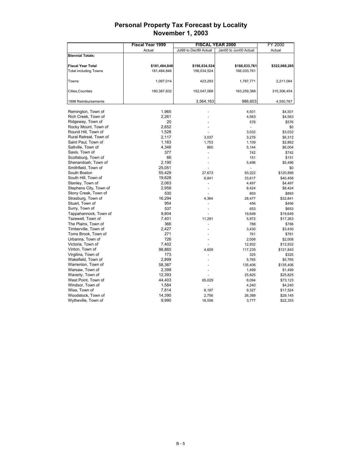|                              | <b>Fiscal Year 1999</b> | <b>FISCAL YEAR 2000</b> | FY 2000               |               |
|------------------------------|-------------------------|-------------------------|-----------------------|---------------|
|                              | Actual                  | Jul99 to Dec99 Actual   | Jan00 to Jun00 Actual | Actual        |
| <b>Biennial Totals:</b>      |                         |                         |                       |               |
|                              |                         |                         |                       |               |
| <b>Fiscal Year Total</b>     | \$181,484,846           | \$156,034,524           | \$166,033,761         | \$322,068,285 |
| <b>Total including Towns</b> | 181,484,846             | 156,034,524             | 166,033,761           |               |
|                              |                         |                         |                       |               |
| Towns                        | 1,097,014               | 423,293                 | 1,787,771             | 2,211,064     |
|                              |                         |                         |                       |               |
| Cities, Counties             | 180,387,832             | 152,047,068             | 163,259,386           | 315,306,454   |
|                              |                         |                         |                       |               |
| 1998 Reimbursements          |                         | 3,564,163               | 986,603               | 4,550,767     |
|                              |                         |                         |                       |               |
| Remington, Town of           | 1,965                   |                         | 4,501                 | \$4,501       |
| Rich Creek, Town of          | 2,261                   |                         | 4,563                 | \$4,563       |
| Ridgeway, Town of            | 20                      |                         | 576                   | \$576         |
| Rocky Mount, Town of         | 2,652                   |                         |                       | \$0           |
| Round Hill, Town of          | 1,528                   |                         | 3,032                 | \$3,032       |
| Rural Retreat, Town of       | 2,117                   | 3,037                   | 3,276                 | \$6,312       |
| Saint Paul, Town of          | 1,183                   | 1,753                   | 1,109                 | \$2,862       |
| Saltville, Town of           | 4,346                   | 860                     | 5,144                 | \$6,004       |
| Saxis, Town of               | 377                     |                         | 742                   | \$742         |
| Scottsburg, Town of          | 66                      |                         | 151                   | \$151         |
| Shenandoah, Town of          | 2,190                   |                         | 5,496                 | \$5,496       |
| Smithfield, Town of          | 25,051                  |                         | L.                    | \$0           |
| South Boston                 | 55,429                  | 27,673                  | 93,222                | \$120,895     |
| South Hill, Town of          | 19,628                  | 6,841                   | 33,617                | \$40,458      |
| Stanley, Town of             | 2,063                   |                         | 4,497                 | \$4,497       |
| Stephens City, Town of       | 2,958                   |                         | 8,424                 | \$8,424       |
| Stony Creek, Town of         | 530                     |                         | 893                   | \$893         |
| Strasburg, Town of           | 16,294                  | 4,364                   | 28,477                | \$32,841      |
| Stuart, Town of              | 954                     |                         | 456                   | \$456         |
| Surry, Town of               | 537                     |                         | 653                   | \$653         |
| Tappahannock, Town of        | 9,804                   |                         | 19,649                | \$19,649      |
| Tazewell, Town of            | 7,401                   | 11,291                  | 5,972                 | \$17,263      |
| The Plains, Town of          | 366                     |                         | 788                   | \$788         |
| Timberville, Town of         | 2,427                   |                         | 3,430                 | \$3,430       |
| Toms Brook, Town of          | 271                     |                         | 761                   | \$761         |
| Urbanna, Town of             | 726                     |                         | 2,008                 | \$2,008       |
| Victoria, Town of            | 7,402                   |                         | 12,932                | \$12,932      |
| Vinton, Town of              | 98,860                  | 4,609                   | 117,235               | \$121,843     |
| Virgilina, Town of           | 173                     |                         | 325                   | \$325         |
| Wakefield, Town of           | 2,899                   |                         | 5,765                 | \$5,765       |
| Warrenton, Town of           | 58,387                  |                         | 135,406               | \$135,406     |
| Warsaw, Town of              | 2,399                   |                         | 1,499                 | \$1,499       |
| Waverly, Town of             | 12,393                  |                         | 25,825                | \$25,825      |
| West Point, Town of          | 44,403                  | 65,029                  | 8,094                 | \$73,123      |
| Windsor, Town of             | 1,584                   |                         | 4,240                 | \$4,240       |
| Wise, Town of                | 7,814                   | 8,197                   | 9,327                 | \$17,524      |
| Woodstock, Town of           | 14,390                  | 2,756                   | 26,389                | \$29,145      |
| Wytheville, Town of          | 9,990                   | 18,556                  | 3,777                 | \$22,333      |
|                              |                         |                         |                       |               |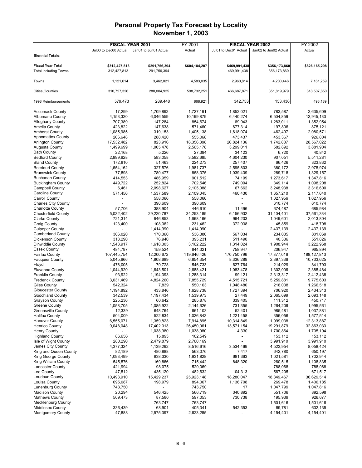|                                                    | <b>FISCAL YEAR 2001</b> |                          | FY 2001                |                          | <b>FISCAL YEAR 2002</b> | FY 2002                |
|----------------------------------------------------|-------------------------|--------------------------|------------------------|--------------------------|-------------------------|------------------------|
|                                                    | Jul00 to Dec00 Actual   | Jan01 to Jun01 Actual    | Actual                 | Jul01 to Dec01 Actual    | Jan02 to Jun02 Actual   | Actual                 |
| <b>Biennial Totals:</b>                            |                         |                          |                        |                          |                         |                        |
|                                                    |                         |                          |                        |                          |                         |                        |
| <b>Fiscal Year Total</b>                           | \$312,427,813           | \$291,756,394            | \$604,184,207          | \$469,991,438            | \$356,173,860           | \$826,165,298          |
| <b>Total including Towns</b>                       | 312,427,813             | 291,756,394              |                        | 469,991,438              | 356,173,860             |                        |
|                                                    |                         |                          |                        |                          |                         |                        |
| Towns                                              | 1,121,014               | 3,462,021                | 4,583,035              | 2,960,814                | 4,200,446               | 7,161,259              |
| Cities, Counties                                   | 310,727,326             | 288,004,925              | 598,732,251            | 466,687,871              | 351,819,979             | 818,507,850            |
|                                                    |                         |                          |                        |                          |                         |                        |
| 1998 Reimbursements                                | 579,473                 | 289,448                  | 868,921                | 342,753                  | 153,436                 | 496,189                |
|                                                    |                         |                          |                        |                          |                         |                        |
| <b>Accomack County</b>                             | 17,299                  | 1,709,892                | 1,727,191              | 1,852,021                | 783,587                 | 2,635,609              |
| Albemarle County                                   | 4,153,320               | 6,046,559                | 10,199,879             | 6,440,274                | 6,504,859               | 12,945,133             |
| Alleghany County                                   | 707,389                 | 147,284                  | 854,674                | 69,943                   | 1,283,011               | 1,352,954              |
| Amelia County                                      | 423,822                 | 147,638                  | 571,460                | 677,314                  | 197,806                 | 875,121                |
| <b>Amherst County</b>                              | 1,085,985               | 319,153                  | 1,405,138              | 1,618,074                | 462,497                 | 2,080,571              |
| <b>Appomattox County</b>                           | 266,648                 | 288,420                  | 555,068                | 473,437                  | 453,367                 | 926,804                |
| <b>Arlington County</b>                            | 17,532,482              | 823,916                  | 18,356,398             | 26,824,136               | 1,742,887               | 28,567,022             |
| Augusta County                                     | 1,499,699               | 1,065,478                | 2,565,178              | 3,299,011                | 582,892                 | 3,881,904              |
| <b>Bath County</b>                                 | 22,168                  | 5,226                    | 27,394                 | 34,123                   | 6,720                   | 40,842                 |
| <b>Bedford County</b>                              | 2,999,628               | 583,058                  | 3,582,685              | 4,604,230                | 907,051                 | 5,511,281              |
| <b>Bland County</b>                                | 172,810                 | 51,463                   | 224,273                | 257,407                  | 66,426                  | 323,832                |
| <b>Botetourt County</b>                            | 1,654,162               | 327,576                  | 1,981,737              | 2,595,803                | 380,172                 | 2,975,974              |
| <b>Brunswick County</b><br><b>Buchanan County</b>  | 77,898                  | 780,477                  | 858,375                | 1,039,439                | 289,718                 | 1,329,157              |
| <b>Buckingham County</b>                           | 414,553<br>449,722      | 486,959<br>252,824       | 901,512<br>702,546     | 74,199<br>749,094        | 1,273,617<br>349,114    | 1,347,816<br>1,098,208 |
| Campbell County                                    | 6,461                   | 2,098,627                | 2,105,088              | 67,662                   | 3,248,938               | 3,316,600              |
| Caroline County                                    | 571,456                 | 1,537,589                | 2,109,045              | 460,430                  | 1,657,210               | 2,117,640              |
| <b>Carroll County</b>                              |                         | 558,066                  | 558,066                |                          | 1,027,956               | 1,027,956              |
| <b>Charles City County</b>                         |                         | 390,609                  | 390,609                |                          | 610,774                 | 610,774                |
| <b>Charlotte County</b>                            | 57,706                  | 388,904                  | 446,610                | 11,496                   | 674,487                 | 685,984                |
| <b>Chesterfield County</b>                         | 5,032,402               | 29,220,787               | 34,253,189             | 6,156,932                | 31,404,401              | 37,561,334             |
| <b>Clarke County</b>                               | 721,314                 | 946,853                  | 1,668,166              | 964,203                  | 1,049,601               | 2,013,804              |
| <b>Craig County</b>                                | 123,400                 | 108,062                  | 231,462                | 372,938                  | 45,859                  | 418,798                |
| <b>Culpeper County</b>                             |                         | 1,414,990                | 1,414,990              |                          | 2,437,139               | 2,437,139              |
| <b>Cumberland County</b>                           | 366,020                 | 170,360                  | 536,380                | 567,034                  | 234,035                 | 801,069                |
| <b>Dickenson County</b>                            | 318,290                 | 76,940                   | 395,231                | 511,490                  | 40,336                  | 551,826                |
| Dinwiddie County                                   | 1,543,917               | 1,618,305                | 3,162,222              | 1,314,024                | 1,908,944               | 3,222,968              |
| <b>Essex County</b>                                | 484,797                 | 159,524                  | 644,321                | 758,947                  | 206,947                 | 965,894                |
| <b>Fairfax County</b>                              | 107,445,754             | 12,200,672               | 119,646,426            | 170,750,796              | 17,377,016              | 188, 127, 813          |
| <b>Fauquier County</b>                             | 5,045,666               | 1,808,689                | 6,854,354              | 8,336,289                | 2,397,336               | 10,733,625             |
| Floyd                                              | 476,005                 | 70,728                   | 546,733                | 627,764                  | 214,029                 | 841,793                |
| Fluvanna County                                    | 1,044,920               | 1,643,501                | 2,688,421              | 1,083,478                | 1,302,006               | 2,385,484              |
| <b>Franklin County</b>                             | 93,922                  | 1,194,393                | 1,288,314              | 99,121                   | 2,313,317               | 2,412,438              |
| <b>Frederick County</b>                            | 3,031,469               | 4,824,260                | 7,855,729              | 4,515,721                | 5,259,881               | 9,775,603              |
| <b>Giles County</b><br><b>Gloucester County</b>    | 542,324<br>1,194,892    | 7,839                    | 550,163                | 1,048,480                | 218,038                 | 1,266,518              |
| <b>Goochland County</b>                            | 342,539                 | 433,846<br>1,197,434     | 1,628,738<br>1,539,973 | 1,727,394<br>27,449      | 706,920<br>2,065,699    | 2,434,313<br>2,093,148 |
| <b>Grayson County</b>                              | 225,236                 | 60,642                   | 285,878                | 339,405                  | 111,312                 | 450,717                |
| <b>Greene County</b>                               | 1,058,705               | 1,085,922                | 2,144,626              | 731,355                  | 1,264,206               | 1,995,561              |
| <b>Greensville County</b>                          | 12,339                  | 648,764                  | 661,103                | 52,401                   | 985,481                 | 1,037,881              |
| <b>Halifax County</b>                              | 504,009                 | 522,834                  | 1,026,843              | 1,221,458                | 356,056                 | 1,577,514              |
| <b>Hanover County</b>                              | 6,555,071               | 1,359,823                | 7,914,895              | 10,314,849               | 1,999,038               | 12,313,887             |
| <b>Henrico County</b>                              | 9,048,048               | 17,402,013               | 26,450,061             | 13,571,154               | 19,291,879              | 32,863,033             |
| <b>Henry County</b>                                |                         | 1,038,980                | 1,038,980              | 4,330                    | 1,700,864               | 1,705,194              |
| <b>Highland County</b>                             | 86,656                  | 15,893                   | 102,549                | $\overline{\phantom{a}}$ | 153,112                 | 153,112                |
| Isle of Wight County                               | 280,290                 | 2,479,879                | 2,760,169              |                          | 3,991,910               | 3,991,910              |
| James City County                                  | 4,377,324               | 4,139,292                | 8,516,616              | 3,534,469                | 4,523,954               | 8,058,424              |
| King and Queen County                              | 82,189                  | 480,888                  | 563,076                | 7,417                    | 642,780                 | 650,197                |
| King George County                                 | 1,093,499               | 838,330                  | 1,931,828              | 681,363                  | 1,021,581               | 1,702,944              |
| King William County                                | 545,576                 | 169,866                  | 715,442                | 848,320                  | 260,515                 | 1,108,835              |
| <b>Lancaster County</b>                            | 421,994                 | 98,075                   | 520,069                |                          | 788,068                 | 788,068                |
| Lee County                                         | 47,512                  | 435,120                  | 482,632                | 104,313                  | 567,205                 | 671,517                |
| Loudoun County                                     | 10,493,910              | 15,429,237               | 25,923,148             | 18,280,047               | 18,349,467              | 36,629,514             |
| Louisa County                                      | 695,087                 | 198,979                  | 894,067                | 1,136,708                | 269,478                 | 1,406,185              |
| <b>Lunenburg County</b>                            | 743,750                 | $\overline{\phantom{a}}$ | 743,750                | 17                       | 1,047,799               | 1,047,816              |
| <b>Madison County</b>                              | 20,294                  | 546,425                  | 566,719                | 340,892                  | 551,706                 | 892,598                |
| <b>Mathews County</b><br><b>Mecklenburg County</b> | 509,473                 | 87,580<br>763,747        | 597,053<br>763,747     | 730,738                  | 195,939<br>1,501,616    | 926,677<br>1,501,616   |
| <b>Middlesex County</b>                            | 336,439                 | 68,901                   | 405,341                | 542,353                  | 89,781                  | 632,135                |
| <b>Montgomery County</b>                           | 47,888                  | 2,575,397                | 2,623,285              |                          | 4,154,401               | 4,154,401              |
|                                                    |                         |                          |                        |                          |                         |                        |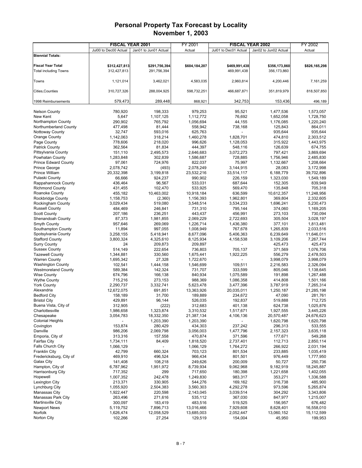|                                           | <b>FISCAL YEAR 2001</b> |                       | FY 2001            | <b>FISCAL YEAR 2002</b> |                       | FY 2002                |
|-------------------------------------------|-------------------------|-----------------------|--------------------|-------------------------|-----------------------|------------------------|
|                                           | Jul00 to Dec00 Actual   | Jan01 to Jun01 Actual | Actual             | Jul01 to Dec01 Actual   | Jan02 to Jun02 Actual | Actual                 |
| <b>Biennial Totals:</b>                   |                         |                       |                    |                         |                       |                        |
|                                           |                         |                       |                    |                         |                       |                        |
| <b>Fiscal Year Total</b>                  | \$312,427,813           | \$291,756,394         | \$604,184,207      | \$469,991,438           | \$356,173,860         | \$826,165,298          |
| <b>Total including Towns</b>              | 312,427,813             | 291,756,394           |                    | 469,991,438             | 356,173,860           |                        |
|                                           |                         |                       |                    |                         |                       |                        |
| Towns                                     | 1,121,014               | 3,462,021             | 4,583,035          | 2,960,814               | 4,200,446             | 7,161,259              |
|                                           |                         |                       |                    |                         |                       |                        |
| Cities, Counties                          | 310,727,326             | 288,004,925           | 598,732,251        | 466,687,871             | 351,819,979           | 818,507,850            |
|                                           |                         |                       |                    |                         |                       |                        |
| 1998 Reimbursements                       | 579,473                 | 289.448               | 868,921            | 342,753                 | 153,436               | 496,189                |
| <b>Nelson County</b>                      | 780,920                 | 198,333               | 979,253            | 95,521                  | 1,477,536             | 1,573,057              |
| New Kent                                  | 5,647                   | 1,107,125             | 1,112,772          | 76,692                  | 1,652,058             | 1,728,750              |
| Northampton County                        | 290,902                 | 765,792               | 1,056,694          | 44,155                  | 1,176,085             | 1,220,240              |
| Northumberland County                     | 477,498                 | 81,444                | 558,942            | 738,168                 | 125,843               | 864,011                |
| Nottoway County                           | 32,747                  | 593,016               | 625,763            |                         | 935,644               | 935,644                |
| Orange County                             | 1,142,063               | 318,214               | 1,460,278          | 1,828,701               | 474,810               | 2,303,512              |
| Page County                               | 778,606                 | 218,020               | 996,626            | 1,128,053               | 315,922               | 1,443,975              |
| <b>Patrick County</b>                     | 362,564                 | 81,834                | 444,397            | 548,116                 | 126,639               | 674,755                |
| Pittsylvania County                       | 151,110                 | 2,495,573             | 2,646,683          | 3,072,273               | 797,421               | 3,869,694              |
| Powhatan County                           | 1,283,848               | 302,839               | 1,586,687          | 728,885                 | 1,756,946             | 2,485,830              |
| <b>Prince Edward County</b>               | 97,061                  | 724,976               | 822,037            | 75,997                  | 1,132,667             | 1,208,664              |
| <b>Prince George</b>                      | 2,078,742               | (493)                 | 2,078,249          | 3,144,915               | 28,083                | 3,172,998              |
| Prince William                            | 20,332,398              | 3,199,818             | 23,532,216         | 33,514,117              | 6,188,779             | 39,702,896             |
| Pulaski County                            | 66,666                  | 924,237               | 990,902            | 226,159                 | 1,323,030             | 1,549,189              |
| Rappahannock County                       | 436,464                 | 96.567                | 533,031            | 687,644                 | 152,305               | 839,949                |
| <b>Richmond County</b>                    | 431,455                 | 102,470               | 533,925            | 569,470                 | 135,848               | 705,318                |
| Roanoke County                            | 455,182                 | 10,463,002            | 10,918,184         | 636,599                 | 10,612,357            | 11,248,956             |
| Rockbridge County                         | 1,158,753               | (2,360)               | 1,156,393          | 1,962,801               | 369,804               | 2,332,605              |
| Rockingham County                         | 3,029,434               | 519,080               | 3,548,514          | 3,534,233               | 1,696,241             | 5,230,473              |
| <b>Russell County</b>                     | 484,469                 | 246,841               | 731,310            | 795,144                 | 374,060               | 1,169,205              |
| <b>Scott County</b>                       | 207,186                 | 236,251               | 443,437            | 456,991                 | 273,103               | 730,094                |
| Shenandoah County                         | 87,373                  | 1,981,855             | 2,069,229          | 2,722,693               | 305,504               | 3,028,197              |
| Smyth County                              | 957,646                 | 269,069               | 1,226,714          | 1,436,380               | 377,101               | 1,813,481              |
| Southampton County                        | 11,894                  | 997,055               | 1,008,949          | 767,678                 | 1,265,839             | 2,033,516              |
| Spotsylvania County                       | 3,258,155               | 5,418,941             | 8,677,096          | 5,406,363               | 6,239,649             | 11,646,011             |
| <b>Stafford County</b>                    | 3,800,324               | 4,325,610             | 8,125,934          | 4,158,538               | 3,109,206             | 7,267,744              |
| <b>Surry County</b>                       | 24                      | 209,873               | 209,897            |                         | 425,473               | 425,473                |
| <b>Sussex County</b>                      | 514,149                 | 222,654               | 736,803            | 705,137                 | 371,569               | 1,076,706              |
| <b>Tazewell County</b>                    | 1,344,881               | 330,560               | 1,675,441          | 1,922,225               | 556,279               | 2,478,503              |
| <b>Warren County</b>                      | 1,695,342               | 27,328                | 1,722,670          |                         | 3,998,079             | 3,998,079              |
| <b>Washington County</b>                  | 102,541                 | 1,444,158             | 1,546,699          | 109,511                 | 2,216,583             | 2,326,094              |
| <b>Westmoreland County</b>                | 589,384                 | 142,324               | 731,707            | 333,599                 | 805,046               | 1,138,645<br>1,267,488 |
| <b>Wise County</b><br><b>Wythe County</b> | 674,796<br>715,216      | 166,138<br>273,153    | 840,934<br>988,369 | 1,075,589<br>1,086,358  | 191,898<br>414,808    | 1,501,166              |
| <b>York County</b>                        | 2,290,737               | 3,332,741             | 5,623,478          | 3,477,396               | 3,787,919             | 7,265,314              |
| Alexandria                                | 12,672,075              | 691,851               | 13,363,926         | 20,035,011              | 1,250,187             | 21,285,198             |
| <b>Bedford City</b>                       | 158,189                 | 31,700                | 189,889            | 234,672                 | 47,090                | 281,761                |
| <b>Bristol City</b>                       | 429,891                 | 96,144                | 526,035            | 192,837                 | 519,888               | 712,725                |
| Buena Vista, City of                      | 312,905                 | (222)                 | 312,683            | 401,138                 | 624,738               | 1,025,876              |
| Charlottesville                           | 1,986,658               | 1,323,874             | 3,310,532          | 1,517,671               | 1,927,555             | 3,445,226              |
| Chesapeake                                | 3,054,783               | 18,332,350            | 21,387,134         | 4,106,136               | 20,570,487            | 24,676,623             |
| <b>Colonial Heights</b>                   |                         | 1,203,390             | 1,203,390          |                         | 1,620,798             | 1,620,798              |
| Covington                                 | 153,874                 | 280,429               | 434,303            | 237,242                 | 296,313               | 533,555                |
| Danville                                  | 986,206                 | 2,069,798             | 3,056,003          | 1,477,796               | 2,157,323             | 3,635,118              |
| Emporia, City of                          | 313,316                 | 157,558               | 470,874            | 371,596                 | 177,671               | 549,268                |
| Fairfax City                              | 1,734,111               | 84,409                | 1,818,520          | 2,737,401               | 112,713               | 2,850,114              |
| Falls Church City                         | 1,066,129               |                       | 1,066,129          | 1,764,272               | 266,922               | 2,031,194              |
| <b>Franklin City</b>                      | 42,799                  | 660,324               | 703,123            | 801,534                 | 233,885               | 1,035,419              |
| Fredericksburg, City of                   | 469,910                 | 496,524               | 966,434            | 801,501                 | 976,449               | 1,777,950              |
| Galax City                                | 141,408                 | 108,218               | 249,626            | 200,009                 | 50,727                | 250,736                |
| Hampton, City of                          | 6,787,962               | 1,951,972             | 8,739,934          | 9,062,968               | 9,182,919             | 18,245,887             |
| Harrisonburg City                         | 717,352                 | 299                   | 717,650            | 180,398                 | 1,221,658             | 1,402,055              |
| Hopewell                                  | 1,007,352               | 242,478               | 1,249,830          | 983,317                 | 353,271               | 1,336,588              |
| Lexington City                            | 213,371                 | 330,905               | 544,276            | 169,162                 | 316,738               | 485,900                |
| Lynchburg City                            | 1,055,920               | 2,504,383             | 3,560,303          | 4,292,278               | 973,596               | 5,265,874              |
| Manassas City                             | 1,922,447               | 220,598               | 2,143,045          | 3,039,514               | 304,292               | 3,343,806              |
| Manassas Park City                        | 263,496                 | 271,616               | 535,112            | 367,030                 | 847,977               | 1,215,007              |
| <b>Martinsville City</b>                  | 300,097                 | 183,419               | 483,516            | 519,525                 | 156,957               | 676,482                |
| <b>Newport News</b>                       | 5,119,752               | 7,896,713             | 13,016,466         | 7,929,608               | 8,628,401             | 16,558,010             |
| Norfolk                                   | 1,626,474               | 12,058,529            | 13,685,003         | 2,052,447               | 13,060,152            | 15,112,599             |
| Norton City                               | 102,266                 | 27,254                | 129,519            | 154,004                 | 45,950                | 199,953                |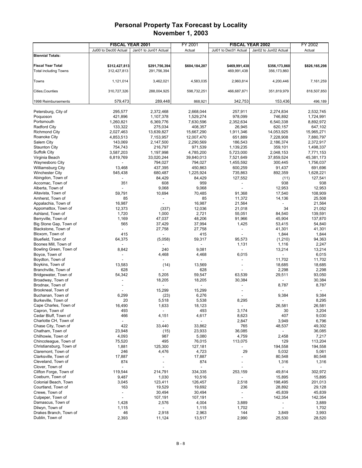|                                              | <b>FISCAL YEAR 2001</b>  |                          | FY 2001       |                          | <b>FISCAL YEAR 2002</b>  | FY 2002          |
|----------------------------------------------|--------------------------|--------------------------|---------------|--------------------------|--------------------------|------------------|
|                                              | Jul00 to Dec00 Actual    | Jan01 to Jun01 Actual    | Actual        | Jul01 to Dec01 Actual    | Jan02 to Jun02 Actual    | Actual           |
| <b>Biennial Totals:</b>                      |                          |                          |               |                          |                          |                  |
|                                              |                          |                          |               |                          |                          |                  |
| <b>Fiscal Year Total</b>                     | \$312,427,813            | \$291,756,394            | \$604,184,207 | \$469,991,438            | \$356,173,860            | \$826,165,298    |
| <b>Total including Towns</b>                 | 312,427,813              | 291,756,394              |               | 469,991,438              | 356,173,860              |                  |
|                                              |                          |                          |               |                          |                          |                  |
| Towns                                        | 1,121,014                | 3,462,021                | 4,583,035     | 2,960,814                | 4,200,446                | 7,161,259        |
|                                              |                          |                          |               |                          |                          |                  |
| Cities, Counties                             | 310,727,326              | 288,004,925              | 598,732,251   | 466,687,871              | 351,819,979              | 818,507,850      |
| 1998 Reimbursements                          | 579,473                  | 289,448                  | 868,921       | 342,753                  | 153,436                  | 496,189          |
|                                              |                          |                          |               |                          |                          |                  |
| Petersburg, City of                          | 295,577                  | 2,372,468                | 2,668,044     | 257,911                  | 2,274,834                | 2,532,745        |
| Poquoson                                     | 421,896                  | 1,107,378                | 1,529,274     | 978,099                  | 746,892                  | 1,724,991        |
| Portsmouth                                   | 1,260,821                | 6,369,776                | 7,630,596     | 2,352,634                | 6,540,338                | 8,892,972        |
| <b>Radford City</b>                          | 133,322                  | 275,034                  | 408,357       | 26,945                   | 620,157                  | 647,102          |
| <b>Richmond City</b>                         | 2,027,463                | 13,639,827               | 15,667,290    | 1,911,346                | 14,053,925               | 15,965,271       |
| Roanoke City                                 | 4,853,513                | 7,153,957                | 12,007,470    | 651,889                  | 7,228,908                | 7,880,797        |
| Salem City                                   | 143,069                  | 2,147,500                | 2,290,569     | 186,543                  | 2,186,374                | 2,372,917        |
| <b>Staunton City</b>                         | 754,743                  | 216,797                  | 971,539       | 1,139,235                | 359,101                  | 1,498,337        |
| <b>Suffolk City</b>                          | 3,587,203                | 1,197,998                | 4,785,200     | 5,723,000                | 2,048,153                | 7,771,153        |
| Virginia Beach                               | 6,819,769                | 33,020,244               | 39,840,013    | 7,521,649                | 37,859,524               | 45,381,173       |
| Waynesboro City                              |                          | 794,027                  | 794,027       | 1,455,592                | 300,445                  | 1,756,037        |
| <b>Williamsburg City</b>                     | 13,468                   | 437,395                  | 450,863       | 600,259                  | 91,437                   | 691,696          |
| <b>Winchester City</b>                       | 545,438                  | 680,487                  | 1,225,924     | 735,863                  | 892,359                  | 1,628,221        |
| Abingdon, Town of                            |                          | 84,429                   | 84,429        | 127,552                  | (11)                     | 127,541          |
| Accomac, Town of                             | 351                      | 608                      | 959           | $\overline{\phantom{a}}$ | 938                      | 938              |
| Alberta, Town of                             |                          | 9,068                    | 9,068         |                          | 12,953                   | 12,953           |
| Altavista, Town of<br>Amherst, Town of       | 59,791<br>85             | 10,694                   | 70,485<br>85  | 91,368                   | 17,540                   | 108,909          |
| Appalachia, Town of                          | 16,987                   |                          | 16,987        | 11,372<br>21,564         | 14,136                   | 25,508<br>21,564 |
| Appomattox, Town of                          | 12,373                   | (337)                    | 12,036        | 21,018                   | 34                       | 21,052           |
| Ashland, Town of                             | 1,720                    | 1,000                    | 2,721         | 55,051                   | 84,540                   | 139,591          |
| Berryville, Town of                          | 1,169                    | 47,037                   | 48,206        | 91,966                   | 45,904                   | 137,870          |
| Big Stone Gap, Town of                       | 565                      | 37,429                   | 37,994        | 1,425                    | 53,415                   | 54,840           |
| Blackstone, Town of                          |                          | 27,758                   | 27,758        |                          | 41,301                   | 41,301           |
| Bloxom, Town of                              | 415                      |                          | 415           |                          | 1,844                    | 1,844            |
| Bluefield, Town of                           | 64,375                   | (5,058)                  | 59,317        | 95,573                   | (1, 210)                 | 94,363           |
| Boones Mill, Town of                         |                          |                          |               | 1,131                    | 1,116                    | 2,247            |
| Bowling Green, Town of                       | 8,842                    | 240                      | 9,081         |                          | 13,214                   | 13,214           |
| Boyce, Town of                               |                          | 4,468                    | 4,468         | 6,015                    | $\sim$                   | 6,015            |
| Boydton, Town of                             |                          |                          |               |                          | 11,702                   | 11,702           |
| Boykins, Town of                             | 13,583                   | (14)                     | 13,569        |                          | 18,685                   | 18,685           |
| Branchville, Town of                         | 628                      |                          | 628           |                          | 2,298                    | 2,298            |
| Bridgewater, Town of                         | 54,342                   | 5,205                    | 59,547        | 63,539                   | 29,511                   | 93,050           |
| Broadway, Town of                            |                          | 18,205                   | 18,205        | 30,384                   |                          | 30,384           |
| Brodnax, Town of                             |                          |                          |               |                          | 8,787                    | 8,787            |
| Brookneal, Town of                           |                          | 15,299                   | 15,299        |                          | $\overline{a}$           |                  |
| Buchanan, Town of                            | 6,299                    | (23)                     | 6,276         |                          | 9,384                    | 9,384            |
| Burkeville, Town of<br>Cape Charles, Town of | 20                       | 5,518                    | 5,538         | 8,295                    |                          | 8,295            |
| Capron, Town of                              | 16,490                   | 1,633<br>$\overline{a}$  | 18,123        |                          | 26,581                   | 26,581           |
| Cedar Bluff, Town of                         | 493<br>466               | 4,151                    | 493<br>4,617  | 3,174<br>8,623           | 30<br>407                | 3,204<br>9,030   |
| Charlotte CH, Town of                        | $\overline{\phantom{0}}$ |                          |               | 2,847                    | 3,949                    | 6,796            |
| Chase City, Town of                          | 422                      | 33,440                   | 33,862        | 765                      | 48,537                   | 49,302           |
| Chatham, Town of                             | 23,948                   | (15)                     | 23,933        | 36,085                   | $\overline{\phantom{a}}$ | 36,085           |
| Chilhowie, Town of                           | 4,093                    | 987                      | 5,080         | 4,759                    | 2,458                    | 7,217            |
| Chincoteaque, Town of                        | 75,520                   | 495                      | 76,015        | 113,075                  | 129                      | 113,204          |
| Christiansburg, Town of                      | 1,881                    | 125,300                  | 127,181       |                          | 194,558                  | 194,558          |
| Claremont, Town of                           | 246                      | 4,476                    | 4,723         | 29                       | 5,032                    | 5,061            |
| Clarksville, Town of                         | 17,887                   |                          | 17,887        |                          | 80,548                   | 80,548           |
| Cleveland, Town of                           | 874                      | $\overline{a}$           | 874           |                          | 1,316                    | 1,316            |
| Clover, Town of                              | $\overline{\phantom{a}}$ |                          |               |                          | $\overline{\phantom{a}}$ |                  |
| Clifton Forge, Town of                       | 119,544                  | 214,791                  | 334,335       | 253,159                  | 49,814                   | 302,972          |
| Coeburn, Town of                             | 9,487                    | 1,030                    | 10,516        |                          | 15,895                   | 15,895           |
| Colonial Beach, Town                         | 3,045                    | 123,411                  | 126,457       | 2,518                    | 198,495                  | 201,013          |
| Courtland, Town of                           | 163                      | 19,529                   | 19,692        | 236                      | 28,892                   | 29,128           |
| Crewe, Town of                               | $\overline{\phantom{a}}$ | 30,494                   | 30,494        | $\overline{\phantom{a}}$ | 45,839                   | 45,839           |
| Culpeper, Town of                            | $\overline{\phantom{a}}$ | 107,191                  | 107,191       | $\overline{\phantom{a}}$ | 142,354                  | 142,354          |
| Damascus, Town of                            | 1,428                    | 2,576                    | 4,004         | 3,889                    |                          | 3,889            |
| Dilwyn, Town of                              | 1,115                    | $\overline{\phantom{a}}$ | 1,115         | 1,702                    |                          | 1,702            |
| Drakes Branch, Town of<br>Dublin, Town of    | 46                       | 2,918                    | 2,963         | 144<br>2,990             | 3,849                    | 3,993            |
|                                              | 2,393                    | 11,124                   | 13,517        |                          | 25,530                   | 28,520           |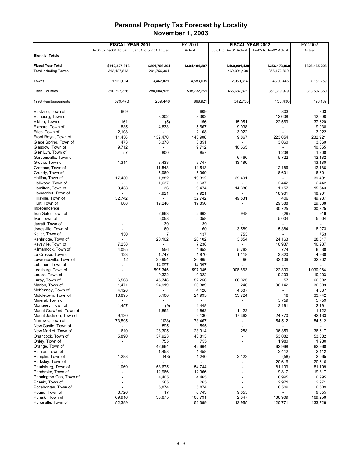| Jul00 to Dec00 Actual<br>Jan01 to Jun01 Actual<br>Actual<br>Jul01 to Dec01 Actual<br>Jan02 to Jun02 Actual<br>Actual<br><b>Biennial Totals:</b><br><b>Fiscal Year Total</b><br>\$312,427,813<br>\$291,756,394<br>\$604,184,207<br>\$469,991,438<br>\$356,173,860<br>\$826,165,298<br>312,427,813<br>291,756,394<br><b>Total including Towns</b><br>469,991,438<br>356,173,860<br>1,121,014<br>3,462,021<br>4,583,035<br>2,960,814<br>4,200,446<br>7,161,259<br>Towns<br>Cities, Counties<br>310,727,326<br>288,004,925<br>598,732,251<br>466,687,871<br>351,819,979<br>818,507,850<br>579,473<br>289,448<br>342,753<br>153,436<br>868,921<br>496,189<br>1998 Reimbursements<br>609<br>609<br>803<br>803<br>Eastville, Town of<br>8,302<br>Edinburg, Town of<br>8,302<br>12,608<br>12,608<br>161<br>156<br>15,051<br>22,569<br>37,620<br>Elkton, Town of<br>(5)<br>835<br>Exmore, Town of<br>5,667<br>9,038<br>9,038<br>4,833<br>$\overline{\phantom{a}}$<br>2,108<br>Fries, Town of<br>2,108<br>3,022<br>3,022<br>143,908<br>Front Royal, Town of<br>11,438<br>132,470<br>9,867<br>223,054<br>232,921<br>Glade Spring, Town of<br>473<br>3,378<br>3,851<br>3,060<br>3,060<br>9,712<br>Glasgow, Town of<br>9,712<br>10,665<br>10,665<br>$\overline{\phantom{a}}$<br>800<br>Glen Lyn, Town of<br>57<br>857<br>1,208<br>1,208<br>Gordonsville, Town of<br>6,460<br>5,722<br>12,182<br>Gretna, Town of<br>1,314<br>8,433<br>9,747<br>13,180<br>13,180<br>$\overline{a}$<br>Grottoes, Town of<br>11,543<br>11,543<br>12,186<br>12,186<br>$\qquad \qquad \blacksquare$<br>Grundy, Town of<br>5,969<br>5,969<br>8,601<br>8,601<br>÷,<br>Halifax, Town of<br>1,882<br>17,430<br>19,312<br>39,491<br>39,491<br>$\overline{a}$<br>Hallwood, Town of<br>1,637<br>1,637<br>2,442<br>2,442<br>Hamilton, Town of<br>9,438<br>36<br>9,474<br>14,386<br>1,157<br>15,543<br>Haymarket, Town of<br>7,921<br>7,921<br>18,961<br>18,961<br>Hillsville, Town of<br>32,742<br>32,742<br>49,531<br>406<br>49,937<br>$\blacksquare$<br>Hurt, Town of<br>608<br>19,248<br>19,856<br>29,388<br>29,388<br>Independence<br>30,725<br>30,725<br>$\overline{a}$<br>Iron Gate, Town of<br>2,663<br>2,663<br>(29)<br>919<br>948<br>Ivor, Town of<br>5,058<br>5,058<br>5,004<br>5,004<br>$\overline{\phantom{a}}$<br>Jarratt, Town of<br>39<br>39<br>60<br>Jonesville, Town of<br>60<br>3,589<br>5,384<br>8,973<br>Keller, Town of<br>130<br>7<br>137<br>753<br>753<br>Kenbridge, Town of<br>20,102<br>20,102<br>3,854<br>24,163<br>28,017<br>7,238<br>Keysville, Town of<br>7,238<br>10,937<br>10,937<br>$\overline{\phantom{a}}$<br>Kilmarnock, Town of<br>4,095<br>556<br>4,652<br>5,763<br>774<br>6,538<br>123<br>1,747<br>1,870<br>1,118<br>3,820<br>4,938<br>La Crosse, Town of<br>12<br>20,954<br>96<br>32,202<br>Lawrenceville, Town of<br>20,965<br>32,106<br>14,097<br>Lebanon, Town of<br>14,097<br>Leesburg, Town of<br>597,345<br>597,345<br>908,663<br>122,300<br>1,030,964<br>Louisa, Town of<br>9,322<br>9,322<br>19,203<br>19,203<br>6,508<br>52,256<br>66,025<br>Luray, Town of<br>45,748<br>66,082<br>57<br>Marion, Town of<br>1,471<br>24,919<br>26,389<br>246<br>36,142<br>36,389<br>McKenney, Town of<br>4,128<br>4,128<br>4,337<br>4,337<br>$\overline{\phantom{a}}$<br>$\overline{a}$<br>Middletown, Town of<br>16,895<br>5,100<br>21,995<br>33,724<br>18<br>33,742<br>Mineral, Town of<br>5,759<br>5,759<br>$\overline{a}$<br>$\overline{\phantom{a}}$<br>Monterey, Town of<br>1,457<br>(9)<br>1,448<br>2,191<br>2,191<br>Mount Crawford, Town of<br>1,122<br>1,862<br>1,862<br>1,122<br>$\overline{\phantom{a}}$<br>٠<br>Mount Jackson, Town of<br>17,363<br>9,130<br>9,130<br>24,770<br>42,133<br>$\overline{\phantom{a}}$<br>Narrows, Town of<br>73,595<br>(128)<br>73,467<br>54,512<br>54,512<br>$\overline{\phantom{a}}$<br>New Castle, Town of<br>595<br>595<br>$\overline{\phantom{a}}$<br>$\blacksquare$<br>New Market, Town of<br>610<br>23,305<br>23,914<br>258<br>36,359<br>36,617<br>Onancock, Town of<br>5,890<br>37,923<br>43,813<br>53,082<br>53,082<br>$\overline{\phantom{a}}$<br>Onley, Town of<br>755<br>1,980<br>755<br>1,980<br>Orange, Town of<br>42,664<br>42,664<br>62,968<br>62,968<br>Painter, Town of<br>1,458<br>1,458<br>2,412<br>2,412<br>$\overline{a}$<br>Pamplin, Town of<br>1,288<br>(48)<br>1,240<br>2,123<br>(58)<br>2,065<br>Parksley, Town of<br>20,616<br>$\overline{\phantom{a}}$<br>20,616<br>Pearisburg, Town of<br>1,069<br>53,675<br>54,744<br>81,109<br>81,109<br>Pembroke, Town of<br>12,966<br>12,966<br>19,817<br>19,817<br>Pennington Gap, Town of<br>4,465<br>4,465<br>6,995<br>6,995<br>265<br>265<br>2,971<br>2,971<br>Phenix, Town of<br>5,874<br>5,874<br>6,509<br>Pocahontas, Town of<br>6,509<br>Pound, Town of<br>6,726<br>17<br>6,743<br>9,055<br>9,055<br>$\overline{\phantom{a}}$<br>Pulaski, Town of<br>69,916<br>38,875<br>108,791<br>2,347<br>166,909<br>169,256 |                     |        | <b>FISCAL YEAR 2001</b> | FY 2001 |        | <b>FISCAL YEAR 2002</b> | FY 2002 |
|-------------------------------------------------------------------------------------------------------------------------------------------------------------------------------------------------------------------------------------------------------------------------------------------------------------------------------------------------------------------------------------------------------------------------------------------------------------------------------------------------------------------------------------------------------------------------------------------------------------------------------------------------------------------------------------------------------------------------------------------------------------------------------------------------------------------------------------------------------------------------------------------------------------------------------------------------------------------------------------------------------------------------------------------------------------------------------------------------------------------------------------------------------------------------------------------------------------------------------------------------------------------------------------------------------------------------------------------------------------------------------------------------------------------------------------------------------------------------------------------------------------------------------------------------------------------------------------------------------------------------------------------------------------------------------------------------------------------------------------------------------------------------------------------------------------------------------------------------------------------------------------------------------------------------------------------------------------------------------------------------------------------------------------------------------------------------------------------------------------------------------------------------------------------------------------------------------------------------------------------------------------------------------------------------------------------------------------------------------------------------------------------------------------------------------------------------------------------------------------------------------------------------------------------------------------------------------------------------------------------------------------------------------------------------------------------------------------------------------------------------------------------------------------------------------------------------------------------------------------------------------------------------------------------------------------------------------------------------------------------------------------------------------------------------------------------------------------------------------------------------------------------------------------------------------------------------------------------------------------------------------------------------------------------------------------------------------------------------------------------------------------------------------------------------------------------------------------------------------------------------------------------------------------------------------------------------------------------------------------------------------------------------------------------------------------------------------------------------------------------------------------------------------------------------------------------------------------------------------------------------------------------------------------------------------------------------------------------------------------------------------------------------------------------------------------------------------------------------------------------------------------------------------------------------------------------------------------------------------------------------------------------------------------------------------------------------------------------------------------------------------------------------------------------------------------------------------------------------------------------------------------------------------------------------------------------------------------------------------------------------------------------------------------------------------------------------------------------------------------------------------------------------------------------------------------------------------------------------------------------------------------------------------------------------|---------------------|--------|-------------------------|---------|--------|-------------------------|---------|
|                                                                                                                                                                                                                                                                                                                                                                                                                                                                                                                                                                                                                                                                                                                                                                                                                                                                                                                                                                                                                                                                                                                                                                                                                                                                                                                                                                                                                                                                                                                                                                                                                                                                                                                                                                                                                                                                                                                                                                                                                                                                                                                                                                                                                                                                                                                                                                                                                                                                                                                                                                                                                                                                                                                                                                                                                                                                                                                                                                                                                                                                                                                                                                                                                                                                                                                                                                                                                                                                                                                                                                                                                                                                                                                                                                                                                                                                                                                                                                                                                                                                                                                                                                                                                                                                                                                                                                                                                                                                                                                                                                                                                                                                                                                                                                                                                                                                                                                         |                     |        |                         |         |        |                         |         |
|                                                                                                                                                                                                                                                                                                                                                                                                                                                                                                                                                                                                                                                                                                                                                                                                                                                                                                                                                                                                                                                                                                                                                                                                                                                                                                                                                                                                                                                                                                                                                                                                                                                                                                                                                                                                                                                                                                                                                                                                                                                                                                                                                                                                                                                                                                                                                                                                                                                                                                                                                                                                                                                                                                                                                                                                                                                                                                                                                                                                                                                                                                                                                                                                                                                                                                                                                                                                                                                                                                                                                                                                                                                                                                                                                                                                                                                                                                                                                                                                                                                                                                                                                                                                                                                                                                                                                                                                                                                                                                                                                                                                                                                                                                                                                                                                                                                                                                                         |                     |        |                         |         |        |                         |         |
|                                                                                                                                                                                                                                                                                                                                                                                                                                                                                                                                                                                                                                                                                                                                                                                                                                                                                                                                                                                                                                                                                                                                                                                                                                                                                                                                                                                                                                                                                                                                                                                                                                                                                                                                                                                                                                                                                                                                                                                                                                                                                                                                                                                                                                                                                                                                                                                                                                                                                                                                                                                                                                                                                                                                                                                                                                                                                                                                                                                                                                                                                                                                                                                                                                                                                                                                                                                                                                                                                                                                                                                                                                                                                                                                                                                                                                                                                                                                                                                                                                                                                                                                                                                                                                                                                                                                                                                                                                                                                                                                                                                                                                                                                                                                                                                                                                                                                                                         |                     |        |                         |         |        |                         |         |
|                                                                                                                                                                                                                                                                                                                                                                                                                                                                                                                                                                                                                                                                                                                                                                                                                                                                                                                                                                                                                                                                                                                                                                                                                                                                                                                                                                                                                                                                                                                                                                                                                                                                                                                                                                                                                                                                                                                                                                                                                                                                                                                                                                                                                                                                                                                                                                                                                                                                                                                                                                                                                                                                                                                                                                                                                                                                                                                                                                                                                                                                                                                                                                                                                                                                                                                                                                                                                                                                                                                                                                                                                                                                                                                                                                                                                                                                                                                                                                                                                                                                                                                                                                                                                                                                                                                                                                                                                                                                                                                                                                                                                                                                                                                                                                                                                                                                                                                         |                     |        |                         |         |        |                         |         |
|                                                                                                                                                                                                                                                                                                                                                                                                                                                                                                                                                                                                                                                                                                                                                                                                                                                                                                                                                                                                                                                                                                                                                                                                                                                                                                                                                                                                                                                                                                                                                                                                                                                                                                                                                                                                                                                                                                                                                                                                                                                                                                                                                                                                                                                                                                                                                                                                                                                                                                                                                                                                                                                                                                                                                                                                                                                                                                                                                                                                                                                                                                                                                                                                                                                                                                                                                                                                                                                                                                                                                                                                                                                                                                                                                                                                                                                                                                                                                                                                                                                                                                                                                                                                                                                                                                                                                                                                                                                                                                                                                                                                                                                                                                                                                                                                                                                                                                                         |                     |        |                         |         |        |                         |         |
|                                                                                                                                                                                                                                                                                                                                                                                                                                                                                                                                                                                                                                                                                                                                                                                                                                                                                                                                                                                                                                                                                                                                                                                                                                                                                                                                                                                                                                                                                                                                                                                                                                                                                                                                                                                                                                                                                                                                                                                                                                                                                                                                                                                                                                                                                                                                                                                                                                                                                                                                                                                                                                                                                                                                                                                                                                                                                                                                                                                                                                                                                                                                                                                                                                                                                                                                                                                                                                                                                                                                                                                                                                                                                                                                                                                                                                                                                                                                                                                                                                                                                                                                                                                                                                                                                                                                                                                                                                                                                                                                                                                                                                                                                                                                                                                                                                                                                                                         |                     |        |                         |         |        |                         |         |
|                                                                                                                                                                                                                                                                                                                                                                                                                                                                                                                                                                                                                                                                                                                                                                                                                                                                                                                                                                                                                                                                                                                                                                                                                                                                                                                                                                                                                                                                                                                                                                                                                                                                                                                                                                                                                                                                                                                                                                                                                                                                                                                                                                                                                                                                                                                                                                                                                                                                                                                                                                                                                                                                                                                                                                                                                                                                                                                                                                                                                                                                                                                                                                                                                                                                                                                                                                                                                                                                                                                                                                                                                                                                                                                                                                                                                                                                                                                                                                                                                                                                                                                                                                                                                                                                                                                                                                                                                                                                                                                                                                                                                                                                                                                                                                                                                                                                                                                         |                     |        |                         |         |        |                         |         |
|                                                                                                                                                                                                                                                                                                                                                                                                                                                                                                                                                                                                                                                                                                                                                                                                                                                                                                                                                                                                                                                                                                                                                                                                                                                                                                                                                                                                                                                                                                                                                                                                                                                                                                                                                                                                                                                                                                                                                                                                                                                                                                                                                                                                                                                                                                                                                                                                                                                                                                                                                                                                                                                                                                                                                                                                                                                                                                                                                                                                                                                                                                                                                                                                                                                                                                                                                                                                                                                                                                                                                                                                                                                                                                                                                                                                                                                                                                                                                                                                                                                                                                                                                                                                                                                                                                                                                                                                                                                                                                                                                                                                                                                                                                                                                                                                                                                                                                                         |                     |        |                         |         |        |                         |         |
|                                                                                                                                                                                                                                                                                                                                                                                                                                                                                                                                                                                                                                                                                                                                                                                                                                                                                                                                                                                                                                                                                                                                                                                                                                                                                                                                                                                                                                                                                                                                                                                                                                                                                                                                                                                                                                                                                                                                                                                                                                                                                                                                                                                                                                                                                                                                                                                                                                                                                                                                                                                                                                                                                                                                                                                                                                                                                                                                                                                                                                                                                                                                                                                                                                                                                                                                                                                                                                                                                                                                                                                                                                                                                                                                                                                                                                                                                                                                                                                                                                                                                                                                                                                                                                                                                                                                                                                                                                                                                                                                                                                                                                                                                                                                                                                                                                                                                                                         |                     |        |                         |         |        |                         |         |
|                                                                                                                                                                                                                                                                                                                                                                                                                                                                                                                                                                                                                                                                                                                                                                                                                                                                                                                                                                                                                                                                                                                                                                                                                                                                                                                                                                                                                                                                                                                                                                                                                                                                                                                                                                                                                                                                                                                                                                                                                                                                                                                                                                                                                                                                                                                                                                                                                                                                                                                                                                                                                                                                                                                                                                                                                                                                                                                                                                                                                                                                                                                                                                                                                                                                                                                                                                                                                                                                                                                                                                                                                                                                                                                                                                                                                                                                                                                                                                                                                                                                                                                                                                                                                                                                                                                                                                                                                                                                                                                                                                                                                                                                                                                                                                                                                                                                                                                         |                     |        |                         |         |        |                         |         |
|                                                                                                                                                                                                                                                                                                                                                                                                                                                                                                                                                                                                                                                                                                                                                                                                                                                                                                                                                                                                                                                                                                                                                                                                                                                                                                                                                                                                                                                                                                                                                                                                                                                                                                                                                                                                                                                                                                                                                                                                                                                                                                                                                                                                                                                                                                                                                                                                                                                                                                                                                                                                                                                                                                                                                                                                                                                                                                                                                                                                                                                                                                                                                                                                                                                                                                                                                                                                                                                                                                                                                                                                                                                                                                                                                                                                                                                                                                                                                                                                                                                                                                                                                                                                                                                                                                                                                                                                                                                                                                                                                                                                                                                                                                                                                                                                                                                                                                                         |                     |        |                         |         |        |                         |         |
|                                                                                                                                                                                                                                                                                                                                                                                                                                                                                                                                                                                                                                                                                                                                                                                                                                                                                                                                                                                                                                                                                                                                                                                                                                                                                                                                                                                                                                                                                                                                                                                                                                                                                                                                                                                                                                                                                                                                                                                                                                                                                                                                                                                                                                                                                                                                                                                                                                                                                                                                                                                                                                                                                                                                                                                                                                                                                                                                                                                                                                                                                                                                                                                                                                                                                                                                                                                                                                                                                                                                                                                                                                                                                                                                                                                                                                                                                                                                                                                                                                                                                                                                                                                                                                                                                                                                                                                                                                                                                                                                                                                                                                                                                                                                                                                                                                                                                                                         |                     |        |                         |         |        |                         |         |
|                                                                                                                                                                                                                                                                                                                                                                                                                                                                                                                                                                                                                                                                                                                                                                                                                                                                                                                                                                                                                                                                                                                                                                                                                                                                                                                                                                                                                                                                                                                                                                                                                                                                                                                                                                                                                                                                                                                                                                                                                                                                                                                                                                                                                                                                                                                                                                                                                                                                                                                                                                                                                                                                                                                                                                                                                                                                                                                                                                                                                                                                                                                                                                                                                                                                                                                                                                                                                                                                                                                                                                                                                                                                                                                                                                                                                                                                                                                                                                                                                                                                                                                                                                                                                                                                                                                                                                                                                                                                                                                                                                                                                                                                                                                                                                                                                                                                                                                         |                     |        |                         |         |        |                         |         |
|                                                                                                                                                                                                                                                                                                                                                                                                                                                                                                                                                                                                                                                                                                                                                                                                                                                                                                                                                                                                                                                                                                                                                                                                                                                                                                                                                                                                                                                                                                                                                                                                                                                                                                                                                                                                                                                                                                                                                                                                                                                                                                                                                                                                                                                                                                                                                                                                                                                                                                                                                                                                                                                                                                                                                                                                                                                                                                                                                                                                                                                                                                                                                                                                                                                                                                                                                                                                                                                                                                                                                                                                                                                                                                                                                                                                                                                                                                                                                                                                                                                                                                                                                                                                                                                                                                                                                                                                                                                                                                                                                                                                                                                                                                                                                                                                                                                                                                                         |                     |        |                         |         |        |                         |         |
|                                                                                                                                                                                                                                                                                                                                                                                                                                                                                                                                                                                                                                                                                                                                                                                                                                                                                                                                                                                                                                                                                                                                                                                                                                                                                                                                                                                                                                                                                                                                                                                                                                                                                                                                                                                                                                                                                                                                                                                                                                                                                                                                                                                                                                                                                                                                                                                                                                                                                                                                                                                                                                                                                                                                                                                                                                                                                                                                                                                                                                                                                                                                                                                                                                                                                                                                                                                                                                                                                                                                                                                                                                                                                                                                                                                                                                                                                                                                                                                                                                                                                                                                                                                                                                                                                                                                                                                                                                                                                                                                                                                                                                                                                                                                                                                                                                                                                                                         |                     |        |                         |         |        |                         |         |
|                                                                                                                                                                                                                                                                                                                                                                                                                                                                                                                                                                                                                                                                                                                                                                                                                                                                                                                                                                                                                                                                                                                                                                                                                                                                                                                                                                                                                                                                                                                                                                                                                                                                                                                                                                                                                                                                                                                                                                                                                                                                                                                                                                                                                                                                                                                                                                                                                                                                                                                                                                                                                                                                                                                                                                                                                                                                                                                                                                                                                                                                                                                                                                                                                                                                                                                                                                                                                                                                                                                                                                                                                                                                                                                                                                                                                                                                                                                                                                                                                                                                                                                                                                                                                                                                                                                                                                                                                                                                                                                                                                                                                                                                                                                                                                                                                                                                                                                         |                     |        |                         |         |        |                         |         |
|                                                                                                                                                                                                                                                                                                                                                                                                                                                                                                                                                                                                                                                                                                                                                                                                                                                                                                                                                                                                                                                                                                                                                                                                                                                                                                                                                                                                                                                                                                                                                                                                                                                                                                                                                                                                                                                                                                                                                                                                                                                                                                                                                                                                                                                                                                                                                                                                                                                                                                                                                                                                                                                                                                                                                                                                                                                                                                                                                                                                                                                                                                                                                                                                                                                                                                                                                                                                                                                                                                                                                                                                                                                                                                                                                                                                                                                                                                                                                                                                                                                                                                                                                                                                                                                                                                                                                                                                                                                                                                                                                                                                                                                                                                                                                                                                                                                                                                                         |                     |        |                         |         |        |                         |         |
|                                                                                                                                                                                                                                                                                                                                                                                                                                                                                                                                                                                                                                                                                                                                                                                                                                                                                                                                                                                                                                                                                                                                                                                                                                                                                                                                                                                                                                                                                                                                                                                                                                                                                                                                                                                                                                                                                                                                                                                                                                                                                                                                                                                                                                                                                                                                                                                                                                                                                                                                                                                                                                                                                                                                                                                                                                                                                                                                                                                                                                                                                                                                                                                                                                                                                                                                                                                                                                                                                                                                                                                                                                                                                                                                                                                                                                                                                                                                                                                                                                                                                                                                                                                                                                                                                                                                                                                                                                                                                                                                                                                                                                                                                                                                                                                                                                                                                                                         |                     |        |                         |         |        |                         |         |
|                                                                                                                                                                                                                                                                                                                                                                                                                                                                                                                                                                                                                                                                                                                                                                                                                                                                                                                                                                                                                                                                                                                                                                                                                                                                                                                                                                                                                                                                                                                                                                                                                                                                                                                                                                                                                                                                                                                                                                                                                                                                                                                                                                                                                                                                                                                                                                                                                                                                                                                                                                                                                                                                                                                                                                                                                                                                                                                                                                                                                                                                                                                                                                                                                                                                                                                                                                                                                                                                                                                                                                                                                                                                                                                                                                                                                                                                                                                                                                                                                                                                                                                                                                                                                                                                                                                                                                                                                                                                                                                                                                                                                                                                                                                                                                                                                                                                                                                         |                     |        |                         |         |        |                         |         |
|                                                                                                                                                                                                                                                                                                                                                                                                                                                                                                                                                                                                                                                                                                                                                                                                                                                                                                                                                                                                                                                                                                                                                                                                                                                                                                                                                                                                                                                                                                                                                                                                                                                                                                                                                                                                                                                                                                                                                                                                                                                                                                                                                                                                                                                                                                                                                                                                                                                                                                                                                                                                                                                                                                                                                                                                                                                                                                                                                                                                                                                                                                                                                                                                                                                                                                                                                                                                                                                                                                                                                                                                                                                                                                                                                                                                                                                                                                                                                                                                                                                                                                                                                                                                                                                                                                                                                                                                                                                                                                                                                                                                                                                                                                                                                                                                                                                                                                                         |                     |        |                         |         |        |                         |         |
|                                                                                                                                                                                                                                                                                                                                                                                                                                                                                                                                                                                                                                                                                                                                                                                                                                                                                                                                                                                                                                                                                                                                                                                                                                                                                                                                                                                                                                                                                                                                                                                                                                                                                                                                                                                                                                                                                                                                                                                                                                                                                                                                                                                                                                                                                                                                                                                                                                                                                                                                                                                                                                                                                                                                                                                                                                                                                                                                                                                                                                                                                                                                                                                                                                                                                                                                                                                                                                                                                                                                                                                                                                                                                                                                                                                                                                                                                                                                                                                                                                                                                                                                                                                                                                                                                                                                                                                                                                                                                                                                                                                                                                                                                                                                                                                                                                                                                                                         |                     |        |                         |         |        |                         |         |
|                                                                                                                                                                                                                                                                                                                                                                                                                                                                                                                                                                                                                                                                                                                                                                                                                                                                                                                                                                                                                                                                                                                                                                                                                                                                                                                                                                                                                                                                                                                                                                                                                                                                                                                                                                                                                                                                                                                                                                                                                                                                                                                                                                                                                                                                                                                                                                                                                                                                                                                                                                                                                                                                                                                                                                                                                                                                                                                                                                                                                                                                                                                                                                                                                                                                                                                                                                                                                                                                                                                                                                                                                                                                                                                                                                                                                                                                                                                                                                                                                                                                                                                                                                                                                                                                                                                                                                                                                                                                                                                                                                                                                                                                                                                                                                                                                                                                                                                         |                     |        |                         |         |        |                         |         |
|                                                                                                                                                                                                                                                                                                                                                                                                                                                                                                                                                                                                                                                                                                                                                                                                                                                                                                                                                                                                                                                                                                                                                                                                                                                                                                                                                                                                                                                                                                                                                                                                                                                                                                                                                                                                                                                                                                                                                                                                                                                                                                                                                                                                                                                                                                                                                                                                                                                                                                                                                                                                                                                                                                                                                                                                                                                                                                                                                                                                                                                                                                                                                                                                                                                                                                                                                                                                                                                                                                                                                                                                                                                                                                                                                                                                                                                                                                                                                                                                                                                                                                                                                                                                                                                                                                                                                                                                                                                                                                                                                                                                                                                                                                                                                                                                                                                                                                                         |                     |        |                         |         |        |                         |         |
|                                                                                                                                                                                                                                                                                                                                                                                                                                                                                                                                                                                                                                                                                                                                                                                                                                                                                                                                                                                                                                                                                                                                                                                                                                                                                                                                                                                                                                                                                                                                                                                                                                                                                                                                                                                                                                                                                                                                                                                                                                                                                                                                                                                                                                                                                                                                                                                                                                                                                                                                                                                                                                                                                                                                                                                                                                                                                                                                                                                                                                                                                                                                                                                                                                                                                                                                                                                                                                                                                                                                                                                                                                                                                                                                                                                                                                                                                                                                                                                                                                                                                                                                                                                                                                                                                                                                                                                                                                                                                                                                                                                                                                                                                                                                                                                                                                                                                                                         |                     |        |                         |         |        |                         |         |
|                                                                                                                                                                                                                                                                                                                                                                                                                                                                                                                                                                                                                                                                                                                                                                                                                                                                                                                                                                                                                                                                                                                                                                                                                                                                                                                                                                                                                                                                                                                                                                                                                                                                                                                                                                                                                                                                                                                                                                                                                                                                                                                                                                                                                                                                                                                                                                                                                                                                                                                                                                                                                                                                                                                                                                                                                                                                                                                                                                                                                                                                                                                                                                                                                                                                                                                                                                                                                                                                                                                                                                                                                                                                                                                                                                                                                                                                                                                                                                                                                                                                                                                                                                                                                                                                                                                                                                                                                                                                                                                                                                                                                                                                                                                                                                                                                                                                                                                         |                     |        |                         |         |        |                         |         |
|                                                                                                                                                                                                                                                                                                                                                                                                                                                                                                                                                                                                                                                                                                                                                                                                                                                                                                                                                                                                                                                                                                                                                                                                                                                                                                                                                                                                                                                                                                                                                                                                                                                                                                                                                                                                                                                                                                                                                                                                                                                                                                                                                                                                                                                                                                                                                                                                                                                                                                                                                                                                                                                                                                                                                                                                                                                                                                                                                                                                                                                                                                                                                                                                                                                                                                                                                                                                                                                                                                                                                                                                                                                                                                                                                                                                                                                                                                                                                                                                                                                                                                                                                                                                                                                                                                                                                                                                                                                                                                                                                                                                                                                                                                                                                                                                                                                                                                                         |                     |        |                         |         |        |                         |         |
|                                                                                                                                                                                                                                                                                                                                                                                                                                                                                                                                                                                                                                                                                                                                                                                                                                                                                                                                                                                                                                                                                                                                                                                                                                                                                                                                                                                                                                                                                                                                                                                                                                                                                                                                                                                                                                                                                                                                                                                                                                                                                                                                                                                                                                                                                                                                                                                                                                                                                                                                                                                                                                                                                                                                                                                                                                                                                                                                                                                                                                                                                                                                                                                                                                                                                                                                                                                                                                                                                                                                                                                                                                                                                                                                                                                                                                                                                                                                                                                                                                                                                                                                                                                                                                                                                                                                                                                                                                                                                                                                                                                                                                                                                                                                                                                                                                                                                                                         |                     |        |                         |         |        |                         |         |
|                                                                                                                                                                                                                                                                                                                                                                                                                                                                                                                                                                                                                                                                                                                                                                                                                                                                                                                                                                                                                                                                                                                                                                                                                                                                                                                                                                                                                                                                                                                                                                                                                                                                                                                                                                                                                                                                                                                                                                                                                                                                                                                                                                                                                                                                                                                                                                                                                                                                                                                                                                                                                                                                                                                                                                                                                                                                                                                                                                                                                                                                                                                                                                                                                                                                                                                                                                                                                                                                                                                                                                                                                                                                                                                                                                                                                                                                                                                                                                                                                                                                                                                                                                                                                                                                                                                                                                                                                                                                                                                                                                                                                                                                                                                                                                                                                                                                                                                         |                     |        |                         |         |        |                         |         |
|                                                                                                                                                                                                                                                                                                                                                                                                                                                                                                                                                                                                                                                                                                                                                                                                                                                                                                                                                                                                                                                                                                                                                                                                                                                                                                                                                                                                                                                                                                                                                                                                                                                                                                                                                                                                                                                                                                                                                                                                                                                                                                                                                                                                                                                                                                                                                                                                                                                                                                                                                                                                                                                                                                                                                                                                                                                                                                                                                                                                                                                                                                                                                                                                                                                                                                                                                                                                                                                                                                                                                                                                                                                                                                                                                                                                                                                                                                                                                                                                                                                                                                                                                                                                                                                                                                                                                                                                                                                                                                                                                                                                                                                                                                                                                                                                                                                                                                                         |                     |        |                         |         |        |                         |         |
|                                                                                                                                                                                                                                                                                                                                                                                                                                                                                                                                                                                                                                                                                                                                                                                                                                                                                                                                                                                                                                                                                                                                                                                                                                                                                                                                                                                                                                                                                                                                                                                                                                                                                                                                                                                                                                                                                                                                                                                                                                                                                                                                                                                                                                                                                                                                                                                                                                                                                                                                                                                                                                                                                                                                                                                                                                                                                                                                                                                                                                                                                                                                                                                                                                                                                                                                                                                                                                                                                                                                                                                                                                                                                                                                                                                                                                                                                                                                                                                                                                                                                                                                                                                                                                                                                                                                                                                                                                                                                                                                                                                                                                                                                                                                                                                                                                                                                                                         |                     |        |                         |         |        |                         |         |
|                                                                                                                                                                                                                                                                                                                                                                                                                                                                                                                                                                                                                                                                                                                                                                                                                                                                                                                                                                                                                                                                                                                                                                                                                                                                                                                                                                                                                                                                                                                                                                                                                                                                                                                                                                                                                                                                                                                                                                                                                                                                                                                                                                                                                                                                                                                                                                                                                                                                                                                                                                                                                                                                                                                                                                                                                                                                                                                                                                                                                                                                                                                                                                                                                                                                                                                                                                                                                                                                                                                                                                                                                                                                                                                                                                                                                                                                                                                                                                                                                                                                                                                                                                                                                                                                                                                                                                                                                                                                                                                                                                                                                                                                                                                                                                                                                                                                                                                         |                     |        |                         |         |        |                         |         |
|                                                                                                                                                                                                                                                                                                                                                                                                                                                                                                                                                                                                                                                                                                                                                                                                                                                                                                                                                                                                                                                                                                                                                                                                                                                                                                                                                                                                                                                                                                                                                                                                                                                                                                                                                                                                                                                                                                                                                                                                                                                                                                                                                                                                                                                                                                                                                                                                                                                                                                                                                                                                                                                                                                                                                                                                                                                                                                                                                                                                                                                                                                                                                                                                                                                                                                                                                                                                                                                                                                                                                                                                                                                                                                                                                                                                                                                                                                                                                                                                                                                                                                                                                                                                                                                                                                                                                                                                                                                                                                                                                                                                                                                                                                                                                                                                                                                                                                                         |                     |        |                         |         |        |                         |         |
|                                                                                                                                                                                                                                                                                                                                                                                                                                                                                                                                                                                                                                                                                                                                                                                                                                                                                                                                                                                                                                                                                                                                                                                                                                                                                                                                                                                                                                                                                                                                                                                                                                                                                                                                                                                                                                                                                                                                                                                                                                                                                                                                                                                                                                                                                                                                                                                                                                                                                                                                                                                                                                                                                                                                                                                                                                                                                                                                                                                                                                                                                                                                                                                                                                                                                                                                                                                                                                                                                                                                                                                                                                                                                                                                                                                                                                                                                                                                                                                                                                                                                                                                                                                                                                                                                                                                                                                                                                                                                                                                                                                                                                                                                                                                                                                                                                                                                                                         |                     |        |                         |         |        |                         |         |
|                                                                                                                                                                                                                                                                                                                                                                                                                                                                                                                                                                                                                                                                                                                                                                                                                                                                                                                                                                                                                                                                                                                                                                                                                                                                                                                                                                                                                                                                                                                                                                                                                                                                                                                                                                                                                                                                                                                                                                                                                                                                                                                                                                                                                                                                                                                                                                                                                                                                                                                                                                                                                                                                                                                                                                                                                                                                                                                                                                                                                                                                                                                                                                                                                                                                                                                                                                                                                                                                                                                                                                                                                                                                                                                                                                                                                                                                                                                                                                                                                                                                                                                                                                                                                                                                                                                                                                                                                                                                                                                                                                                                                                                                                                                                                                                                                                                                                                                         |                     |        |                         |         |        |                         |         |
|                                                                                                                                                                                                                                                                                                                                                                                                                                                                                                                                                                                                                                                                                                                                                                                                                                                                                                                                                                                                                                                                                                                                                                                                                                                                                                                                                                                                                                                                                                                                                                                                                                                                                                                                                                                                                                                                                                                                                                                                                                                                                                                                                                                                                                                                                                                                                                                                                                                                                                                                                                                                                                                                                                                                                                                                                                                                                                                                                                                                                                                                                                                                                                                                                                                                                                                                                                                                                                                                                                                                                                                                                                                                                                                                                                                                                                                                                                                                                                                                                                                                                                                                                                                                                                                                                                                                                                                                                                                                                                                                                                                                                                                                                                                                                                                                                                                                                                                         |                     |        |                         |         |        |                         |         |
|                                                                                                                                                                                                                                                                                                                                                                                                                                                                                                                                                                                                                                                                                                                                                                                                                                                                                                                                                                                                                                                                                                                                                                                                                                                                                                                                                                                                                                                                                                                                                                                                                                                                                                                                                                                                                                                                                                                                                                                                                                                                                                                                                                                                                                                                                                                                                                                                                                                                                                                                                                                                                                                                                                                                                                                                                                                                                                                                                                                                                                                                                                                                                                                                                                                                                                                                                                                                                                                                                                                                                                                                                                                                                                                                                                                                                                                                                                                                                                                                                                                                                                                                                                                                                                                                                                                                                                                                                                                                                                                                                                                                                                                                                                                                                                                                                                                                                                                         |                     |        |                         |         |        |                         |         |
|                                                                                                                                                                                                                                                                                                                                                                                                                                                                                                                                                                                                                                                                                                                                                                                                                                                                                                                                                                                                                                                                                                                                                                                                                                                                                                                                                                                                                                                                                                                                                                                                                                                                                                                                                                                                                                                                                                                                                                                                                                                                                                                                                                                                                                                                                                                                                                                                                                                                                                                                                                                                                                                                                                                                                                                                                                                                                                                                                                                                                                                                                                                                                                                                                                                                                                                                                                                                                                                                                                                                                                                                                                                                                                                                                                                                                                                                                                                                                                                                                                                                                                                                                                                                                                                                                                                                                                                                                                                                                                                                                                                                                                                                                                                                                                                                                                                                                                                         |                     |        |                         |         |        |                         |         |
|                                                                                                                                                                                                                                                                                                                                                                                                                                                                                                                                                                                                                                                                                                                                                                                                                                                                                                                                                                                                                                                                                                                                                                                                                                                                                                                                                                                                                                                                                                                                                                                                                                                                                                                                                                                                                                                                                                                                                                                                                                                                                                                                                                                                                                                                                                                                                                                                                                                                                                                                                                                                                                                                                                                                                                                                                                                                                                                                                                                                                                                                                                                                                                                                                                                                                                                                                                                                                                                                                                                                                                                                                                                                                                                                                                                                                                                                                                                                                                                                                                                                                                                                                                                                                                                                                                                                                                                                                                                                                                                                                                                                                                                                                                                                                                                                                                                                                                                         |                     |        |                         |         |        |                         |         |
|                                                                                                                                                                                                                                                                                                                                                                                                                                                                                                                                                                                                                                                                                                                                                                                                                                                                                                                                                                                                                                                                                                                                                                                                                                                                                                                                                                                                                                                                                                                                                                                                                                                                                                                                                                                                                                                                                                                                                                                                                                                                                                                                                                                                                                                                                                                                                                                                                                                                                                                                                                                                                                                                                                                                                                                                                                                                                                                                                                                                                                                                                                                                                                                                                                                                                                                                                                                                                                                                                                                                                                                                                                                                                                                                                                                                                                                                                                                                                                                                                                                                                                                                                                                                                                                                                                                                                                                                                                                                                                                                                                                                                                                                                                                                                                                                                                                                                                                         |                     |        |                         |         |        |                         |         |
|                                                                                                                                                                                                                                                                                                                                                                                                                                                                                                                                                                                                                                                                                                                                                                                                                                                                                                                                                                                                                                                                                                                                                                                                                                                                                                                                                                                                                                                                                                                                                                                                                                                                                                                                                                                                                                                                                                                                                                                                                                                                                                                                                                                                                                                                                                                                                                                                                                                                                                                                                                                                                                                                                                                                                                                                                                                                                                                                                                                                                                                                                                                                                                                                                                                                                                                                                                                                                                                                                                                                                                                                                                                                                                                                                                                                                                                                                                                                                                                                                                                                                                                                                                                                                                                                                                                                                                                                                                                                                                                                                                                                                                                                                                                                                                                                                                                                                                                         |                     |        |                         |         |        |                         |         |
|                                                                                                                                                                                                                                                                                                                                                                                                                                                                                                                                                                                                                                                                                                                                                                                                                                                                                                                                                                                                                                                                                                                                                                                                                                                                                                                                                                                                                                                                                                                                                                                                                                                                                                                                                                                                                                                                                                                                                                                                                                                                                                                                                                                                                                                                                                                                                                                                                                                                                                                                                                                                                                                                                                                                                                                                                                                                                                                                                                                                                                                                                                                                                                                                                                                                                                                                                                                                                                                                                                                                                                                                                                                                                                                                                                                                                                                                                                                                                                                                                                                                                                                                                                                                                                                                                                                                                                                                                                                                                                                                                                                                                                                                                                                                                                                                                                                                                                                         |                     |        |                         |         |        |                         |         |
|                                                                                                                                                                                                                                                                                                                                                                                                                                                                                                                                                                                                                                                                                                                                                                                                                                                                                                                                                                                                                                                                                                                                                                                                                                                                                                                                                                                                                                                                                                                                                                                                                                                                                                                                                                                                                                                                                                                                                                                                                                                                                                                                                                                                                                                                                                                                                                                                                                                                                                                                                                                                                                                                                                                                                                                                                                                                                                                                                                                                                                                                                                                                                                                                                                                                                                                                                                                                                                                                                                                                                                                                                                                                                                                                                                                                                                                                                                                                                                                                                                                                                                                                                                                                                                                                                                                                                                                                                                                                                                                                                                                                                                                                                                                                                                                                                                                                                                                         |                     |        |                         |         |        |                         |         |
|                                                                                                                                                                                                                                                                                                                                                                                                                                                                                                                                                                                                                                                                                                                                                                                                                                                                                                                                                                                                                                                                                                                                                                                                                                                                                                                                                                                                                                                                                                                                                                                                                                                                                                                                                                                                                                                                                                                                                                                                                                                                                                                                                                                                                                                                                                                                                                                                                                                                                                                                                                                                                                                                                                                                                                                                                                                                                                                                                                                                                                                                                                                                                                                                                                                                                                                                                                                                                                                                                                                                                                                                                                                                                                                                                                                                                                                                                                                                                                                                                                                                                                                                                                                                                                                                                                                                                                                                                                                                                                                                                                                                                                                                                                                                                                                                                                                                                                                         |                     |        |                         |         |        |                         |         |
|                                                                                                                                                                                                                                                                                                                                                                                                                                                                                                                                                                                                                                                                                                                                                                                                                                                                                                                                                                                                                                                                                                                                                                                                                                                                                                                                                                                                                                                                                                                                                                                                                                                                                                                                                                                                                                                                                                                                                                                                                                                                                                                                                                                                                                                                                                                                                                                                                                                                                                                                                                                                                                                                                                                                                                                                                                                                                                                                                                                                                                                                                                                                                                                                                                                                                                                                                                                                                                                                                                                                                                                                                                                                                                                                                                                                                                                                                                                                                                                                                                                                                                                                                                                                                                                                                                                                                                                                                                                                                                                                                                                                                                                                                                                                                                                                                                                                                                                         |                     |        |                         |         |        |                         |         |
|                                                                                                                                                                                                                                                                                                                                                                                                                                                                                                                                                                                                                                                                                                                                                                                                                                                                                                                                                                                                                                                                                                                                                                                                                                                                                                                                                                                                                                                                                                                                                                                                                                                                                                                                                                                                                                                                                                                                                                                                                                                                                                                                                                                                                                                                                                                                                                                                                                                                                                                                                                                                                                                                                                                                                                                                                                                                                                                                                                                                                                                                                                                                                                                                                                                                                                                                                                                                                                                                                                                                                                                                                                                                                                                                                                                                                                                                                                                                                                                                                                                                                                                                                                                                                                                                                                                                                                                                                                                                                                                                                                                                                                                                                                                                                                                                                                                                                                                         |                     |        |                         |         |        |                         |         |
|                                                                                                                                                                                                                                                                                                                                                                                                                                                                                                                                                                                                                                                                                                                                                                                                                                                                                                                                                                                                                                                                                                                                                                                                                                                                                                                                                                                                                                                                                                                                                                                                                                                                                                                                                                                                                                                                                                                                                                                                                                                                                                                                                                                                                                                                                                                                                                                                                                                                                                                                                                                                                                                                                                                                                                                                                                                                                                                                                                                                                                                                                                                                                                                                                                                                                                                                                                                                                                                                                                                                                                                                                                                                                                                                                                                                                                                                                                                                                                                                                                                                                                                                                                                                                                                                                                                                                                                                                                                                                                                                                                                                                                                                                                                                                                                                                                                                                                                         |                     |        |                         |         |        |                         |         |
|                                                                                                                                                                                                                                                                                                                                                                                                                                                                                                                                                                                                                                                                                                                                                                                                                                                                                                                                                                                                                                                                                                                                                                                                                                                                                                                                                                                                                                                                                                                                                                                                                                                                                                                                                                                                                                                                                                                                                                                                                                                                                                                                                                                                                                                                                                                                                                                                                                                                                                                                                                                                                                                                                                                                                                                                                                                                                                                                                                                                                                                                                                                                                                                                                                                                                                                                                                                                                                                                                                                                                                                                                                                                                                                                                                                                                                                                                                                                                                                                                                                                                                                                                                                                                                                                                                                                                                                                                                                                                                                                                                                                                                                                                                                                                                                                                                                                                                                         |                     |        |                         |         |        |                         |         |
|                                                                                                                                                                                                                                                                                                                                                                                                                                                                                                                                                                                                                                                                                                                                                                                                                                                                                                                                                                                                                                                                                                                                                                                                                                                                                                                                                                                                                                                                                                                                                                                                                                                                                                                                                                                                                                                                                                                                                                                                                                                                                                                                                                                                                                                                                                                                                                                                                                                                                                                                                                                                                                                                                                                                                                                                                                                                                                                                                                                                                                                                                                                                                                                                                                                                                                                                                                                                                                                                                                                                                                                                                                                                                                                                                                                                                                                                                                                                                                                                                                                                                                                                                                                                                                                                                                                                                                                                                                                                                                                                                                                                                                                                                                                                                                                                                                                                                                                         |                     |        |                         |         |        |                         |         |
|                                                                                                                                                                                                                                                                                                                                                                                                                                                                                                                                                                                                                                                                                                                                                                                                                                                                                                                                                                                                                                                                                                                                                                                                                                                                                                                                                                                                                                                                                                                                                                                                                                                                                                                                                                                                                                                                                                                                                                                                                                                                                                                                                                                                                                                                                                                                                                                                                                                                                                                                                                                                                                                                                                                                                                                                                                                                                                                                                                                                                                                                                                                                                                                                                                                                                                                                                                                                                                                                                                                                                                                                                                                                                                                                                                                                                                                                                                                                                                                                                                                                                                                                                                                                                                                                                                                                                                                                                                                                                                                                                                                                                                                                                                                                                                                                                                                                                                                         |                     |        |                         |         |        |                         |         |
|                                                                                                                                                                                                                                                                                                                                                                                                                                                                                                                                                                                                                                                                                                                                                                                                                                                                                                                                                                                                                                                                                                                                                                                                                                                                                                                                                                                                                                                                                                                                                                                                                                                                                                                                                                                                                                                                                                                                                                                                                                                                                                                                                                                                                                                                                                                                                                                                                                                                                                                                                                                                                                                                                                                                                                                                                                                                                                                                                                                                                                                                                                                                                                                                                                                                                                                                                                                                                                                                                                                                                                                                                                                                                                                                                                                                                                                                                                                                                                                                                                                                                                                                                                                                                                                                                                                                                                                                                                                                                                                                                                                                                                                                                                                                                                                                                                                                                                                         |                     |        |                         |         |        |                         |         |
|                                                                                                                                                                                                                                                                                                                                                                                                                                                                                                                                                                                                                                                                                                                                                                                                                                                                                                                                                                                                                                                                                                                                                                                                                                                                                                                                                                                                                                                                                                                                                                                                                                                                                                                                                                                                                                                                                                                                                                                                                                                                                                                                                                                                                                                                                                                                                                                                                                                                                                                                                                                                                                                                                                                                                                                                                                                                                                                                                                                                                                                                                                                                                                                                                                                                                                                                                                                                                                                                                                                                                                                                                                                                                                                                                                                                                                                                                                                                                                                                                                                                                                                                                                                                                                                                                                                                                                                                                                                                                                                                                                                                                                                                                                                                                                                                                                                                                                                         |                     |        |                         |         |        |                         |         |
|                                                                                                                                                                                                                                                                                                                                                                                                                                                                                                                                                                                                                                                                                                                                                                                                                                                                                                                                                                                                                                                                                                                                                                                                                                                                                                                                                                                                                                                                                                                                                                                                                                                                                                                                                                                                                                                                                                                                                                                                                                                                                                                                                                                                                                                                                                                                                                                                                                                                                                                                                                                                                                                                                                                                                                                                                                                                                                                                                                                                                                                                                                                                                                                                                                                                                                                                                                                                                                                                                                                                                                                                                                                                                                                                                                                                                                                                                                                                                                                                                                                                                                                                                                                                                                                                                                                                                                                                                                                                                                                                                                                                                                                                                                                                                                                                                                                                                                                         |                     |        |                         |         |        |                         |         |
|                                                                                                                                                                                                                                                                                                                                                                                                                                                                                                                                                                                                                                                                                                                                                                                                                                                                                                                                                                                                                                                                                                                                                                                                                                                                                                                                                                                                                                                                                                                                                                                                                                                                                                                                                                                                                                                                                                                                                                                                                                                                                                                                                                                                                                                                                                                                                                                                                                                                                                                                                                                                                                                                                                                                                                                                                                                                                                                                                                                                                                                                                                                                                                                                                                                                                                                                                                                                                                                                                                                                                                                                                                                                                                                                                                                                                                                                                                                                                                                                                                                                                                                                                                                                                                                                                                                                                                                                                                                                                                                                                                                                                                                                                                                                                                                                                                                                                                                         |                     |        |                         |         |        |                         |         |
|                                                                                                                                                                                                                                                                                                                                                                                                                                                                                                                                                                                                                                                                                                                                                                                                                                                                                                                                                                                                                                                                                                                                                                                                                                                                                                                                                                                                                                                                                                                                                                                                                                                                                                                                                                                                                                                                                                                                                                                                                                                                                                                                                                                                                                                                                                                                                                                                                                                                                                                                                                                                                                                                                                                                                                                                                                                                                                                                                                                                                                                                                                                                                                                                                                                                                                                                                                                                                                                                                                                                                                                                                                                                                                                                                                                                                                                                                                                                                                                                                                                                                                                                                                                                                                                                                                                                                                                                                                                                                                                                                                                                                                                                                                                                                                                                                                                                                                                         |                     |        |                         |         |        |                         |         |
|                                                                                                                                                                                                                                                                                                                                                                                                                                                                                                                                                                                                                                                                                                                                                                                                                                                                                                                                                                                                                                                                                                                                                                                                                                                                                                                                                                                                                                                                                                                                                                                                                                                                                                                                                                                                                                                                                                                                                                                                                                                                                                                                                                                                                                                                                                                                                                                                                                                                                                                                                                                                                                                                                                                                                                                                                                                                                                                                                                                                                                                                                                                                                                                                                                                                                                                                                                                                                                                                                                                                                                                                                                                                                                                                                                                                                                                                                                                                                                                                                                                                                                                                                                                                                                                                                                                                                                                                                                                                                                                                                                                                                                                                                                                                                                                                                                                                                                                         |                     |        |                         |         |        |                         |         |
|                                                                                                                                                                                                                                                                                                                                                                                                                                                                                                                                                                                                                                                                                                                                                                                                                                                                                                                                                                                                                                                                                                                                                                                                                                                                                                                                                                                                                                                                                                                                                                                                                                                                                                                                                                                                                                                                                                                                                                                                                                                                                                                                                                                                                                                                                                                                                                                                                                                                                                                                                                                                                                                                                                                                                                                                                                                                                                                                                                                                                                                                                                                                                                                                                                                                                                                                                                                                                                                                                                                                                                                                                                                                                                                                                                                                                                                                                                                                                                                                                                                                                                                                                                                                                                                                                                                                                                                                                                                                                                                                                                                                                                                                                                                                                                                                                                                                                                                         |                     |        |                         |         |        |                         |         |
|                                                                                                                                                                                                                                                                                                                                                                                                                                                                                                                                                                                                                                                                                                                                                                                                                                                                                                                                                                                                                                                                                                                                                                                                                                                                                                                                                                                                                                                                                                                                                                                                                                                                                                                                                                                                                                                                                                                                                                                                                                                                                                                                                                                                                                                                                                                                                                                                                                                                                                                                                                                                                                                                                                                                                                                                                                                                                                                                                                                                                                                                                                                                                                                                                                                                                                                                                                                                                                                                                                                                                                                                                                                                                                                                                                                                                                                                                                                                                                                                                                                                                                                                                                                                                                                                                                                                                                                                                                                                                                                                                                                                                                                                                                                                                                                                                                                                                                                         |                     |        |                         |         |        |                         |         |
|                                                                                                                                                                                                                                                                                                                                                                                                                                                                                                                                                                                                                                                                                                                                                                                                                                                                                                                                                                                                                                                                                                                                                                                                                                                                                                                                                                                                                                                                                                                                                                                                                                                                                                                                                                                                                                                                                                                                                                                                                                                                                                                                                                                                                                                                                                                                                                                                                                                                                                                                                                                                                                                                                                                                                                                                                                                                                                                                                                                                                                                                                                                                                                                                                                                                                                                                                                                                                                                                                                                                                                                                                                                                                                                                                                                                                                                                                                                                                                                                                                                                                                                                                                                                                                                                                                                                                                                                                                                                                                                                                                                                                                                                                                                                                                                                                                                                                                                         |                     |        |                         |         |        |                         |         |
|                                                                                                                                                                                                                                                                                                                                                                                                                                                                                                                                                                                                                                                                                                                                                                                                                                                                                                                                                                                                                                                                                                                                                                                                                                                                                                                                                                                                                                                                                                                                                                                                                                                                                                                                                                                                                                                                                                                                                                                                                                                                                                                                                                                                                                                                                                                                                                                                                                                                                                                                                                                                                                                                                                                                                                                                                                                                                                                                                                                                                                                                                                                                                                                                                                                                                                                                                                                                                                                                                                                                                                                                                                                                                                                                                                                                                                                                                                                                                                                                                                                                                                                                                                                                                                                                                                                                                                                                                                                                                                                                                                                                                                                                                                                                                                                                                                                                                                                         |                     |        |                         |         |        |                         |         |
|                                                                                                                                                                                                                                                                                                                                                                                                                                                                                                                                                                                                                                                                                                                                                                                                                                                                                                                                                                                                                                                                                                                                                                                                                                                                                                                                                                                                                                                                                                                                                                                                                                                                                                                                                                                                                                                                                                                                                                                                                                                                                                                                                                                                                                                                                                                                                                                                                                                                                                                                                                                                                                                                                                                                                                                                                                                                                                                                                                                                                                                                                                                                                                                                                                                                                                                                                                                                                                                                                                                                                                                                                                                                                                                                                                                                                                                                                                                                                                                                                                                                                                                                                                                                                                                                                                                                                                                                                                                                                                                                                                                                                                                                                                                                                                                                                                                                                                                         |                     |        |                         |         |        |                         |         |
|                                                                                                                                                                                                                                                                                                                                                                                                                                                                                                                                                                                                                                                                                                                                                                                                                                                                                                                                                                                                                                                                                                                                                                                                                                                                                                                                                                                                                                                                                                                                                                                                                                                                                                                                                                                                                                                                                                                                                                                                                                                                                                                                                                                                                                                                                                                                                                                                                                                                                                                                                                                                                                                                                                                                                                                                                                                                                                                                                                                                                                                                                                                                                                                                                                                                                                                                                                                                                                                                                                                                                                                                                                                                                                                                                                                                                                                                                                                                                                                                                                                                                                                                                                                                                                                                                                                                                                                                                                                                                                                                                                                                                                                                                                                                                                                                                                                                                                                         |                     |        |                         |         |        |                         |         |
|                                                                                                                                                                                                                                                                                                                                                                                                                                                                                                                                                                                                                                                                                                                                                                                                                                                                                                                                                                                                                                                                                                                                                                                                                                                                                                                                                                                                                                                                                                                                                                                                                                                                                                                                                                                                                                                                                                                                                                                                                                                                                                                                                                                                                                                                                                                                                                                                                                                                                                                                                                                                                                                                                                                                                                                                                                                                                                                                                                                                                                                                                                                                                                                                                                                                                                                                                                                                                                                                                                                                                                                                                                                                                                                                                                                                                                                                                                                                                                                                                                                                                                                                                                                                                                                                                                                                                                                                                                                                                                                                                                                                                                                                                                                                                                                                                                                                                                                         |                     |        |                         |         |        |                         |         |
|                                                                                                                                                                                                                                                                                                                                                                                                                                                                                                                                                                                                                                                                                                                                                                                                                                                                                                                                                                                                                                                                                                                                                                                                                                                                                                                                                                                                                                                                                                                                                                                                                                                                                                                                                                                                                                                                                                                                                                                                                                                                                                                                                                                                                                                                                                                                                                                                                                                                                                                                                                                                                                                                                                                                                                                                                                                                                                                                                                                                                                                                                                                                                                                                                                                                                                                                                                                                                                                                                                                                                                                                                                                                                                                                                                                                                                                                                                                                                                                                                                                                                                                                                                                                                                                                                                                                                                                                                                                                                                                                                                                                                                                                                                                                                                                                                                                                                                                         |                     |        |                         |         |        |                         |         |
|                                                                                                                                                                                                                                                                                                                                                                                                                                                                                                                                                                                                                                                                                                                                                                                                                                                                                                                                                                                                                                                                                                                                                                                                                                                                                                                                                                                                                                                                                                                                                                                                                                                                                                                                                                                                                                                                                                                                                                                                                                                                                                                                                                                                                                                                                                                                                                                                                                                                                                                                                                                                                                                                                                                                                                                                                                                                                                                                                                                                                                                                                                                                                                                                                                                                                                                                                                                                                                                                                                                                                                                                                                                                                                                                                                                                                                                                                                                                                                                                                                                                                                                                                                                                                                                                                                                                                                                                                                                                                                                                                                                                                                                                                                                                                                                                                                                                                                                         |                     |        |                         |         |        |                         |         |
|                                                                                                                                                                                                                                                                                                                                                                                                                                                                                                                                                                                                                                                                                                                                                                                                                                                                                                                                                                                                                                                                                                                                                                                                                                                                                                                                                                                                                                                                                                                                                                                                                                                                                                                                                                                                                                                                                                                                                                                                                                                                                                                                                                                                                                                                                                                                                                                                                                                                                                                                                                                                                                                                                                                                                                                                                                                                                                                                                                                                                                                                                                                                                                                                                                                                                                                                                                                                                                                                                                                                                                                                                                                                                                                                                                                                                                                                                                                                                                                                                                                                                                                                                                                                                                                                                                                                                                                                                                                                                                                                                                                                                                                                                                                                                                                                                                                                                                                         |                     |        |                         |         |        |                         |         |
|                                                                                                                                                                                                                                                                                                                                                                                                                                                                                                                                                                                                                                                                                                                                                                                                                                                                                                                                                                                                                                                                                                                                                                                                                                                                                                                                                                                                                                                                                                                                                                                                                                                                                                                                                                                                                                                                                                                                                                                                                                                                                                                                                                                                                                                                                                                                                                                                                                                                                                                                                                                                                                                                                                                                                                                                                                                                                                                                                                                                                                                                                                                                                                                                                                                                                                                                                                                                                                                                                                                                                                                                                                                                                                                                                                                                                                                                                                                                                                                                                                                                                                                                                                                                                                                                                                                                                                                                                                                                                                                                                                                                                                                                                                                                                                                                                                                                                                                         |                     |        |                         |         |        |                         |         |
|                                                                                                                                                                                                                                                                                                                                                                                                                                                                                                                                                                                                                                                                                                                                                                                                                                                                                                                                                                                                                                                                                                                                                                                                                                                                                                                                                                                                                                                                                                                                                                                                                                                                                                                                                                                                                                                                                                                                                                                                                                                                                                                                                                                                                                                                                                                                                                                                                                                                                                                                                                                                                                                                                                                                                                                                                                                                                                                                                                                                                                                                                                                                                                                                                                                                                                                                                                                                                                                                                                                                                                                                                                                                                                                                                                                                                                                                                                                                                                                                                                                                                                                                                                                                                                                                                                                                                                                                                                                                                                                                                                                                                                                                                                                                                                                                                                                                                                                         |                     |        |                         |         |        |                         |         |
|                                                                                                                                                                                                                                                                                                                                                                                                                                                                                                                                                                                                                                                                                                                                                                                                                                                                                                                                                                                                                                                                                                                                                                                                                                                                                                                                                                                                                                                                                                                                                                                                                                                                                                                                                                                                                                                                                                                                                                                                                                                                                                                                                                                                                                                                                                                                                                                                                                                                                                                                                                                                                                                                                                                                                                                                                                                                                                                                                                                                                                                                                                                                                                                                                                                                                                                                                                                                                                                                                                                                                                                                                                                                                                                                                                                                                                                                                                                                                                                                                                                                                                                                                                                                                                                                                                                                                                                                                                                                                                                                                                                                                                                                                                                                                                                                                                                                                                                         | Purceville, Town of | 52,399 |                         | 52,399  | 12,955 | 120,771                 | 133,726 |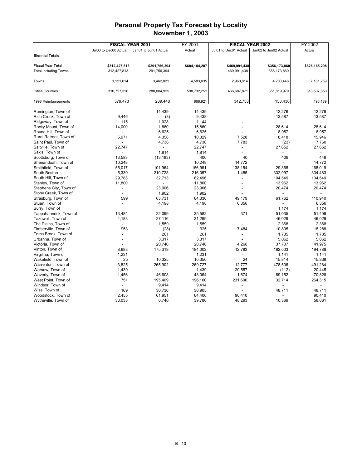|                              | <b>FISCAL YEAR 2001</b> |                          | FY 2001       | <b>FISCAL YEAR 2002</b> | FY 2002               |               |
|------------------------------|-------------------------|--------------------------|---------------|-------------------------|-----------------------|---------------|
|                              | Jul00 to Dec00 Actual   | Jan01 to Jun01 Actual    | Actual        | Jul01 to Dec01 Actual   | Jan02 to Jun02 Actual | Actual        |
| <b>Biennial Totals:</b>      |                         |                          |               |                         |                       |               |
|                              |                         |                          |               |                         |                       |               |
| <b>Fiscal Year Total</b>     | \$312,427,813           | \$291,756,394            | \$604,184,207 | \$469,991,438           | \$356,173,860         | \$826,165,298 |
| <b>Total including Towns</b> | 312,427,813             | 291,756,394              |               | 469,991,438             | 356,173,860           |               |
|                              |                         |                          |               |                         |                       |               |
| Towns                        | 1,121,014               | 3,462,021                | 4,583,035     | 2,960,814               | 4,200,446             | 7,161,259     |
|                              |                         |                          |               |                         |                       |               |
| Cities, Counties             | 310,727,326             | 288,004,925              | 598,732,251   | 466,687,871             | 351,819,979           | 818,507,850   |
|                              |                         |                          |               |                         |                       |               |
| 1998 Reimbursements          | 579,473                 | 289,448                  | 868,921       | 342,753                 | 153,436               | 496,189       |
|                              |                         |                          |               |                         |                       |               |
| Remington, Town of           |                         | 14,439                   | 14,439        |                         | 12,276                | 12,276        |
| Rich Creek, Town of          | 9,446                   | (8)                      | 9,438         |                         | 13,587                | 13,587        |
| Ridgeway, Town of            | 115                     | 1,028                    | 1,144         |                         |                       |               |
| Rocky Mount, Town of         | 14,000                  | 1,860                    | 15,860        |                         | 28,614                | 28,614        |
| Round Hill, Town of          |                         | 6,625                    | 6,625         |                         | 8,957                 | 8,957         |
| Rural Retreat, Town of       | 5,971                   | 4,358                    | 10,329        | 7,528                   | 8,418                 | 15,946        |
| Saint Paul, Town of          |                         | 4,736                    | 4,736         | 7,783                   | (23)                  | 7,760         |
| Saltville, Town of           | 22,747                  | $\overline{\phantom{a}}$ | 22,747        | $\overline{a}$          | 27,652                | 27,652        |
| Saxis, Town of               |                         | 1,814                    | 1,814         |                         |                       |               |
| Scottsburg, Town of          | 13,583                  | (13, 183)                | 400           | 40                      | 409                   | 449           |
| Shenandoah, Town of          | 10,248                  | $\overline{a}$           | 10,248        | 14,772                  |                       | 14,772        |
| Smithfield, Town of          | 55,017                  | 101,964                  | 156,981       | 138,154                 | 29,865                | 168,019       |
| South Boston                 | 5,330                   | 210,728                  | 216,057       | 1,485                   | 332,997               | 334,483       |
| South Hill, Town of          | 29,783                  | 32,713                   | 62,496        |                         | 104,549               | 104,549       |
| Stanley, Town of             | 11,800                  | $\overline{a}$           | 11,800        | $\overline{a}$          | 13,962                | 13,962        |
| Stephens City, Town of       | ٠                       | 23,906                   | 23,906        |                         | 20,474                | 20,474        |
| Stony Creek, Town of         |                         | 1,902                    | 1,902         |                         |                       |               |
| Strasburg, Town of           | 599                     | 63,731                   | 64,330        | 49,179                  | 61,762                | 110,940       |
| Stuart, Town of              |                         | 4,198                    | 4,198         | 6,356                   |                       | 6,356         |
| Surry, Town of               |                         |                          |               |                         | 1.174                 | 1,174         |
| Tappahannock, Town of        | 13,484                  | 22,099                   | 35,582        | 371                     | 51,035                | 51,406        |
| Tazewell, Town of            | 4,183                   | 27,116                   | 31,299        |                         | 46,029                | 46,029        |
| The Plains, Town of          |                         | 1,559                    | 1,559         |                         | 2,368                 | 2,368         |
| Timberville, Town of         | 953                     | (28)                     | 925           | 7,484                   | 10,805                | 18,288        |
| Toms Brook, Town of          |                         | 261                      | 261           |                         | 1,735                 | 1,735         |
| Urbanna, Town of             |                         | 3,317                    | 3,317         |                         | 5,062                 | 5,062         |
| Victoria, Town of            |                         | 20,746                   | 20,746        | 4,268                   | 37,707                | 41,975        |
| Vinton, Town of              | 8,683                   | 175,319                  | 184,003       | 12,783                  | 182,003               | 194,786       |
| Virgilina, Town of           | 1,231                   |                          | 1,231         |                         | 1,141                 | 1,141         |
| Wakefield, Town of           | 25                      | 10,325                   | 10,350        | 24                      | 15,814                | 15,838        |
| Warrenton, Town of           | 3,825                   | 265,902                  | 269,727       | 12,777                  | 478,506               | 491,284       |
| Warsaw, Town of              | 1,439                   |                          | 1,439         | 20,557                  | (112)                 | 20,445        |
| Waverly, Town of             | 1,456                   | 46,608                   | 48,064        | 1,674                   | 69,152                | 70,826        |
| West Point, Town of          | 751                     | 195,409                  | 196,160       | 231,600                 | 32,714                | 264,315       |
| Windsor, Town of             |                         | 9,414                    | 9,414         | $\overline{a}$          |                       |               |
| Wise, Town of                | 169                     | 30,736                   | 30,905        |                         | 48,711                | 48,711        |
| Woodstock, Town of           | 2,455                   | 61,951                   | 64,406        | 90,410                  |                       | 90,410        |
| Wytheville, Town of          | 33,033                  | 6,746                    | 39,780        | 48,293                  | 10,369                | 58,661        |
|                              |                         |                          |               |                         |                       |               |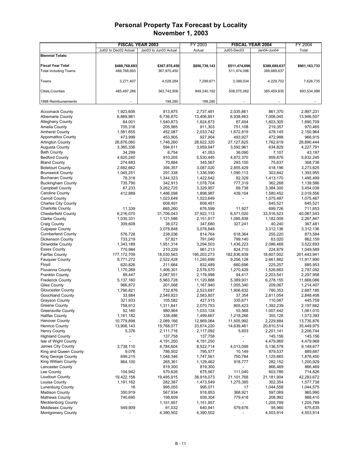|                                                     |                          | <b>FISCAL YEAR 2003</b> | FY 2003                |                              | <b>FISCAL YEAR 2004</b> | FY 2004                |
|-----------------------------------------------------|--------------------------|-------------------------|------------------------|------------------------------|-------------------------|------------------------|
|                                                     | Jul02 to Dec02 Actual    | Jan03 to Jun03 Actual   | Actual                 | Jul03-Dec03                  | Jan04-Jun04             | Total                  |
| <b>Biennial Totals:</b>                             |                          |                         |                        |                              |                         |                        |
|                                                     |                          |                         |                        |                              |                         |                        |
| <b>Fiscal Year Total</b>                            | \$488,768,693            | \$367,970,450           | \$856,739,143          | \$511,474,096                | \$389,689,637           | \$901,163,733          |
| <b>Total including Towns</b>                        | 488,768,693              | 367,970,450             |                        | 511,474,096                  | 389,689,637             |                        |
|                                                     |                          |                         |                        |                              |                         |                        |
| Towns                                               | 3,271,407                | 4,028,264               | 7,299,671              | 3,399,034                    | 4,229,702               | 7,628,735              |
| Cities, Counties                                    | 485,497,286              | 363,742,906             | 849,240,192            | 508,075,062                  | 385,459,935             | 893,534,998            |
|                                                     |                          |                         |                        |                              |                         |                        |
| 1998 Reimbursements                                 |                          | 199,280                 | 199,280                |                              |                         |                        |
|                                                     |                          |                         |                        |                              |                         |                        |
| <b>Accomack County</b>                              | 1,923,606                | 813,875                 | 2,737,481              | 2,035,861                    | 861.370                 | 2,897,231              |
| <b>Albemarle County</b>                             | 6,669,981                | 6,736,870               | 13,406,851             | 6,938,463                    | 7,008,045               | 13,946,507             |
| <b>Alleghany County</b>                             | 84,001                   | 1,540,873               | 1,624,873              | 87,404                       | 1,603,305               | 1,690,709              |
| Amelia County                                       | 705,318                  | 205,985                 | 911,303                | 751,108                      | 219,357                 | 970,465                |
| <b>Amherst County</b>                               | 1,581,655                | 452,087                 | 2,033,742              | 1,672,819                    | 478,145                 | 2,150,964              |
| <b>Appomattox County</b>                            | 473,999                  | 453,905                 | 927,904                | 493,927                      | 472,988                 | 966,915                |
| <b>Arlington County</b>                             | 26,876,060               | 1,746,260               | 28,622,320             | 27,127,825                   | 1,762,619               | 28,890,444             |
| Augusta County                                      | 3,365,336                | 594,611                 | 3,959,947              | 3,592,961                    | 634,829                 | 4,227,791              |
| <b>Bath County</b>                                  | 34,299                   | 6,754                   | 41,053                 | 36,090                       | 7,107                   | 43,197                 |
| <b>Bedford County</b>                               | 4,620,240                | 910,205                 | 5,530,445              | 4,872,370                    | 959,876                 | 5,832,245              |
| <b>Bland County</b>                                 | 274,683                  | 70,884                  | 345,567                | 293,100                      | 75,637                  | 368,736                |
| <b>Botetourt County</b>                             | 2,692,662                | 394,357                 | 3,087,020              | 2,855,429                    | 418,196                 | 3,273,625              |
| <b>Brunswick County</b><br><b>Buchanan County</b>   | 1,045,251                | 291,338                 | 1,336,590              | 1,090,113                    | 303,842                 | 1,393,955              |
| <b>Buckingham County</b>                            | 78,318                   | 1,344,323               | 1,422,642              | 82,329                       | 1,413,170               | 1,495,499              |
| <b>Campbell County</b>                              | 735,790<br>67,233        | 342,913<br>3,262,725    | 1,078,704<br>3,329,957 | 777,319<br>69,738            | 362,268<br>3,384,300    | 1,139,586              |
| Caroline County                                     | 412,889                  | 1,486,098               | 1,898,987              | 439,104                      | 1,580,452               | 3,454,038<br>2,019,556 |
| Carroll County                                      | L,                       | 1,023,649               | 1,023,649              |                              | 1,075,487               | 1,075,487              |
| <b>Charles City County</b>                          |                          | 608,491                 | 608,491                |                              | 645,521                 | 645,521                |
| <b>Charlotte County</b>                             | 11.339                   | 665,260                 | 676,599                | 11,927                       | 699,726                 | 711,653                |
| <b>Chesterfield County</b>                          | 6,216,070                | 31,706,043              | 37,922,113             | 6,571,020                    | 33,516,523              | 40,087,543             |
| <b>Clarke County</b>                                | 1,030,331                | 1,121,586               | 2,151,917              | 1,085,838                    | 1,182,009               | 2,267,847              |
| <b>Craig County</b>                                 | 309,608                  | 38,072                  | 347,680                | 327,241                      | 40,240                  | 367,481                |
| <b>Culpeper County</b>                              |                          | 3,078,848               | 3,078,848              |                              | 3,312,136               | 3,312,136              |
| <b>Cumberland County</b>                            | 576,728                  | 238,036                 | 814,764                | 618,364                      | 255,220                 | 873,584                |
| Dickenson County                                    | 733,219                  | 57,821                  | 791,040                | 799,140                      | 63,020                  | 862,159                |
| Dinwiddie County                                    | 1,343,189                | 1,951,314               | 3,294,503              | 1,436,223                    | 2,086,469               | 3,522,693              |
| <b>Essex County</b>                                 | 770,984                  | 210,229                 | 981,213                | 824,710                      | 224,879                 | 1,049,589              |
| <b>Fairfax County</b>                               | 177, 172, 709            | 18,030,563              | 195,203,273            | 182,836,939                  | 18,607,002              | 201,443,941            |
| <b>Fauguier County</b>                              | 8,771,272                | 2,522,428               | 11,293,699             | 9,256,128                    | 2,661,862               | 11,917,990             |
| Floyd                                               | 620,826                  | 211,664                 | 832,489                | 660,696                      | 225,257                 | 885,953                |
| Fluvanna County                                     | 1,170,269                | 1,406,301               | 2,576,570              | 1,270,429                    | 1,526,663               | 2,797,092              |
| <b>Franklin County</b>                              | 89,447                   | 2,087,551               | 2,176,998              | 94,417                       | 2,203,541               | 2,297,958              |
| <b>Frederick County</b>                             | 5,137,160                | 5,983,728               | 11,120,888             | 5,389,931                    | 6,278,155               | 11,668,086             |
| <b>Giles County</b>                                 | 966,872                  | 201,068                 | 1,167,940              | 1,005,340                    | 209,067                 | 1,214,407              |
| <b>Gloucester County</b>                            | 1,790,821                | 732,876                 | 2,523,697              | 1,906,832                    | 780,353                 | 2,687,185              |
| <b>Goochland County</b><br>Grayson County           | 33,884                   | 2,549,923               | 2,583,807              | 37,354                       | 2,811,054               | 2,848,408              |
| Greene County                                       | 321,933<br>758,912       | 105,582<br>1,311,841    | 427,515<br>2,070,753   | 335,671<br>805,423           | 110,087<br>1,392,239    | 445,759<br>2,197,662   |
| <b>Greensville County</b>                           | 52,160                   | 980,964                 | 1,033,124              | 53,568                       | 1,007,442               | 1,061,010              |
| <b>Halifax County</b>                               | 1,161,182                | 338,486                 | 1,499,667              | 1,218,266                    | 355,126                 | 1,573,393              |
| <b>Hanover County</b>                               | 10,779,898               | 2,089,166               | 12,869,064             | 11,505,992                   | 2,229,884               | 13,735,876             |
| <b>Henrico County</b>                               | 13,906,143               | 19,768,077              | 33,674,220             | 14,639,461                   | 20,810,514              | 35,449,975             |
| <b>Henry County</b>                                 | 5,376                    | 2,111,716               | 2,117,092              | 5,603                        | 2,201,141               | 2,206,744              |
| <b>Highland County</b>                              | $\overline{a}$           | 137,758                 | 137,758                | $\qquad \qquad \blacksquare$ | 145,156                 | 145,156                |
| Isle of Wight County                                |                          | 4,191,250               | 4,191,250              |                              | 4,479,969               | 4,479,969              |
| James City County                                   | 3,738,110                | 4,784,604               | 8,522,714              | 4,013,099                    | 5,136,578               | 9,149,677              |
| King and Queen County                               | 9,076                    | 786,502                 | 795,577                | 10,149                       | 879,537                 | 889,687                |
| King George County                                  | 699,215                  | 1,048,346               | 1,747,561              | 750,784                      | 1,125,665               | 1,876,450              |
| King William County                                 | 864,100                  | 265,361                 | 1,129,462              | 918,777                      | 282,152                 | 1,200,929              |
| Lancaster County                                    | $\overline{\phantom{a}}$ | 819,300                 | 819,300                | $\overline{\phantom{a}}$     | 866,469                 | 866,469                |
| Lee County                                          | 104,942                  | 570,626                 | 675,567                | 111,040                      | 603,786                 | 714,826                |
| Loudoun County                                      | 19,422,158               | 19,495,915              | 38,918,073             | 21,101,768                   | 21,181,904              | 42,283,672             |
| Louisa County                                       | 1,191,162                | 282,387                 | 1,473,549              | 1,275,385                    | 302,354                 | 1,577,738              |
| <b>Lunenburg County</b>                             | 16                       | 995,055                 | 995,071                | 17                           | 1,044,558               | 1,044,575              |
| <b>Madison County</b>                               | 350,919                  | 567,934                 | 918,853                | 368,921                      | 597,069                 | 965,990                |
| <b>Mathews County</b>                               | 740,695                  | 198,609                 | 939,304                | 779,418                      | 208,992                 | 988,410                |
| <b>Mecklenburg County</b>                           |                          | 1,151,957               | 1,151,957              |                              | 1,205,789               | 1,205,789              |
| <b>Middlesex County</b><br><b>Montgomery County</b> | 549,909                  | 91,032<br>4,390,502     | 640,941<br>4,390,502   | 579,676                      | 95,960<br>4,503,914     | 675,635<br>4,503,914   |
|                                                     |                          |                         |                        |                              |                         |                        |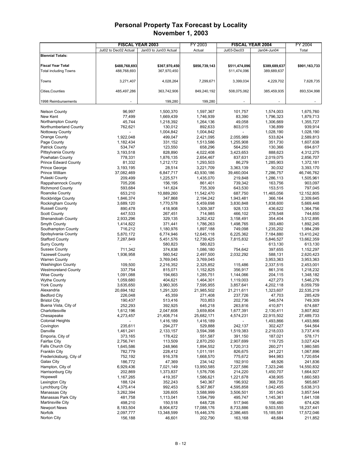|                                             |                       | <b>FISCAL YEAR 2003</b> | FY 2003              |                      | <b>FISCAL YEAR 2004</b> | FY 2004              |
|---------------------------------------------|-----------------------|-------------------------|----------------------|----------------------|-------------------------|----------------------|
|                                             | Jul02 to Dec02 Actual | Jan03 to Jun03 Actual   | Actual               | Jul03-Dec03          | Jan04-Jun04             | Total                |
| <b>Biennial Totals:</b>                     |                       |                         |                      |                      |                         |                      |
|                                             |                       |                         |                      |                      |                         |                      |
| <b>Fiscal Year Total</b>                    | \$488,768,693         | \$367,970,450           | \$856,739,143        | \$511,474,096        | \$389,689,637           | \$901,163,733        |
| <b>Total including Towns</b>                | 488,768,693           | 367,970,450             |                      | 511,474,096          | 389,689,637             |                      |
|                                             | 3,271,407             | 4,028,264               | 7,299,671            | 3,399,034            | 4,229,702               | 7,628,735            |
| Towns                                       |                       |                         |                      |                      |                         |                      |
| Cities, Counties                            | 485,497,286           | 363,742,906             | 849,240,192          | 508,075,062          | 385,459,935             | 893,534,998          |
|                                             |                       |                         |                      |                      |                         |                      |
| 1998 Reimbursements                         |                       | 199,280                 | 199,280              |                      |                         |                      |
|                                             |                       |                         |                      |                      |                         |                      |
| <b>Nelson County</b>                        | 96,997                | 1,500,370               | 1,597,367            | 101,757              | 1,574,003               | 1,675,760            |
| New Kent                                    | 77,499                | 1,669,439               | 1,746,939            | 83,390               | 1,796,323               | 1,879,713            |
| Northampton County                          | 45,744                | 1,218,392               | 1,264,136            | 49,058               | 1,306,669               | 1,355,727            |
| Northumberland County                       | 762,621               | 130,012                 | 892,633              | 803,015              | 136,899                 | 939,914              |
| Nottoway County                             |                       | 1,004,842               | 1,004,842            |                      | 1,028,190               | 1,028,190            |
| Orange County                               | 1,922,048             | 499,047                 | 2,421,095            | 2,055,989            | 533,824                 | 2,589,813            |
| Page County<br><b>Patrick County</b>        | 1,182,434<br>534,747  | 331,152<br>123,550      | 1,513,586<br>658,296 | 1,255,908<br>564,250 | 351,730<br>130,366      | 1,607,638<br>694,617 |
| Pittsylvania County                         | 3,193,518             | 828,890                 | 4,022,408            | 3,423,653            | 888,623                 | 4,312,275            |
| Powhatan County                             | 778,331               | 1,876,135               | 2,654,467            | 837,631              | 2,019,075               | 2,856,707            |
| <b>Prince Edward County</b>                 | 81,332                | 1,212,172               | 1,293,503            | 86,279               | 1,285,903               | 1,372,181            |
| Prince George                               | 3,193,195             | 28,514                  | 3,221,709            | 3,363,139            | 30,032                  | 3,393,170            |
| Prince William                              | 37,082,469            | 6,847,717               | 43,930,186           | 39,460,004           | 7,286,757               | 46,746,762           |
| Pulaski County                              | 209,499               | 1,225,571               | 1,435,070            | 219,848              | 1,286,113               | 1,505,961            |
| Rappahannock County                         | 705,206               | 156,195                 | 861,401              | 739,342              | 163,756                 | 903,097              |
| <b>Richmond County</b>                      | 593,684               | 141,624                 | 735,309              | 643,530              | 153,515                 | 797,045              |
| Roanoke County                              | 653,210               | 10,889,260              | 11,542,470           | 687,750              | 11,465,056              | 12,152,805           |
| Rockbridge County                           | 1,846,374             | 347,868                 | 2,194,242            | 1,943,481            | 366,164                 | 2,309,645            |
| Rockingham County                           | 3,689,120             | 1,770,578               | 5,459,698            | 3,830,848            | 1,838,600               | 5,669,448            |
| <b>Russell County</b>                       | 890,478               | 418,908                 | 1,309,387            | 928,133              | 436,622                 | 1,364,756            |
| <b>Scott County</b>                         | 447,533               | 267,451                 | 714,985              | 466,102              | 278,548                 | 744,650              |
| Shenandoah County                           | 2,933,296             | 329,135                 | 3,262,432            | 3,158,491            | 354,404                 | 3,512,895            |
| Smyth County                                | 1,414,822             | 371,441                 | 1,786,263            | 1,498,765            | 393,480                 | 1,892,245            |
| Southampton County                          | 716,212               | 1,180,976               | 1,897,188            | 749,098              | 1,235,202               | 1,984,299            |
| Spotsylvania County                         | 5,870,172             | 6,774,946               | 12,645,118           | 6,225,362            | 7,184,880               | 13,410,242           |
| <b>Stafford County</b>                      | 7,287,849             | 5,451,576               | 12,739,425           | 7,815,832            | 5,846,527               | 13,662,359           |
| <b>Surry County</b><br><b>Sussex County</b> | 711,342               | 580,823<br>374,838      | 580,823<br>1,086,180 | 754,642              | 613,130<br>397,655      | 613,130<br>1,152,297 |
| <b>Tazewell County</b>                      | 1,936,958             | 560,542                 | 2,497,500            | 2,032,292            | 588,131                 | 2,620,423            |
| <b>Warren County</b>                        |                       | 3,769,045               | 3,769,045            |                      | 3,953,363               | 3,953,363            |
| <b>Washington County</b>                    | 109,500               | 2,216,352               | 2,325,852            | 115,486              | 2,337,515               | 2,453,001            |
| <b>Westmoreland County</b>                  | 337,754               | 815,071                 | 1,152,825            | 356,917              | 861,316                 | 1,218,232            |
| <b>Wise County</b>                          | 1,091,088             | 194,663                 | 1,285,751            | 1,144,066            | 204,115                 | 1,348,182            |
| <b>Wythe County</b>                         | 1,059,680             | 404,621                 | 1,464,301            | 1,119,003            | 427,273                 | 1,546,276            |
| <b>York County</b>                          | 3,635,650             | 3,960,305               | 7,595,955            | 3,857,641            | 4,202,118               | 8,059,759            |
| Alexandria                                  | 20,694,182            | 1,291,320               | 21,985,502           | 21,211,611           | 1,323,607               | 22,535,219           |
| <b>Bedford City</b>                         | 226,048               | 45,359                  | 271,408              | 237,726              | 47,703                  | 285,429              |
| <b>Bristol City</b>                         | 190,437               | 513,416                 | 703,853              | 202,736              | 546,574                 | 749,309              |
| Buena Vista, City of                        | 252,293               | 392,925                 | 645,218              | 263,816              | 410,871                 | 674,687              |
| Charlottesville                             | 1,612,196             | 2,047,608               | 3,659,804            | 1,677,391            | 2,130,411               | 3,807,802            |
| Chesapeake                                  | 4,273,457             | 21,408,714              | 25,682,171           | 4,574,231            | 22,915,502              | 27,489,733           |
| <b>Colonial Heights</b>                     |                       | 1,416,189               | 1,416,189            |                      | 1,493,866               | 1,493,866            |
| Covington                                   | 235,611               | 294,277                 | 529,888              | 242,137              | 302,427                 | 544,564              |
| Danville<br>Emporia, City of                | 1,461,241<br>373,165  | 2,133,157<br>178,422    | 3,594,398<br>551,587 | 1,519,383<br>391,150 | 2,218,033<br>187,021    | 3,737,416<br>578,171 |
| Fairfax City                                | 2,756,741             | 113,509                 | 2,870,250            | 2,907,699            | 119,725                 | 3,027,424            |
| Falls Church City                           | 1,645,586             | 248,966                 | 1,894,552            | 1,720,313            | 260,271                 | 1,980,585            |
| <b>Franklin City</b>                        | 782,779               | 228,412                 | 1,011,191            | 826,675              | 241,221                 | 1,067,896            |
| Fredericksburg, City of                     | 752,192               | 916,378                 | 1,668,570            | 775,672              | 944,983                 | 1,720,654            |
| Galax City                                  | 186,772               | 47,369                  | 234,142              | 192,910              | 48,926                  | 241,836              |
| Hampton, City of                            | 6,929,436             | 7,021,149               | 13,950,585           | 7,227,586            | 7,323,246               | 14,550,832           |
| Harrisonburg City                           | 202,869               | 1,373,837               | 1,576,706            | 214,220              | 1,450,707               | 1,664,927            |
| Hopewell                                    | 1,167,265             | 419,357                 | 1,586,621            | 1,221,678            | 438,905                 | 1,660,583            |
| Lexington City                              | 188,124               | 352,243                 | 540,367              | 196,932              | 368,735                 | 565,667              |
| Lynchburg City                              | 4,375,414             | 992,453                 | 5,367,867            | 4,595,858            | 1,042,455               | 5,638,313            |
| Manassas City                               | 3,262,394             | 326,605                 | 3,588,999            | 3,506,501            | 351,043                 | 3,857,544            |
| Manassas Park City                          | 481,758               | 1,113,041               | 1,594,799            | 495,747              | 1,145,361               | 1,641,108            |
| <b>Martinsville City</b>                    | 498,210               | 150,518                 | 648,728              | 517,946              | 156,480                 | 674,426              |
| <b>Newport News</b>                         | 8,183,504             | 8,904,672               | 17,088,176           | 8,733,886            | 9,503,555               | 18,237,441           |
| Norfolk                                     | 2,097,777             | 13,348,599              | 15,446,376           | 2,386,465            | 15,185,581              | 17,572,046           |
| Norton City                                 | 156,188               | 46,601                  | 202,790              | 163,168              | 48,684                  | 211,852              |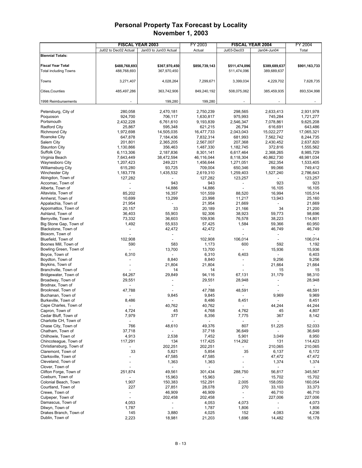|                                          |                        | <b>FISCAL YEAR 2003</b> | FY 2003                               |                          | <b>FISCAL YEAR 2004</b>      | FY 2004                 |
|------------------------------------------|------------------------|-------------------------|---------------------------------------|--------------------------|------------------------------|-------------------------|
|                                          | Jul02 to Dec02 Actual  | Jan03 to Jun03 Actual   | Actual                                | Jul03-Dec03              | Jan04-Jun04                  | Total                   |
| <b>Biennial Totals:</b>                  |                        |                         |                                       |                          |                              |                         |
|                                          |                        |                         |                                       |                          |                              |                         |
| <b>Fiscal Year Total</b>                 | \$488,768,693          | \$367,970,450           | \$856,739,143                         | \$511,474,096            | \$389,689,637                | \$901,163,733           |
| <b>Total including Towns</b>             | 488,768,693            | 367,970,450             |                                       | 511,474,096              | 389,689,637                  |                         |
|                                          |                        |                         |                                       |                          |                              |                         |
| Towns                                    | 3,271,407              | 4,028,264               | 7,299,671                             | 3,399,034                | 4,229,702                    | 7,628,735               |
|                                          |                        |                         |                                       |                          |                              |                         |
| Cities,Counties                          | 485,497,286            | 363,742,906             | 849,240,192                           | 508,075,062              | 385,459,935                  | 893,534,998             |
| 1998 Reimbursements                      |                        | 199,280                 | 199,280                               |                          |                              |                         |
|                                          |                        |                         |                                       |                          |                              |                         |
| Petersburg, City of                      | 280,058                | 2,470,181               | 2,750,239                             | 298,565                  | 2,633,413                    | 2,931,978               |
| Poquoson                                 | 924,700                | 706,117                 | 1,630,817                             | 975,993                  | 745,284                      | 1,721,277               |
| Portsmouth                               | 2,432,228              | 6,761,610               | 9,193,839                             | 2,546,347                | 7,078,861                    | 9,625,208               |
| <b>Radford City</b>                      | 25,867                 | 595,348                 | 621,215                               | 26,794                   | 616,691                      | 643,486                 |
| <b>Richmond City</b>                     | 1,972,698              | 14,505,035              | 16,477,733                            | 2,043,043                | 15,022,277                   | 17,065,321              |
| Roanoke City                             | 647,878                | 7,184,436               | 7,832,314                             | 681,993                  | 7,562,742                    | 8,244,735               |
| Salem City                               | 201,801                | 2,365,205               | 2,567,007                             | 207,368                  | 2,430,452                    | 2,637,820               |
| <b>Staunton City</b>                     | 1,130,866              | 356,463                 | 1,487,330                             | 1,182,745                | 372,816                      | 1,555,562               |
| <b>Suffolk City</b><br>Virginia Beach    | 6,113,306<br>7,643,449 | 2,187,836<br>38,472,594 | 8,301,141<br>46,116,044               | 6,617,464                | 2,368,265<br>40,862,730      | 8,985,729<br>48,981,034 |
| Waynesboro City                          | 1,207,423              | 249,221                 | 1,456,644                             | 8,118,304<br>1,271,051   | 262,354                      | 1,533,405               |
| Williamsburg City                        | 615,280                | 93,725                  | 709,004                               | 650,346                  | 99,066                       | 749,412                 |
| <b>Winchester City</b>                   | 1,183,778              | 1,435,532               | 2,619,310                             | 1,259,403                | 1,527,240                    | 2,786,643               |
| Abingdon, Town of                        | 127,282                |                         | 127,282                               | 123,257                  |                              | 123,257                 |
| Accomac, Town of                         |                        | 943                     | 943                                   |                          | 923                          | 923                     |
| Alberta, Town of                         |                        | 14,886                  | 14,886                                |                          | 16,105                       | 16,105                  |
| Altavista, Town of                       | 85,202                 | 16,357                  | 101,559                               | 88,520                   | 16,994                       | 105,514                 |
| Amherst, Town of                         | 10,699                 | 13,299                  | 23,998                                | 11,217                   | 13,943                       | 25,160                  |
| Appalachia, Town of                      | 21,954                 |                         | 21,954                                | 21,669                   |                              | 21,669                  |
| Appomattox, Town of                      | 20,157                 | 33                      | 20,189                                | 21,166                   | 34                           | 21,200                  |
| Ashland, Town of                         | 36,403                 | 55,903                  | 92,306                                | 38,923                   | 59,773                       | 98,696                  |
| Berryville, Town of                      | 73,332                 | 36,603                  | 109,936                               | 76,578                   | 38,223                       | 114,801                 |
| Big Stone Gap, Town of                   | 1,492                  | 55,933                  | 57,425                                | 1,584                    | 59,366                       | 60,950                  |
| Blackstone, Town of                      |                        | 42,472                  | 42,472<br>$\overline{a}$              |                          | 46,749<br>$\overline{a}$     | 46,749                  |
| Bloxom, Town of<br>Bluefield, Town of    | 102,908                | $\overline{a}$          | 102,908                               | 106,014                  |                              | 106,014                 |
| Boones Mill, Town of                     | 590                    | 583                     | 1,173                                 | 600                      | 592                          | 1,192                   |
| Bowling Green, Town of                   | $\overline{a}$         | 13,700                  | 13,700                                | $\overline{a}$           | 15,936                       | 15,936                  |
| Boyce, Town of                           | 6,310                  |                         | 6,310                                 | 6,403                    | $\overline{\phantom{a}}$     | 6,403                   |
| Boydton, Town of                         |                        | 8,840                   | 8,840                                 |                          | 9,256                        | 9,256                   |
| Boykins, Town of                         |                        | 21,804                  | 21,804                                |                          | 21,664                       | 21,664                  |
| Branchville, Town of                     |                        | 14                      | 14                                    |                          | 15                           | 15                      |
| Bridgewater, Town of                     | 64,267                 | 29,849                  | 94,116                                | 67,131                   | 31,179                       | 98,310                  |
| Broadway, Town of                        | 29,551                 |                         | 29,551                                | 28,948                   |                              | 28,948                  |
| Brodnax, Town of                         |                        |                         |                                       |                          |                              |                         |
| Brookneal, Town of                       | 47,788                 |                         | 47,788                                | 48,591                   |                              | 48,591                  |
| Buchanan, Town of<br>Burkeville, Town of |                        | 9,845                   | 9,845                                 |                          | 9,969                        | 9,969                   |
| Cape Charles, Town of                    | 8,486                  | 40,762                  | 8,486<br>40,762                       | 8,451                    | 44,244                       | 8,451<br>44,244         |
| Capron, Town of                          | 4,724                  | 45                      | 4,768                                 | 4,762                    | 45                           | 4,807                   |
| Cedar Bluff, Town of                     | 7,979                  | 377                     | 8,356                                 | 7,775                    | 367                          | 8,142                   |
| Charlotte CH, Town of                    |                        |                         |                                       |                          |                              |                         |
| Chase City, Town of                      | 766                    | 48,610                  | 49,376                                | 807                      | 51,225                       | 52,033                  |
| Chatham, Town of                         | 37,718                 |                         | 37,718                                | 36,649                   | $\qquad \qquad \blacksquare$ | 36,649                  |
| Chilhowie, Town of                       | 4,913                  | 2,538                   | 7,452                                 | 5,901                    | 3,049                        | 8,950                   |
| Chincoteague, Town of                    | 117,291                | 134                     | 117,425                               | 114,292                  | 131                          | 114,423                 |
| Christiansburg, Town of                  |                        | 202,251                 | 202,251                               |                          | 210,065                      | 210,065                 |
| Claremont, Town of                       | 33                     | 5,821                   | 5,854                                 | 35                       | 6,137                        | 6,172                   |
| Clarksville, Town of                     |                        | 47,585                  | 47,585                                |                          | 47,472                       | 47,472                  |
| Cleveland, Town of<br>Clover, Town of    |                        | 1,363                   | 1,363<br>$\qquad \qquad \blacksquare$ |                          | 1,374                        | 1,374                   |
| Clifton Forge, Town of                   | 251,874                | 49,561                  | 301,434                               | 288,750                  | 56,817                       | 345,567                 |
| Coeburn, Town of                         |                        | 15,963                  | 15,963                                |                          | 15,702                       | 15,702                  |
| Colonial Beach, Town                     | 1,907                  | 150,383                 | 152,291                               | 2,005                    | 158,050                      | 160,054                 |
| Courtland, Town of                       | 227                    | 27,851                  | 28,078                                | 270                      | 33,103                       | 33,373                  |
| Crewe, Town of                           | $\overline{a}$         | 46,909                  | 46,909                                | $\overline{\phantom{a}}$ | 46,710                       | 46,710                  |
| Culpeper, Town of                        | $\overline{a}$         | 202,458                 | 202,458                               |                          | 227,006                      | 227,006                 |
| Damascus, Town of                        | 4,053                  |                         | 4,053                                 | 4,073                    |                              | 4,073                   |
| Dilwyn, Town of                          | 1,787                  |                         | 1,787                                 | 1,806                    |                              | 1,806                   |
| Drakes Branch, Town of                   | 145                    | 3,880                   | 4,025                                 | 152                      | 4,083                        | 4,236                   |
| Dublin, Town of                          | 2,223                  | 18,981                  | 21,203                                | 1,696                    | 14,482                       | 16,178                  |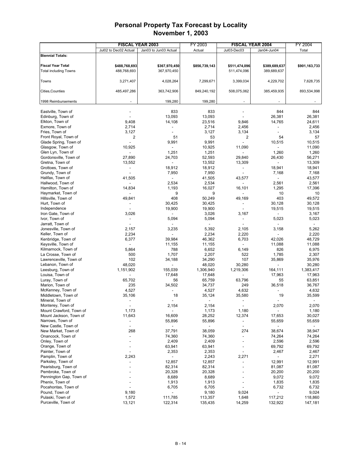|                                         |                          | <b>FISCAL YEAR 2003</b>  | FY 2003        |                          | <b>FISCAL YEAR 2004</b>      | FY 2004       |
|-----------------------------------------|--------------------------|--------------------------|----------------|--------------------------|------------------------------|---------------|
|                                         | Jul02 to Dec02 Actual    | Jan03 to Jun03 Actual    | Actual         | Jul03-Dec03              | Jan04-Jun04                  | Total         |
| <b>Biennial Totals:</b>                 |                          |                          |                |                          |                              |               |
|                                         |                          |                          |                |                          |                              |               |
| <b>Fiscal Year Total</b>                | \$488,768,693            | \$367,970,450            | \$856,739,143  | \$511,474,096            | \$389,689,637                | \$901,163,733 |
| <b>Total including Towns</b>            | 488,768,693              | 367,970,450              |                | 511,474,096              | 389,689,637                  |               |
|                                         |                          |                          |                |                          |                              |               |
| Towns                                   | 3,271,407                | 4,028,264                | 7,299,671      | 3,399,034                | 4,229,702                    | 7,628,735     |
|                                         |                          |                          |                |                          |                              |               |
| Cities,Counties                         | 485,497,286              | 363,742,906              | 849,240,192    | 508,075,062              | 385,459,935                  | 893,534,998   |
|                                         |                          |                          |                |                          |                              |               |
| 1998 Reimbursements                     |                          | 199,280                  | 199,280        |                          |                              |               |
|                                         |                          |                          |                |                          |                              |               |
| Eastville, Town of<br>Edinburg, Town of |                          | 833<br>13,093            | 833<br>13,093  |                          | 844<br>26,381                | 844<br>26,381 |
| Elkton, Town of                         | 9,408                    | 14,108                   | 23,516         | 9,846                    | 14,765                       | 24,611        |
| Exmore, Town of                         | 2,714                    |                          | 2,714          | 2,456                    | $\overline{a}$               | 2,456         |
| Fries, Town of                          | 3,127                    | $\overline{a}$           | 3,127          | 3,134                    | $\overline{\phantom{a}}$     | 3,134         |
| Front Royal, Town of                    | 2                        | 51                       | 53             | 2                        | 54                           | 57            |
| Glade Spring, Town of                   |                          | 9,991                    | 9,991          |                          | 10,515                       | 10,515        |
| Glasgow, Town of                        | 10,925                   |                          | 10,925         | 11,090                   |                              | 11,090        |
| Glen Lyn, Town of                       | $\overline{a}$           | 1,251                    | 1,251          |                          | 1,260                        | 1,260         |
| Gordonsville, Town of                   | 27,890                   | 24,703                   | 52,593         | 29,840                   | 26,430                       | 56,271        |
| Gretna, Town of                         | 13,552                   | $\overline{\phantom{a}}$ | 13,552         | 13,309                   | $\overline{\phantom{a}}$     | 13,309        |
| Grottoes, Town of                       |                          | 18,912                   | 18,912         |                          | 18,941                       | 18,941        |
| Grundy, Town of                         | $\overline{\phantom{a}}$ | 7,950                    | 7,950          | $\overline{a}$           | 7,168                        | 7,168         |
| Halifax, Town of                        | 41,505                   | $\overline{a}$           | 41,505         | 43,577                   | $\overline{\phantom{a}}$     | 43,577        |
| Hallwood, Town of                       |                          | 2,534                    | 2,534          |                          | 2,561                        | 2,561         |
| Hamilton, Town of                       | 14,834                   | 1,193                    | 16,027         | 16,101                   | 1,295                        | 17,396        |
| Haymarket, Town of                      |                          | 9                        | 9              |                          | 10                           | 10            |
| Hillsville, Town of                     | 49,841                   | 408                      | 50,249         | 49,169                   | 403                          | 49,572        |
| Hurt, Town of                           |                          | 30,425                   | 30,425         |                          | 30,128                       | 30,128        |
| Independence                            |                          | 19,900                   | 19,900         | $\overline{a}$           | 19,515                       | 19,515        |
| Iron Gate, Town of                      | 3,026                    |                          | 3,026          | 3,167                    | $\overline{a}$               | 3,167         |
| Ivor, Town of                           | $\overline{a}$           | 5,094                    | 5,094          | $\overline{a}$           | 5,023                        | 5,023         |
| Jarratt, Town of                        |                          |                          |                |                          |                              |               |
| Jonesville, Town of                     | 2,157                    | 3,235                    | 5,392          | 2,105                    | 3,158                        | 5,262         |
| Keller, Town of                         | 2,234                    |                          | 2,234          | 2,220                    | $\qquad \qquad \blacksquare$ | 2,220         |
| Kenbridge, Town of                      | 6,377                    | 39,984                   | 46,362         | 6,703                    | 42,026                       | 48,729        |
| Keysville, Town of                      |                          | 11,155                   | 11,155         |                          | 11,088                       | 11,088        |
| Kilmarnock, Town of                     | 5,864                    | 788                      | 6,652          | 6,149                    | 826                          | 6,975         |
| La Crosse, Town of                      | 500                      | 1,707                    | 2,207          | 522                      | 1,785                        | 2,307         |
| Lawrenceville, Town of                  | 102                      | 34,188                   | 34,290         | 107                      | 35,869                       | 35,976        |
| Lebanon, Town of                        | 48,020                   |                          | 48,020         | 30,280                   |                              | 30,280        |
| Leesburg, Town of                       | 1,151,902                | 155,039                  | 1,306,940      | 1,219,306                | 164,111                      | 1,383,417     |
| Louisa, Town of                         |                          | 17,648                   | 17,648         |                          | 17,963                       | 17,963        |
| Luray, Town of                          | 65,702                   | 56                       | 65,759         | 63,796                   | 55                           | 63,851        |
| Marion, Town of                         | 235                      | 34,502                   | 34,737         | 249                      | 36,518                       | 36,767        |
| McKenney, Town of                       | 4,527                    |                          | 4,527          | 4,632                    | $\overline{a}$               | 4,632         |
| Middletown, Town of                     | 35,106                   | 18                       | 35,124         | 35,580                   | 19                           | 35,599        |
| Mineral, Town of                        |                          |                          |                |                          |                              |               |
| Monterey, Town of                       |                          | 2,154                    | 2,154          |                          | 2,070                        | 2,070         |
| Mount Crawford, Town of                 | 1,173                    | $\overline{\phantom{0}}$ | 1,173          | 1,180                    | $\overline{\phantom{a}}$     | 1,180         |
| Mount Jackson, Town of                  | 11,643                   | 16,609                   | 28,252         | 12,374                   | 17,653                       | 30,027        |
| Narrows, Town of                        |                          | 55,896                   | 55,896         |                          | 55,659                       | 55,659        |
| New Castle, Town of                     | $\overline{\phantom{a}}$ | $\blacksquare$           | $\blacksquare$ | $\overline{\phantom{a}}$ | $\blacksquare$               |               |
| New Market, Town of                     | 268                      | 37,791                   | 38,059         | 274                      | 38,674                       | 38,947        |
| Onancock, Town of                       |                          | 74,360                   | 74,360         | $\overline{\phantom{a}}$ | 74,264                       | 74,264        |
| Onley, Town of                          |                          | 2,409                    | 2,409          | $\overline{a}$           | 2,596                        | 2,596         |
| Orange, Town of                         |                          | 63,941                   | 63,941         |                          | 69,792                       | 69,792        |
| Painter, Town of                        |                          | 2,353                    | 2,353          |                          | 2,467                        | 2,467         |
| Pamplin, Town of                        | 2,243                    |                          | 2,243          | 2,271                    | $\overline{\phantom{0}}$     | 2,271         |
| Parksley, Town of                       |                          | 12,857                   | 12,857         |                          | 12,991                       | 12,991        |
| Pearisburg, Town of                     |                          | 82,314                   | 82,314         |                          | 81,087                       | 81,087        |
| Pembroke, Town of                       |                          | 20,328                   | 20,328         |                          | 20,200                       | 20,200        |
| Pennington Gap, Town of                 |                          | 8,689                    | 8,689          |                          | 9,072                        | 9,072         |
| Phenix, Town of                         |                          | 1,913                    | 1,913          |                          | 1,835                        | 1,835         |
| Pocahontas, Town of                     |                          | 6,705                    | 6,705          |                          | 6,732                        | 6,732         |
| Pound, Town of                          | 9,180                    | $\overline{\phantom{a}}$ | 9,180          | 9,024                    | $\overline{\phantom{a}}$     | 9,024         |
| Pulaski, Town of                        | 1,572                    | 111,785                  | 113,357        | 1,648                    | 117,212                      | 118,860       |
| Purceville, Town of                     | 13,121                   | 122,314                  | 135,435        | 14,259                   | 132,922                      | 147,181       |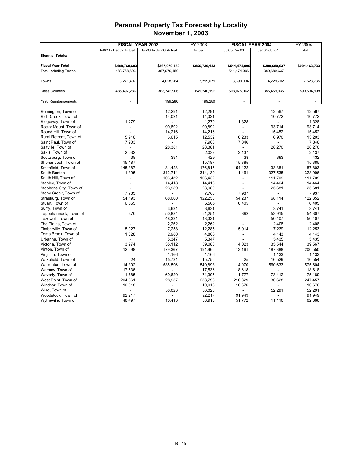| Jul02 to Dec02 Actual<br>Jan03 to Jun03 Actual<br>Actual<br>Jul03-Dec03<br>Jan04-Jun04<br>Total<br><b>Biennial Totals:</b><br><b>Fiscal Year Total</b><br>\$488,768,693<br>\$367,970,450<br>\$511,474,096<br>\$389,689,637<br>\$901,163,733<br>\$856,739,143<br><b>Total including Towns</b><br>488,768,693<br>367,970,450<br>511,474,096<br>389,689,637<br>4,229,702<br>Towns<br>3,271,407<br>4,028,264<br>7,299,671<br>3,399,034<br>7,628,735<br>Cities, Counties<br>485,497,286<br>363,742,906<br>849,240,192<br>508,075,062<br>385,459,935<br>893,534,998<br>199,280<br>1998 Reimbursements<br>199,280<br>12,291<br>12.291<br>12,567<br>12.567<br>Remington, Town of<br>14,021<br>Rich Creek, Town of<br>14,021<br>10,772<br>10,772<br>Ridgeway, Town of<br>1,279<br>1,279<br>1,328<br>1,328<br>93,714<br>90,892<br>90,892<br>93,714<br>Rocky Mount, Town of<br>$\overline{a}$<br>$\overline{a}$<br>Round Hill, Town of<br>14,216<br>14,216<br>15,452<br>15,452<br>6,970<br>Rural Retreat, Town of<br>5,916<br>6,615<br>12,532<br>6,233<br>13,203<br>Saint Paul, Town of<br>7,903<br>7,903<br>7,846<br>7,846<br>28,381<br>28,381<br>28,270<br>28,270<br>Saltville, Town of<br>$\overline{a}$<br>2,032<br>2,137<br>Saxis, Town of<br>2,032<br>2,137<br>429<br>393<br>432<br>Scottsburg, Town of<br>38<br>391<br>38<br>15,187<br>15,187<br>15,385<br>15,385<br>Shenandoah, Town of<br>Smithfield, Town of<br>154,422<br>145,387<br>31,428<br>176,815<br>33,381<br>187,803<br>South Boston<br>1,395<br>312,744<br>1,461<br>327,535<br>328,996<br>314,139<br>South Hill, Town of<br>106,432<br>111,709<br>106,432<br>111,709<br>÷.<br>Stanley, Town of<br>14,464<br>14,418<br>14,418<br>14,464<br>$\blacksquare$<br>Stephens City, Town of<br>23,989<br>23,989<br>25,681<br>25,681<br>Stony Creek, Town of<br>7,763<br>7,763<br>7,937<br>7,937<br>Strasburg, Town of<br>54,193<br>68,060<br>122,253<br>54,237<br>68,114<br>122,352<br>Stuart, Town of<br>6,565<br>6,565<br>6,405<br>6,405<br>3.741<br>Surry, Town of<br>3,631<br>3,631<br>3,741<br>Tappahannock, Town of<br>370<br>50,884<br>51,254<br>392<br>53,915<br>54,307<br>48,331<br>48,331<br>50,407<br>50,407<br>Tazewell, Town of<br>$\overline{a}$<br>$\overline{a}$<br>2,262<br>2,262<br>2,408<br>The Plains, Town of<br>2,408<br>5,027<br>7,258<br>5,014<br>7,239<br>Timberville, Town of<br>12,285<br>12,253<br>Toms Brook, Town of<br>1,828<br>2,980<br>4,808<br>4,143<br>4,143<br>Urbanna, Town of<br>5,347<br>5,347<br>5,435<br>5,435<br>35,112<br>39,086<br>4,023<br>35,544<br>39,567<br>Victoria, Town of<br>3,974<br>12,598<br>179,367<br>187,388<br>200,550<br>Vinton, Town of<br>191,965<br>13,161<br>Virgilina, Town of<br>1,166<br>1,166<br>1,133<br>1,133<br>Wakefield, Town of<br>24<br>15,731<br>15,755<br>25<br>16,529<br>16,554<br>14,302<br>535,596<br>560,633<br>575,604<br>Warrenton, Town of<br>549,898<br>14,970<br>Warsaw, Town of<br>17,536<br>17,536<br>18,618<br>18,618<br>1,685<br>69,620<br>71,305<br>1,777<br>Waverly, Town of<br>73,412<br>75,189<br>West Point, Town of<br>204,861<br>28,937<br>233,798<br>216,829<br>30,628<br>247,457<br>Windsor, Town of<br>10,018<br>10,018<br>10,676<br>10,676<br>Wise, Town of<br>50,023<br>50,023<br>52,291<br>52,291<br>Woodstock, Town of<br>92,217<br>92,217<br>91,949<br>91,949<br>Wytheville, Town of<br>48,497<br>51,772<br>11,116<br>62,888<br>10,413<br>58,910 |  | <b>FISCAL YEAR 2003</b> | <b>FISCAL YEAR 2004</b><br>FY 2003 |  | FY 2004 |
|----------------------------------------------------------------------------------------------------------------------------------------------------------------------------------------------------------------------------------------------------------------------------------------------------------------------------------------------------------------------------------------------------------------------------------------------------------------------------------------------------------------------------------------------------------------------------------------------------------------------------------------------------------------------------------------------------------------------------------------------------------------------------------------------------------------------------------------------------------------------------------------------------------------------------------------------------------------------------------------------------------------------------------------------------------------------------------------------------------------------------------------------------------------------------------------------------------------------------------------------------------------------------------------------------------------------------------------------------------------------------------------------------------------------------------------------------------------------------------------------------------------------------------------------------------------------------------------------------------------------------------------------------------------------------------------------------------------------------------------------------------------------------------------------------------------------------------------------------------------------------------------------------------------------------------------------------------------------------------------------------------------------------------------------------------------------------------------------------------------------------------------------------------------------------------------------------------------------------------------------------------------------------------------------------------------------------------------------------------------------------------------------------------------------------------------------------------------------------------------------------------------------------------------------------------------------------------------------------------------------------------------------------------------------------------------------------------------------------------------------------------------------------------------------------------------------------------------------------------------------------------------------------------------------------------------------------------------------------------------------------------------------------------------------------------------------------------------------------------------------------------------------------------------------------------------------------------------------------------------------------------------------------------------------------------------------------------------------------------------------------------------------------------|--|-------------------------|------------------------------------|--|---------|
|                                                                                                                                                                                                                                                                                                                                                                                                                                                                                                                                                                                                                                                                                                                                                                                                                                                                                                                                                                                                                                                                                                                                                                                                                                                                                                                                                                                                                                                                                                                                                                                                                                                                                                                                                                                                                                                                                                                                                                                                                                                                                                                                                                                                                                                                                                                                                                                                                                                                                                                                                                                                                                                                                                                                                                                                                                                                                                                                                                                                                                                                                                                                                                                                                                                                                                                                                                                                          |  |                         |                                    |  |         |
|                                                                                                                                                                                                                                                                                                                                                                                                                                                                                                                                                                                                                                                                                                                                                                                                                                                                                                                                                                                                                                                                                                                                                                                                                                                                                                                                                                                                                                                                                                                                                                                                                                                                                                                                                                                                                                                                                                                                                                                                                                                                                                                                                                                                                                                                                                                                                                                                                                                                                                                                                                                                                                                                                                                                                                                                                                                                                                                                                                                                                                                                                                                                                                                                                                                                                                                                                                                                          |  |                         |                                    |  |         |
|                                                                                                                                                                                                                                                                                                                                                                                                                                                                                                                                                                                                                                                                                                                                                                                                                                                                                                                                                                                                                                                                                                                                                                                                                                                                                                                                                                                                                                                                                                                                                                                                                                                                                                                                                                                                                                                                                                                                                                                                                                                                                                                                                                                                                                                                                                                                                                                                                                                                                                                                                                                                                                                                                                                                                                                                                                                                                                                                                                                                                                                                                                                                                                                                                                                                                                                                                                                                          |  |                         |                                    |  |         |
|                                                                                                                                                                                                                                                                                                                                                                                                                                                                                                                                                                                                                                                                                                                                                                                                                                                                                                                                                                                                                                                                                                                                                                                                                                                                                                                                                                                                                                                                                                                                                                                                                                                                                                                                                                                                                                                                                                                                                                                                                                                                                                                                                                                                                                                                                                                                                                                                                                                                                                                                                                                                                                                                                                                                                                                                                                                                                                                                                                                                                                                                                                                                                                                                                                                                                                                                                                                                          |  |                         |                                    |  |         |
|                                                                                                                                                                                                                                                                                                                                                                                                                                                                                                                                                                                                                                                                                                                                                                                                                                                                                                                                                                                                                                                                                                                                                                                                                                                                                                                                                                                                                                                                                                                                                                                                                                                                                                                                                                                                                                                                                                                                                                                                                                                                                                                                                                                                                                                                                                                                                                                                                                                                                                                                                                                                                                                                                                                                                                                                                                                                                                                                                                                                                                                                                                                                                                                                                                                                                                                                                                                                          |  |                         |                                    |  |         |
|                                                                                                                                                                                                                                                                                                                                                                                                                                                                                                                                                                                                                                                                                                                                                                                                                                                                                                                                                                                                                                                                                                                                                                                                                                                                                                                                                                                                                                                                                                                                                                                                                                                                                                                                                                                                                                                                                                                                                                                                                                                                                                                                                                                                                                                                                                                                                                                                                                                                                                                                                                                                                                                                                                                                                                                                                                                                                                                                                                                                                                                                                                                                                                                                                                                                                                                                                                                                          |  |                         |                                    |  |         |
|                                                                                                                                                                                                                                                                                                                                                                                                                                                                                                                                                                                                                                                                                                                                                                                                                                                                                                                                                                                                                                                                                                                                                                                                                                                                                                                                                                                                                                                                                                                                                                                                                                                                                                                                                                                                                                                                                                                                                                                                                                                                                                                                                                                                                                                                                                                                                                                                                                                                                                                                                                                                                                                                                                                                                                                                                                                                                                                                                                                                                                                                                                                                                                                                                                                                                                                                                                                                          |  |                         |                                    |  |         |
|                                                                                                                                                                                                                                                                                                                                                                                                                                                                                                                                                                                                                                                                                                                                                                                                                                                                                                                                                                                                                                                                                                                                                                                                                                                                                                                                                                                                                                                                                                                                                                                                                                                                                                                                                                                                                                                                                                                                                                                                                                                                                                                                                                                                                                                                                                                                                                                                                                                                                                                                                                                                                                                                                                                                                                                                                                                                                                                                                                                                                                                                                                                                                                                                                                                                                                                                                                                                          |  |                         |                                    |  |         |
|                                                                                                                                                                                                                                                                                                                                                                                                                                                                                                                                                                                                                                                                                                                                                                                                                                                                                                                                                                                                                                                                                                                                                                                                                                                                                                                                                                                                                                                                                                                                                                                                                                                                                                                                                                                                                                                                                                                                                                                                                                                                                                                                                                                                                                                                                                                                                                                                                                                                                                                                                                                                                                                                                                                                                                                                                                                                                                                                                                                                                                                                                                                                                                                                                                                                                                                                                                                                          |  |                         |                                    |  |         |
|                                                                                                                                                                                                                                                                                                                                                                                                                                                                                                                                                                                                                                                                                                                                                                                                                                                                                                                                                                                                                                                                                                                                                                                                                                                                                                                                                                                                                                                                                                                                                                                                                                                                                                                                                                                                                                                                                                                                                                                                                                                                                                                                                                                                                                                                                                                                                                                                                                                                                                                                                                                                                                                                                                                                                                                                                                                                                                                                                                                                                                                                                                                                                                                                                                                                                                                                                                                                          |  |                         |                                    |  |         |
|                                                                                                                                                                                                                                                                                                                                                                                                                                                                                                                                                                                                                                                                                                                                                                                                                                                                                                                                                                                                                                                                                                                                                                                                                                                                                                                                                                                                                                                                                                                                                                                                                                                                                                                                                                                                                                                                                                                                                                                                                                                                                                                                                                                                                                                                                                                                                                                                                                                                                                                                                                                                                                                                                                                                                                                                                                                                                                                                                                                                                                                                                                                                                                                                                                                                                                                                                                                                          |  |                         |                                    |  |         |
|                                                                                                                                                                                                                                                                                                                                                                                                                                                                                                                                                                                                                                                                                                                                                                                                                                                                                                                                                                                                                                                                                                                                                                                                                                                                                                                                                                                                                                                                                                                                                                                                                                                                                                                                                                                                                                                                                                                                                                                                                                                                                                                                                                                                                                                                                                                                                                                                                                                                                                                                                                                                                                                                                                                                                                                                                                                                                                                                                                                                                                                                                                                                                                                                                                                                                                                                                                                                          |  |                         |                                    |  |         |
|                                                                                                                                                                                                                                                                                                                                                                                                                                                                                                                                                                                                                                                                                                                                                                                                                                                                                                                                                                                                                                                                                                                                                                                                                                                                                                                                                                                                                                                                                                                                                                                                                                                                                                                                                                                                                                                                                                                                                                                                                                                                                                                                                                                                                                                                                                                                                                                                                                                                                                                                                                                                                                                                                                                                                                                                                                                                                                                                                                                                                                                                                                                                                                                                                                                                                                                                                                                                          |  |                         |                                    |  |         |
|                                                                                                                                                                                                                                                                                                                                                                                                                                                                                                                                                                                                                                                                                                                                                                                                                                                                                                                                                                                                                                                                                                                                                                                                                                                                                                                                                                                                                                                                                                                                                                                                                                                                                                                                                                                                                                                                                                                                                                                                                                                                                                                                                                                                                                                                                                                                                                                                                                                                                                                                                                                                                                                                                                                                                                                                                                                                                                                                                                                                                                                                                                                                                                                                                                                                                                                                                                                                          |  |                         |                                    |  |         |
|                                                                                                                                                                                                                                                                                                                                                                                                                                                                                                                                                                                                                                                                                                                                                                                                                                                                                                                                                                                                                                                                                                                                                                                                                                                                                                                                                                                                                                                                                                                                                                                                                                                                                                                                                                                                                                                                                                                                                                                                                                                                                                                                                                                                                                                                                                                                                                                                                                                                                                                                                                                                                                                                                                                                                                                                                                                                                                                                                                                                                                                                                                                                                                                                                                                                                                                                                                                                          |  |                         |                                    |  |         |
|                                                                                                                                                                                                                                                                                                                                                                                                                                                                                                                                                                                                                                                                                                                                                                                                                                                                                                                                                                                                                                                                                                                                                                                                                                                                                                                                                                                                                                                                                                                                                                                                                                                                                                                                                                                                                                                                                                                                                                                                                                                                                                                                                                                                                                                                                                                                                                                                                                                                                                                                                                                                                                                                                                                                                                                                                                                                                                                                                                                                                                                                                                                                                                                                                                                                                                                                                                                                          |  |                         |                                    |  |         |
|                                                                                                                                                                                                                                                                                                                                                                                                                                                                                                                                                                                                                                                                                                                                                                                                                                                                                                                                                                                                                                                                                                                                                                                                                                                                                                                                                                                                                                                                                                                                                                                                                                                                                                                                                                                                                                                                                                                                                                                                                                                                                                                                                                                                                                                                                                                                                                                                                                                                                                                                                                                                                                                                                                                                                                                                                                                                                                                                                                                                                                                                                                                                                                                                                                                                                                                                                                                                          |  |                         |                                    |  |         |
|                                                                                                                                                                                                                                                                                                                                                                                                                                                                                                                                                                                                                                                                                                                                                                                                                                                                                                                                                                                                                                                                                                                                                                                                                                                                                                                                                                                                                                                                                                                                                                                                                                                                                                                                                                                                                                                                                                                                                                                                                                                                                                                                                                                                                                                                                                                                                                                                                                                                                                                                                                                                                                                                                                                                                                                                                                                                                                                                                                                                                                                                                                                                                                                                                                                                                                                                                                                                          |  |                         |                                    |  |         |
|                                                                                                                                                                                                                                                                                                                                                                                                                                                                                                                                                                                                                                                                                                                                                                                                                                                                                                                                                                                                                                                                                                                                                                                                                                                                                                                                                                                                                                                                                                                                                                                                                                                                                                                                                                                                                                                                                                                                                                                                                                                                                                                                                                                                                                                                                                                                                                                                                                                                                                                                                                                                                                                                                                                                                                                                                                                                                                                                                                                                                                                                                                                                                                                                                                                                                                                                                                                                          |  |                         |                                    |  |         |
|                                                                                                                                                                                                                                                                                                                                                                                                                                                                                                                                                                                                                                                                                                                                                                                                                                                                                                                                                                                                                                                                                                                                                                                                                                                                                                                                                                                                                                                                                                                                                                                                                                                                                                                                                                                                                                                                                                                                                                                                                                                                                                                                                                                                                                                                                                                                                                                                                                                                                                                                                                                                                                                                                                                                                                                                                                                                                                                                                                                                                                                                                                                                                                                                                                                                                                                                                                                                          |  |                         |                                    |  |         |
|                                                                                                                                                                                                                                                                                                                                                                                                                                                                                                                                                                                                                                                                                                                                                                                                                                                                                                                                                                                                                                                                                                                                                                                                                                                                                                                                                                                                                                                                                                                                                                                                                                                                                                                                                                                                                                                                                                                                                                                                                                                                                                                                                                                                                                                                                                                                                                                                                                                                                                                                                                                                                                                                                                                                                                                                                                                                                                                                                                                                                                                                                                                                                                                                                                                                                                                                                                                                          |  |                         |                                    |  |         |
|                                                                                                                                                                                                                                                                                                                                                                                                                                                                                                                                                                                                                                                                                                                                                                                                                                                                                                                                                                                                                                                                                                                                                                                                                                                                                                                                                                                                                                                                                                                                                                                                                                                                                                                                                                                                                                                                                                                                                                                                                                                                                                                                                                                                                                                                                                                                                                                                                                                                                                                                                                                                                                                                                                                                                                                                                                                                                                                                                                                                                                                                                                                                                                                                                                                                                                                                                                                                          |  |                         |                                    |  |         |
|                                                                                                                                                                                                                                                                                                                                                                                                                                                                                                                                                                                                                                                                                                                                                                                                                                                                                                                                                                                                                                                                                                                                                                                                                                                                                                                                                                                                                                                                                                                                                                                                                                                                                                                                                                                                                                                                                                                                                                                                                                                                                                                                                                                                                                                                                                                                                                                                                                                                                                                                                                                                                                                                                                                                                                                                                                                                                                                                                                                                                                                                                                                                                                                                                                                                                                                                                                                                          |  |                         |                                    |  |         |
|                                                                                                                                                                                                                                                                                                                                                                                                                                                                                                                                                                                                                                                                                                                                                                                                                                                                                                                                                                                                                                                                                                                                                                                                                                                                                                                                                                                                                                                                                                                                                                                                                                                                                                                                                                                                                                                                                                                                                                                                                                                                                                                                                                                                                                                                                                                                                                                                                                                                                                                                                                                                                                                                                                                                                                                                                                                                                                                                                                                                                                                                                                                                                                                                                                                                                                                                                                                                          |  |                         |                                    |  |         |
|                                                                                                                                                                                                                                                                                                                                                                                                                                                                                                                                                                                                                                                                                                                                                                                                                                                                                                                                                                                                                                                                                                                                                                                                                                                                                                                                                                                                                                                                                                                                                                                                                                                                                                                                                                                                                                                                                                                                                                                                                                                                                                                                                                                                                                                                                                                                                                                                                                                                                                                                                                                                                                                                                                                                                                                                                                                                                                                                                                                                                                                                                                                                                                                                                                                                                                                                                                                                          |  |                         |                                    |  |         |
|                                                                                                                                                                                                                                                                                                                                                                                                                                                                                                                                                                                                                                                                                                                                                                                                                                                                                                                                                                                                                                                                                                                                                                                                                                                                                                                                                                                                                                                                                                                                                                                                                                                                                                                                                                                                                                                                                                                                                                                                                                                                                                                                                                                                                                                                                                                                                                                                                                                                                                                                                                                                                                                                                                                                                                                                                                                                                                                                                                                                                                                                                                                                                                                                                                                                                                                                                                                                          |  |                         |                                    |  |         |
|                                                                                                                                                                                                                                                                                                                                                                                                                                                                                                                                                                                                                                                                                                                                                                                                                                                                                                                                                                                                                                                                                                                                                                                                                                                                                                                                                                                                                                                                                                                                                                                                                                                                                                                                                                                                                                                                                                                                                                                                                                                                                                                                                                                                                                                                                                                                                                                                                                                                                                                                                                                                                                                                                                                                                                                                                                                                                                                                                                                                                                                                                                                                                                                                                                                                                                                                                                                                          |  |                         |                                    |  |         |
|                                                                                                                                                                                                                                                                                                                                                                                                                                                                                                                                                                                                                                                                                                                                                                                                                                                                                                                                                                                                                                                                                                                                                                                                                                                                                                                                                                                                                                                                                                                                                                                                                                                                                                                                                                                                                                                                                                                                                                                                                                                                                                                                                                                                                                                                                                                                                                                                                                                                                                                                                                                                                                                                                                                                                                                                                                                                                                                                                                                                                                                                                                                                                                                                                                                                                                                                                                                                          |  |                         |                                    |  |         |
|                                                                                                                                                                                                                                                                                                                                                                                                                                                                                                                                                                                                                                                                                                                                                                                                                                                                                                                                                                                                                                                                                                                                                                                                                                                                                                                                                                                                                                                                                                                                                                                                                                                                                                                                                                                                                                                                                                                                                                                                                                                                                                                                                                                                                                                                                                                                                                                                                                                                                                                                                                                                                                                                                                                                                                                                                                                                                                                                                                                                                                                                                                                                                                                                                                                                                                                                                                                                          |  |                         |                                    |  |         |
|                                                                                                                                                                                                                                                                                                                                                                                                                                                                                                                                                                                                                                                                                                                                                                                                                                                                                                                                                                                                                                                                                                                                                                                                                                                                                                                                                                                                                                                                                                                                                                                                                                                                                                                                                                                                                                                                                                                                                                                                                                                                                                                                                                                                                                                                                                                                                                                                                                                                                                                                                                                                                                                                                                                                                                                                                                                                                                                                                                                                                                                                                                                                                                                                                                                                                                                                                                                                          |  |                         |                                    |  |         |
|                                                                                                                                                                                                                                                                                                                                                                                                                                                                                                                                                                                                                                                                                                                                                                                                                                                                                                                                                                                                                                                                                                                                                                                                                                                                                                                                                                                                                                                                                                                                                                                                                                                                                                                                                                                                                                                                                                                                                                                                                                                                                                                                                                                                                                                                                                                                                                                                                                                                                                                                                                                                                                                                                                                                                                                                                                                                                                                                                                                                                                                                                                                                                                                                                                                                                                                                                                                                          |  |                         |                                    |  |         |
|                                                                                                                                                                                                                                                                                                                                                                                                                                                                                                                                                                                                                                                                                                                                                                                                                                                                                                                                                                                                                                                                                                                                                                                                                                                                                                                                                                                                                                                                                                                                                                                                                                                                                                                                                                                                                                                                                                                                                                                                                                                                                                                                                                                                                                                                                                                                                                                                                                                                                                                                                                                                                                                                                                                                                                                                                                                                                                                                                                                                                                                                                                                                                                                                                                                                                                                                                                                                          |  |                         |                                    |  |         |
|                                                                                                                                                                                                                                                                                                                                                                                                                                                                                                                                                                                                                                                                                                                                                                                                                                                                                                                                                                                                                                                                                                                                                                                                                                                                                                                                                                                                                                                                                                                                                                                                                                                                                                                                                                                                                                                                                                                                                                                                                                                                                                                                                                                                                                                                                                                                                                                                                                                                                                                                                                                                                                                                                                                                                                                                                                                                                                                                                                                                                                                                                                                                                                                                                                                                                                                                                                                                          |  |                         |                                    |  |         |
|                                                                                                                                                                                                                                                                                                                                                                                                                                                                                                                                                                                                                                                                                                                                                                                                                                                                                                                                                                                                                                                                                                                                                                                                                                                                                                                                                                                                                                                                                                                                                                                                                                                                                                                                                                                                                                                                                                                                                                                                                                                                                                                                                                                                                                                                                                                                                                                                                                                                                                                                                                                                                                                                                                                                                                                                                                                                                                                                                                                                                                                                                                                                                                                                                                                                                                                                                                                                          |  |                         |                                    |  |         |
|                                                                                                                                                                                                                                                                                                                                                                                                                                                                                                                                                                                                                                                                                                                                                                                                                                                                                                                                                                                                                                                                                                                                                                                                                                                                                                                                                                                                                                                                                                                                                                                                                                                                                                                                                                                                                                                                                                                                                                                                                                                                                                                                                                                                                                                                                                                                                                                                                                                                                                                                                                                                                                                                                                                                                                                                                                                                                                                                                                                                                                                                                                                                                                                                                                                                                                                                                                                                          |  |                         |                                    |  |         |
|                                                                                                                                                                                                                                                                                                                                                                                                                                                                                                                                                                                                                                                                                                                                                                                                                                                                                                                                                                                                                                                                                                                                                                                                                                                                                                                                                                                                                                                                                                                                                                                                                                                                                                                                                                                                                                                                                                                                                                                                                                                                                                                                                                                                                                                                                                                                                                                                                                                                                                                                                                                                                                                                                                                                                                                                                                                                                                                                                                                                                                                                                                                                                                                                                                                                                                                                                                                                          |  |                         |                                    |  |         |
|                                                                                                                                                                                                                                                                                                                                                                                                                                                                                                                                                                                                                                                                                                                                                                                                                                                                                                                                                                                                                                                                                                                                                                                                                                                                                                                                                                                                                                                                                                                                                                                                                                                                                                                                                                                                                                                                                                                                                                                                                                                                                                                                                                                                                                                                                                                                                                                                                                                                                                                                                                                                                                                                                                                                                                                                                                                                                                                                                                                                                                                                                                                                                                                                                                                                                                                                                                                                          |  |                         |                                    |  |         |
|                                                                                                                                                                                                                                                                                                                                                                                                                                                                                                                                                                                                                                                                                                                                                                                                                                                                                                                                                                                                                                                                                                                                                                                                                                                                                                                                                                                                                                                                                                                                                                                                                                                                                                                                                                                                                                                                                                                                                                                                                                                                                                                                                                                                                                                                                                                                                                                                                                                                                                                                                                                                                                                                                                                                                                                                                                                                                                                                                                                                                                                                                                                                                                                                                                                                                                                                                                                                          |  |                         |                                    |  |         |
|                                                                                                                                                                                                                                                                                                                                                                                                                                                                                                                                                                                                                                                                                                                                                                                                                                                                                                                                                                                                                                                                                                                                                                                                                                                                                                                                                                                                                                                                                                                                                                                                                                                                                                                                                                                                                                                                                                                                                                                                                                                                                                                                                                                                                                                                                                                                                                                                                                                                                                                                                                                                                                                                                                                                                                                                                                                                                                                                                                                                                                                                                                                                                                                                                                                                                                                                                                                                          |  |                         |                                    |  |         |
|                                                                                                                                                                                                                                                                                                                                                                                                                                                                                                                                                                                                                                                                                                                                                                                                                                                                                                                                                                                                                                                                                                                                                                                                                                                                                                                                                                                                                                                                                                                                                                                                                                                                                                                                                                                                                                                                                                                                                                                                                                                                                                                                                                                                                                                                                                                                                                                                                                                                                                                                                                                                                                                                                                                                                                                                                                                                                                                                                                                                                                                                                                                                                                                                                                                                                                                                                                                                          |  |                         |                                    |  |         |
|                                                                                                                                                                                                                                                                                                                                                                                                                                                                                                                                                                                                                                                                                                                                                                                                                                                                                                                                                                                                                                                                                                                                                                                                                                                                                                                                                                                                                                                                                                                                                                                                                                                                                                                                                                                                                                                                                                                                                                                                                                                                                                                                                                                                                                                                                                                                                                                                                                                                                                                                                                                                                                                                                                                                                                                                                                                                                                                                                                                                                                                                                                                                                                                                                                                                                                                                                                                                          |  |                         |                                    |  |         |
|                                                                                                                                                                                                                                                                                                                                                                                                                                                                                                                                                                                                                                                                                                                                                                                                                                                                                                                                                                                                                                                                                                                                                                                                                                                                                                                                                                                                                                                                                                                                                                                                                                                                                                                                                                                                                                                                                                                                                                                                                                                                                                                                                                                                                                                                                                                                                                                                                                                                                                                                                                                                                                                                                                                                                                                                                                                                                                                                                                                                                                                                                                                                                                                                                                                                                                                                                                                                          |  |                         |                                    |  |         |
|                                                                                                                                                                                                                                                                                                                                                                                                                                                                                                                                                                                                                                                                                                                                                                                                                                                                                                                                                                                                                                                                                                                                                                                                                                                                                                                                                                                                                                                                                                                                                                                                                                                                                                                                                                                                                                                                                                                                                                                                                                                                                                                                                                                                                                                                                                                                                                                                                                                                                                                                                                                                                                                                                                                                                                                                                                                                                                                                                                                                                                                                                                                                                                                                                                                                                                                                                                                                          |  |                         |                                    |  |         |
|                                                                                                                                                                                                                                                                                                                                                                                                                                                                                                                                                                                                                                                                                                                                                                                                                                                                                                                                                                                                                                                                                                                                                                                                                                                                                                                                                                                                                                                                                                                                                                                                                                                                                                                                                                                                                                                                                                                                                                                                                                                                                                                                                                                                                                                                                                                                                                                                                                                                                                                                                                                                                                                                                                                                                                                                                                                                                                                                                                                                                                                                                                                                                                                                                                                                                                                                                                                                          |  |                         |                                    |  |         |
|                                                                                                                                                                                                                                                                                                                                                                                                                                                                                                                                                                                                                                                                                                                                                                                                                                                                                                                                                                                                                                                                                                                                                                                                                                                                                                                                                                                                                                                                                                                                                                                                                                                                                                                                                                                                                                                                                                                                                                                                                                                                                                                                                                                                                                                                                                                                                                                                                                                                                                                                                                                                                                                                                                                                                                                                                                                                                                                                                                                                                                                                                                                                                                                                                                                                                                                                                                                                          |  |                         |                                    |  |         |
|                                                                                                                                                                                                                                                                                                                                                                                                                                                                                                                                                                                                                                                                                                                                                                                                                                                                                                                                                                                                                                                                                                                                                                                                                                                                                                                                                                                                                                                                                                                                                                                                                                                                                                                                                                                                                                                                                                                                                                                                                                                                                                                                                                                                                                                                                                                                                                                                                                                                                                                                                                                                                                                                                                                                                                                                                                                                                                                                                                                                                                                                                                                                                                                                                                                                                                                                                                                                          |  |                         |                                    |  |         |
|                                                                                                                                                                                                                                                                                                                                                                                                                                                                                                                                                                                                                                                                                                                                                                                                                                                                                                                                                                                                                                                                                                                                                                                                                                                                                                                                                                                                                                                                                                                                                                                                                                                                                                                                                                                                                                                                                                                                                                                                                                                                                                                                                                                                                                                                                                                                                                                                                                                                                                                                                                                                                                                                                                                                                                                                                                                                                                                                                                                                                                                                                                                                                                                                                                                                                                                                                                                                          |  |                         |                                    |  |         |
|                                                                                                                                                                                                                                                                                                                                                                                                                                                                                                                                                                                                                                                                                                                                                                                                                                                                                                                                                                                                                                                                                                                                                                                                                                                                                                                                                                                                                                                                                                                                                                                                                                                                                                                                                                                                                                                                                                                                                                                                                                                                                                                                                                                                                                                                                                                                                                                                                                                                                                                                                                                                                                                                                                                                                                                                                                                                                                                                                                                                                                                                                                                                                                                                                                                                                                                                                                                                          |  |                         |                                    |  |         |
|                                                                                                                                                                                                                                                                                                                                                                                                                                                                                                                                                                                                                                                                                                                                                                                                                                                                                                                                                                                                                                                                                                                                                                                                                                                                                                                                                                                                                                                                                                                                                                                                                                                                                                                                                                                                                                                                                                                                                                                                                                                                                                                                                                                                                                                                                                                                                                                                                                                                                                                                                                                                                                                                                                                                                                                                                                                                                                                                                                                                                                                                                                                                                                                                                                                                                                                                                                                                          |  |                         |                                    |  |         |
|                                                                                                                                                                                                                                                                                                                                                                                                                                                                                                                                                                                                                                                                                                                                                                                                                                                                                                                                                                                                                                                                                                                                                                                                                                                                                                                                                                                                                                                                                                                                                                                                                                                                                                                                                                                                                                                                                                                                                                                                                                                                                                                                                                                                                                                                                                                                                                                                                                                                                                                                                                                                                                                                                                                                                                                                                                                                                                                                                                                                                                                                                                                                                                                                                                                                                                                                                                                                          |  |                         |                                    |  |         |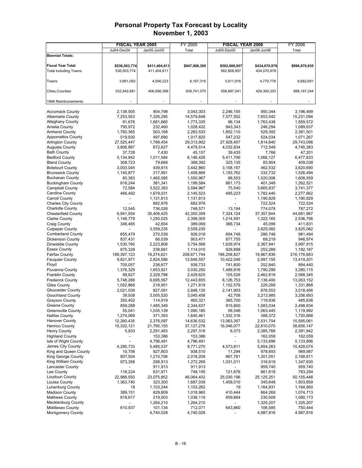|                              | <b>FISCAL YEAR 2005</b>  |               | FY 2005                 |                              | <b>FISCAL YEAR 2006</b> | FY 2006       |
|------------------------------|--------------------------|---------------|-------------------------|------------------------------|-------------------------|---------------|
|                              | Jul04-Dec04              | Jan05-Jun05   | Total                   | Jul05-Dec05                  | Jan06-Jun06             | Total         |
| <b>Biennial Totals:</b>      |                          |               |                         |                              |                         |               |
|                              |                          |               |                         |                              |                         |               |
| <b>Fiscal Year Total</b>     | \$536,503,774            | \$411,404,611 | \$947,908,385           | \$562,808,957                | \$434,070,978           | \$996,879,935 |
| <b>Total including Towns</b> | 536,503,774              | 411,404,611   |                         | 562,808,957                  | 434,070,978             |               |
|                              |                          |               |                         |                              |                         |               |
| Towns                        | 3,661,092                | 4,506,223     | 8,167,316               | 3,911,916                    | 4,770,776               | 8,682,691     |
| <b>Cities, Counties</b>      | 532,842,681              | 406,898,388   | 939,741,070             | 558,897,041                  | 429,300,203             | 988, 197, 244 |
|                              |                          |               |                         |                              |                         |               |
| 1998 Reimbursements          |                          |               |                         |                              |                         |               |
|                              |                          |               |                         |                              |                         |               |
| <b>Accomack County</b>       | 2,138,505                | 904,798       | 3,043,303               | 2,246,155                    | 950,344                 | 3,196,499     |
| <b>Albemarle County</b>      | 7,253,553                | 7,326,295     | 14,579,848              | 7,577,552                    | 7,653,542               | 15,231,094    |
| <b>Alleghany County</b>      | 91,676                   | 1,681,660     | 1,773,335               | 96,134                       | 1,763,438               | 1,859,572     |
| Amelia County                | 795,972                  | 232,460       | 1,028,432               | 843,343                      | 246,294                 | 1,089,637     |
| <b>Amherst County</b>        | 1,760,365                | 503,168       | 2,263,533               | 1,852,110                    | 529,392                 | 2,381,501     |
| <b>Appomattox County</b>     | 519,930                  | 497,890       | 1,017,820               | 547,232                      | 524,034                 | 1,071,267     |
| <b>Arlington County</b>      | 27,525,447               | 1,788,454     | 29,313,902              | 27,928,457                   | 1,814,640               | 29,743,096    |
| <b>Augusta County</b>        | 3,806,887                | 672,627       | 4,479,514               | 4,032,834                    | 712,549                 | 4,745,383     |
| <b>Bath County</b>           | 37,728                   | 7,430         | 45,157                  | 39,435                       | 7,766                   | 47,201        |
| <b>Bedford County</b>        | 5,134,842                | 1,011,584     | 6,146,426               | 5,411,706                    | 1,066,127               | 6,477,833     |
| <b>Bland County</b>          | 308,723                  | 79,668        | 388,392                 | 325,135                      | 83,904                  | 409,038       |
| <b>Botetourt County</b>      | 3,003,045                | 439,815       | 3,442,860               | 3,158,157                    | 462,532                 | 3,620,690     |
| <b>Brunswick County</b>      | 1,140,877                | 317,991       | 1,458,869               | 1,193,762                    | 332,732                 | 1,526,494     |
| <b>Buchanan County</b>       | 85,383                   | 1,465,585     | 1,550,967               | 88,553                       | 1,520,006               | 1,608,559     |
| <b>Buckingham County</b>     | 818,244                  | 381,341       | 1,199,584               | 861,173                      | 401,348                 | 1,262,521     |
| Campbell County              | 72,584                   | 3,522,383     | 3,594,967               | 75,540                       | 3,665,837               | 3,741,377     |
| Caroline County              | 466,492                  | 1,679,031     | 2,145,523               | 495,223                      | 1,782,440               | 2,277,662     |
| <b>Carroll County</b>        |                          | 1,131,813     | 1,131,813               | $\overline{\phantom{a}}$     | 1,190,829               | 1,190,829     |
| <b>Charles City County</b>   |                          | 682,976       | 682,976                 |                              | 722,524                 | 722,524       |
| <b>Charlotte County</b>      | 12,545                   | 736,026       | 748,571                 | 13.194                       | 774,078                 | 787,272       |
| <b>Chesterfield County</b>   | 6,941,934                | 35,408,425    |                         | 7,324,124                    | 37, 357, 844            | 44,681,967    |
| <b>Clarke County</b>         | 1,148,779                | 1,250,525     | 42,350,359<br>2,399,305 | 1,214,591                    | 1,322,165               | 2,536,756     |
|                              |                          |               |                         |                              |                         |               |
| <b>Craig County</b>          | 346,465                  | 42,604        | 389,069                 | 366,734                      | 45,096                  | 411,831       |
| <b>Culpeper County</b>       |                          | 3,559,235     | 3,559,235               |                              | 3,825,082               | 3,825,082     |
| <b>Cumberland County</b>     | 655,479                  | 270,539       | 926,018                 | 694,748                      | 286,746                 | 981,494       |
| Dickenson County             | 837,431                  | 66,039        | 903,471                 | 877,755                      | 69,219                  | 946,974       |
| Dinwiddie County             | 1,530,760                | 2,223,808     | 3,754,568               | 1,629,974                    | 2,367,941               | 3,997,915     |
| <b>Essex County</b>          | 875,328                  | 238,681       | 1,114,010               | 928,898                      | 253,289                 | 1,182,187     |
| Fairfax County               | 189,397,123              | 19,274,621    | 208,671,744             | 196,208,827                  | 19,967,836              | 216,176,663   |
| <b>Fauguier County</b>       | 9,821,971                | 2,824,586     | 12,646,557              | 10,422,046                   | 2,997,155               | 13,419,201    |
| Floyd                        | 700,057                  | 238,677       | 938,733                 | 741,600                      | 252,840                 | 994,440       |
| <b>Fluvanna County</b>       | 1,376,329                | 1,653,921     | 3,030,250               | 1,489,816                    | 1,790,299               | 3,280,115     |
| Franklin County              | 99,827                   | 2,329,798     | 2,429,625               | 105,526                      | 2,462,819               | 2,568,345     |
| <b>Frederick County</b>      | 5,748,288                | 6,695,567     | 12,443,855              | 6,126,753                    | 7,136,400               | 13,263,152    |
| <b>Giles County</b>          | 1,052,868                | 218,951       | 1,271,819               | 1,102,579                    | 229,289                 | 1,331,868     |
| <b>Gloucester County</b>     | 2,021,039                | 827,091       | 2,848,130               | 2,141,903                    | 876,553                 | 3,018,456     |
| <b>Goochland County</b>      | 39,938                   | 3,005,520     | 3,045,458               | 42,708                       | 3,213,985               | 3,256,693     |
| <b>Grayson County</b>        | 350,402                  | 114,919       | 465,321                 | 365,700                      | 119,936                 | 485,636       |
| Greene County                | 859,288                  | 1,485,349     | 2,344,637               | 915,800                      | 1,583,034               | 2,498,834     |
| <b>Greensville County</b>    | 55,041                   | 1,035,139     | 1,090,180               | 56,546                       | 1,063,445               | 1,119,992     |
| <b>Halifax County</b>        | 1,274,069                | 371,393       | 1,645,461               | 1,332,316                    | 388,372                 | 1,720,688     |
| Hanover County               | 12,260,435               | 2,376,097     | 14,636,532              | 13,063,357                   | 2,531,704               | 15,595,061    |
| <b>Henrico County</b>        | 15,332,121               | 21,795,155    | 37,127,276              | 16,046,077                   | 22,810,070              | 38,856,147    |
| <b>Henry County</b>          | 5,833                    | 2,291,483     | 2,297,316               | 6,073                        | 2,385,768               | 2,391,842     |
| <b>Highland County</b>       | $\overline{\phantom{0}}$ | 153,386       | 153,386                 | $\overline{\phantom{a}}$     | 162,059                 | 162,059       |
| Isle of Wight County         |                          | 4,796,491     | 4,796,491               | $\qquad \qquad \blacksquare$ | 5,133,896               | 5,133,896     |
| James City County            | 4,285,733                | 5,485,537     | 9,771,270               | 4,573,811                    | 5,854,263               | 10,428,074    |
| King and Queen County        | 10,706                   | 927,803       | 938,510                 | 11,294                       | 978,693                 | 989,987       |
| King George County           | 807,504                  | 1,210,706     | 2,018,209               | 867,761                      | 1,301,051               | 2,168,811     |
| King William County          | 973,356                  | 298,913       | 1,272,269               | 1,031,011                    | 316,619                 | 1,347,630     |
| <b>Lancaster County</b>      |                          | 911,913       | 911,913                 |                              | 959,740                 | 959,740       |
| Lee County                   | 116,224                  | 631,971       | 748,195                 | 121,676                      | 661,618                 | 783,294       |
| Loudoun County               | 22,988,550               | 23,075,852    | 46,064,402              | 25,030,196                   | 25, 125, 251            | 50,155,448    |
| Louisa County                | 1,363,740                | 323,300       | 1,687,039               | 1,458,010                    | 345,648                 | 1,803,659     |
| <b>Lunenburg County</b>      | 18                       | 1,103,244     | 1,103,262               | 19                           | 1,164,931               | 1,164,950     |
| <b>Madison County</b>        | 389,151                  | 629,809       | 1,018,960               | 410,444                      | 664,269                 | 1,074,713     |
| <b>Mathews County</b>        | 818,617                  | 219,503       | 1,038,119               | 859,664                      | 230,509                 | 1,090,173     |
| <b>Mecklenburg County</b>    |                          | 1,264,210     | 1,264,210               |                              | 1,325,207               | 1,325,207     |
| <b>Middlesex County</b>      | 610,937                  | 101,134       | 712,071                 | 643,860                      | 106,585                 | 750,444       |
| <b>Montgomery County</b>     |                          | 4,740,028     | 4,740,028               |                              | 4,987,816               | 4,987,816     |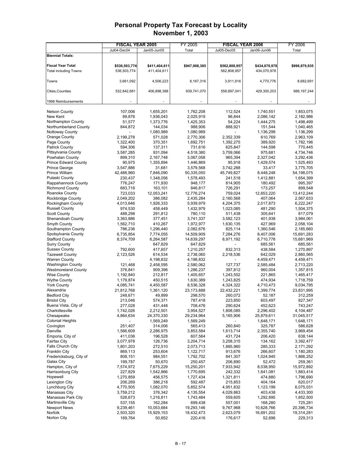|                                                | <b>FISCAL YEAR 2005</b> |                        | FY 2005              |                         | <b>FISCAL YEAR 2006</b> | FY 2006              |
|------------------------------------------------|-------------------------|------------------------|----------------------|-------------------------|-------------------------|----------------------|
|                                                | Jul04-Dec04             | Jan05-Jun05            | Total                | Jul05-Dec05             | Jan06-Jun06             | Total                |
| <b>Biennial Totals:</b>                        |                         |                        |                      |                         |                         |                      |
|                                                |                         |                        |                      |                         |                         |                      |
| <b>Fiscal Year Total</b>                       | \$536,503,774           | \$411,404,611          | \$947,908,385        | \$562,808,957           | \$434,070,978           | \$996,879,935        |
| <b>Total including Towns</b>                   | 536,503,774             | 411,404,611            |                      | 562,808,957             | 434,070,978             |                      |
| Towns                                          |                         |                        |                      |                         |                         |                      |
|                                                | 3,661,092               | 4,506,223              | 8,167,316            | 3,911,916               | 4,770,776               | 8,682,691            |
| <b>Cities, Counties</b>                        | 532,842,681             | 406,898,388            | 939,741,070          | 558,897,041             | 429,300,203             | 988, 197, 244        |
|                                                |                         |                        |                      |                         |                         |                      |
| 1998 Reimbursements                            |                         |                        |                      |                         |                         |                      |
|                                                |                         |                        |                      |                         |                         |                      |
| <b>Nelson County</b>                           | 107.006                 | 1,655,201              | 1,762,208            | 112.524                 | 1,740,551               | 1,853,075            |
| New Kent                                       | 89,876                  | 1,936,043              | 2,025,919            | 96,844                  | 2,086,142               | 2,182,986            |
| Northampton County                             | 51,577                  | 1,373,776              | 1,425,353            | 54,224                  | 1,444,275               | 1,498,499            |
| Northumberland County                          | 844,872                 | 144,034                | 988,906              | 888,921                 | 151,544                 | 1,040,465            |
| Nottoway County                                |                         | 1,080,989              | 1,080,989            |                         | 1,136,299               | 1,136,299            |
| Orange County                                  | 2,199,278               | 571,028                | 2,770,306            | 2,352,339               | 610,769                 | 2,963,109            |
| Page County                                    | 1,322,400               | 370,351                | 1,692,751            | 1,392,275               | 389,920                 | 1,782,196            |
| <b>Patrick County</b>                          | 594,306                 | 137,311                | 731,616              | 625,847                 | 144,598                 | 770,445              |
| Pittsylvania County                            | 3,587,285               | 931,094                | 4,518,380            | 3,759,066               | 975,681                 | 4,734,746            |
| Powhatan County<br><b>Prince Edward County</b> | 899,310                 | 2,167,748              | 3,067,058            | 965,394                 | 2,327,042               | 3,292,436            |
|                                                | 90,975                  | 1,355,894              | 1,446,869            | 95,918                  | 1,429,574               | 1,525,493            |
| Prince George<br>Prince William                | 3,547,886               | 31,681                 | 3,579,568            | 3,742,288<br>45,749,827 | 33,417                  | 3,775,705            |
| Pulaski County                                 | 42,488,960              | 7,846,090<br>1,348,056 | 50,335,050           |                         | 8,448,248<br>1,412,881  | 54,198,075           |
| Rappahannock County                            | 230,437<br>776,247      | 171,930                | 1,578,493<br>948,177 | 241,518<br>814,905      | 180,492                 | 1,654,399<br>995,397 |
| <b>Richmond County</b>                         | 683,716                 | 163,101                | 846,817              | 726,291                 | 173,257                 | 899,548              |
| Roanoke County                                 | 723,033                 | 12,053,241             | 12,776,274           | 759,024                 | 12,653,220              | 13,412,244           |
| <b>Rockbridge County</b>                       | 2,049,202               | 386,082                | 2,435,284            | 2,160,568               | 407,064                 | 2,567,633            |
| Rockingham County                              | 4,013,646               | 1,926,333              | 5,939,979            | 4,204,375               | 2,017,873               | 6,222,247            |
| <b>Russell County</b>                          | 974,530                 | 458,449                | 1,432,979            | 1,023,085               | 481,290                 | 1,504,375            |
| <b>Scott County</b>                            | 488,298                 | 291,812                | 780,110              | 511,438                 | 305,641                 | 817,079              |
| Shenandoah County                              | 3,363,886               | 377,451                | 3,741,337            | 3,582,123               | 401,938                 | 3,984,061            |
| Smyth County                                   | 1,562,710               | 410,267                | 1,972,977            | 1,630,135               | 427,969                 | 2,058,104            |
| Southampton County                             | 786,236                 | 1,296,440              | 2,082,676            | 825,114                 | 1,360,546               | 2,185,660            |
| Spotsylvania County                            | 6,735,854               | 7,774,055              | 14,509,909           | 7,284,276               | 8,407,006               | 15,691,283           |
| <b>Stafford County</b>                         | 8,374,709               | 6,264,587              | 14,639,297           | 8,971,192               | 6,710,778               | 15,681,969           |
| <b>Surry County</b>                            |                         | 647,829                | 647,829              |                         | 685,561                 | 685,561              |
| <b>Sussex County</b>                           | 792,600                 | 417,657                | 1,210,257            | 832,313                 | 438,584                 | 1,270,897            |
| <b>Tazewell County</b>                         | 2,123,526               | 614,534                | 2,738,060            | 2,218,536               | 642,029                 | 2,860,565            |
| <b>Warren County</b>                           |                         | 4,198,832              | 4,198,832            |                         | 4,459,471               | 4,459,471            |
| <b>Washington County</b>                       | 121,468                 | 2,458,595              | 2,580,062            | 127,737                 | 2,585,484               | 2,713,220            |
| <b>Westmoreland County</b>                     | 376,841                 | 909,396                | 1,286,237            | 397,812                 | 960,004                 | 1,357,815            |
| <b>Wise County</b>                             | 1,192,840               | 212,817                | 1,405,657            | 1,243,552               | 221,865                 | 1,465,417            |
| <b>Wythe County</b>                            | 1,179,874               | 450,515                | 1,630,389            | 1,243,825               | 474,934                 | 1,718,759            |
| <b>York County</b>                             | 4,085,741               | 4,450,587              | 8,536,328            | 4,324,322               | 4,710,473               | 9,034,795            |
| Alexandria                                     | 21,812,768              | 1,361,120              | 23,173,888           | 22,432,221              | 1,399,774               | 23,831,995           |
| <b>Bedford City</b>                            | 248,671                 | 49,899                 | 298,570              | 260,072                 | 52,187                  | 312,259              |
| <b>Bristol City</b><br>Buena Vista, City of    | 213,046                 | 574,371                | 787,418              | 223,850<br>290,624      | 603,497                 | 827,347              |
| Charlottesville                                | 277,028<br>1,742,026    | 431,448<br>2,212,501   | 708,476<br>3,954,527 | 1,808,085               | 452,623<br>2,296,402    | 743,247<br>4,104,487 |
| Chesapeake                                     | 4,864,634               | 24,370,330             | 29,234,964           | 5,165,906               | 25,879,611              | 31,045,517           |
| <b>Colonial Heights</b>                        |                         | 1,569,249              | 1,569,249            |                         | 1,648,171               | 1,648,171            |
| Covington                                      | 251,407                 | 314,006                | 565,413              | 260,840                 | 325,787                 | 586,628              |
| Danville                                       | 1,566,609               | 2,286,975              | 3,853,584            | 1,613,714               | 2,355,740               | 3,969,454            |
| Emporia, City of                               | 411,036                 | 196,528                | 607,564              | 431,724                 | 206,420                 | 638,144              |
| Fairfax City                                   | 3,077,978               | 126,736                | 3,204,714            | 3,258,315               | 134,162                 | 3,392,477            |
| <b>Falls Church City</b>                       | 1,801,203               | 272,510                | 2,073,713            | 1,885,960               | 285,333                 | 2,171,292            |
| <b>Franklin City</b>                           | 869,113                 | 253,604                | 1,122,717            | 913,676                 | 266,607                 | 1,180,283            |
| Fredericksburg, City of                        | 808,151                 | 984,551                | 1,792,702            | 841,307                 | 1,024,945               | 1,866,252            |
| Galax City                                     | 199,787                 | 50,670                 | 250,457              | 206,890                 | 52,472                  | 259,361              |
| Hampton, City of                               | 7,574,972               | 7,675,229              | 15,250,201           | 7,933,942               | 8,038,950               | 15,972,892           |
| Harrisonburg City                              | 227,829                 | 1,542,866              | 1,770,695            | 242,332                 | 1,641,081               | 1,883,414            |
| Hopewell                                       | 1,270,859               | 456,575                | 1,727,434            | 1,321,811               | 474,880                 | 1,796,690            |
| Lexington City                                 | 206,269                 | 386,218                | 592,487              | 215,853                 | 404,164                 | 620,017              |
| Lynchburg City                                 | 4,770,505               | 1,082,070              | 5,852,574            | 4,951,832               | 1,123,199               | 6,075,031            |
| Manassas City                                  | 3,759,212               | 376,342                | 4,135,554            | 4,029,863               | 403,438                 | 4,433,300            |
| Manassas Park City                             | 526,673                 | 1,216,811              | 1,743,484            | 559,605                 | 1,292,895               | 1,852,500            |
| Martinsville City                              | 537,155                 | 162,284                | 699,438              | 557,001                 | 168,280                 | 725,281              |
| <b>Newport News</b>                            | 9,239,461               | 10,053,684             | 19,293,146           | 9,767,968               | 10,628,766              | 20,396,734           |
| Norfolk                                        | 2,503,320               | 15,929,153             | 18,432,473           | 2,623,079               | 16,691,202              | 19,314,281           |
| Norton City                                    | 169,764                 | 50,652                 | 220,416              | 176,617                 | 52,696                  | 229,313              |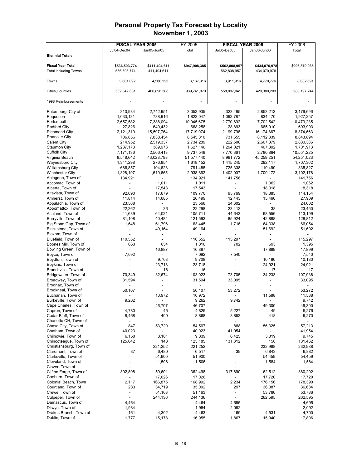|                                            | <b>FISCAL YEAR 2005</b>  |                         | FY 2005                  |                          | <b>FISCAL YEAR 2006</b>  | FY 2006                  |
|--------------------------------------------|--------------------------|-------------------------|--------------------------|--------------------------|--------------------------|--------------------------|
|                                            | Jul04-Dec04              | Jan05-Jun05             | Total                    | Jul05-Dec05              | Jan06-Jun06              | Total                    |
| <b>Biennial Totals:</b>                    |                          |                         |                          |                          |                          |                          |
|                                            |                          |                         |                          |                          |                          |                          |
| <b>Fiscal Year Total</b>                   | \$536,503,774            | \$411,404,611           | \$947,908,385            | \$562,808,957            | \$434,070,978            | \$996,879,935            |
| <b>Total including Towns</b>               | 536,503,774              | 411,404,611             |                          | 562,808,957              | 434,070,978              |                          |
|                                            |                          |                         |                          |                          |                          |                          |
| Towns                                      | 3,661,092                | 4,506,223               | 8,167,316                | 3,911,916                | 4,770,776                | 8,682,691                |
| Cities, Counties                           | 532,842,681              | 406,898,388             | 939,741,070              | 558,897,041              | 429,300,203              | 988, 197, 244            |
|                                            |                          |                         |                          |                          |                          |                          |
| 1998 Reimbursements                        |                          |                         |                          |                          |                          |                          |
|                                            |                          |                         |                          |                          |                          |                          |
| Petersburg, City of                        | 310,984                  | 2,742,951               | 3,053,935                | 323,485                  | 2,853,212                | 3,176,696                |
| Poquoson                                   | 1,033,131                | 788,916                 | 1,822,047                | 1,092,787                | 834,470                  | 1,927,257                |
| Portsmouth                                 | 2,657,582                | 7,388,094               | 10,045,675               | 2,770,692                | 7,702,542                | 10,473,235               |
| <b>Radford City</b>                        | 27,826                   | 640,432                 | 668,258                  | 28,893                   | 665,010                  | 693,903                  |
| <b>Richmond City</b>                       | 2,121,310                | 15,597,764              | 17,719,074               | 2,199,796                | 16,174,867               | 18,374,663               |
| Roanoke City                               | 706,856                  | 7,838,454               | 8,545,310                | 731,555                  | 8,112,339                | 8,843,894                |
| Salem City                                 | 214,952                  | 2,519,337               | 2,734,289                | 222,506                  | 2,607,879                | 2,830,386                |
| <b>Staunton City</b>                       | 1,237,173                | 389,973                 | 1,627,146                | 1,294,021                | 407,892                  | 1,701,913                |
| <b>Suffolk City</b><br>Virginia Beach      | 7,171,136<br>8,548,642   | 2,566,413<br>43,028,798 | 9,737,549                | 7,770,361                | 2,780,864<br>45,259,251  | 10,551,225<br>54,251,023 |
| Waynesboro City                            | 1,341,298                | 276,854                 | 51,577,440<br>1,618,152  | 8,991,772<br>1,415,245   | 292,117                  | 1,707,362                |
| Williamsburg City                          | 686,857                  | 104,628                 | 791,485                  | 725,338                  | 110,490                  | 835,827                  |
| <b>Winchester City</b>                     | 1,328,197                | 1,610,665               | 2,938,862                | 1,402,007                | 1,700,172                | 3,102,178                |
| Abingdon, Town of                          | 134,921                  |                         | 134,921                  | 141,756                  |                          | 141,756                  |
| Accomac, Town of                           |                          | 1,011                   | 1,011                    |                          | 1,062                    | 1,062                    |
| Alberta, Town of                           |                          | 17,543                  | 17,543                   |                          | 18,318                   | 18,318                   |
| Altavista, Town of                         | 92,090                   | 17,679                  | 109,770                  | 95,769                   | 18,385                   | 114,154                  |
| Amherst, Town of                           | 11,814                   | 14,685                  | 26,499                   | 12.443                   | 15,466                   | 27,909                   |
| Appalachia, Town of                        | 23,568                   |                         | 23,568                   | 24,602                   |                          | 24,602                   |
| Appomattox, Town of                        | 22,262                   | 36                      | 22,298                   | 23,412                   | 38                       | 23,450                   |
| Ashland, Town of                           | 41,689                   | 64,021                  | 105,711                  | 44,643                   | 68,556                   | 113,199                  |
| Berryville, Town of                        | 81,108                   | 40,484                  | 121,593                  | 85,924                   | 42,888                   | 128,812                  |
| Big Stone Gap, Town of                     | 1,648                    | 61,796                  | 63,445                   | 1,716                    | 64,338                   | 66,054                   |
| Blackstone, Town of                        |                          | 49,164                  | 49,164                   |                          | 51,692                   | 51,692                   |
| Bloxom, Town of                            |                          | $\overline{a}$          | $\overline{\phantom{a}}$ |                          | $\overline{\phantom{a}}$ |                          |
| Bluefield, Town of                         | 110,552                  |                         | 110,552                  | 115,297                  |                          | 115,297                  |
| Boones Mill, Town of                       | 663                      | 654                     | 1,316                    | 702                      | 693                      | 1,395                    |
| Bowling Green, Town of                     | $\overline{\phantom{a}}$ | 16,887                  | 16,887                   | $\overline{a}$           | 17,899                   | 17,899                   |
| Boyce, Town of                             | 7,092                    | $\overline{a}$          | 7,092                    | 7,540                    | $\overline{\phantom{a}}$ | 7,540                    |
| Boydton, Town of                           |                          | 9,708                   | 9,708                    |                          | 10,180                   | 10,180                   |
| Boykins, Town of                           |                          | 23,718                  | 23,718                   |                          | 24,921                   | 24,921                   |
| Branchville, Town of                       | 70,349                   | 16<br>32,674            | 16<br>103,023            | 73,705                   | 17<br>34,233             | 17                       |
| Bridgewater, Town of<br>Broadway, Town of  | 31,594                   |                         | 31,594                   | 33,095                   |                          | 107,938<br>33,095        |
| Brodnax, Town of                           |                          |                         |                          | $\overline{a}$           |                          |                          |
| Brookneal, Town of                         | 50,107                   |                         | 50,107                   | 53,272                   |                          | 53,272                   |
| Buchanan, Town of                          |                          | 10,972                  | 10,972                   |                          | 11,588                   | 11,588                   |
| Burkeville, Town of                        | 9,262                    |                         | 9,262                    | 9,742                    |                          | 9,742                    |
| Cape Charles. Town of                      |                          | 46,707                  | 46,707                   |                          | 49.300                   | 49,300                   |
| Capron, Town of                            | 4,780                    | 45                      | 4,825                    | 5,227                    | 49                       | 5,276                    |
| Cedar Bluff, Town of                       | 8,468                    | 400                     | 8,868                    | 8,852                    | 418                      | 9,270                    |
| Charlotte CH, Town of                      |                          |                         |                          |                          |                          |                          |
| Chase City, Town of                        | 847                      | 53,720                  | 54,567                   | 888                      | 56,325                   | 57,213                   |
| Chatham, Town of                           | 40,023                   |                         | 40,023                   | 41,954                   |                          | 41,954                   |
| Chilhowie, Town of                         | 6,158                    | 3,181                   | 9,339                    | 6,425                    | 3,319                    | 9,745                    |
| Chincoteague, Town of                      | 125,042                  | 143                     | 125,185                  | 131,312                  | 150                      | 131,462                  |
| Christiansburg, Town of                    |                          | 221,252                 | 221,252                  |                          | 232,988                  | 232,988                  |
| Claremont, Town of                         | 37                       | 6,480                   | 6,517                    | 39                       | 6,843                    | 6,882                    |
| Clarksville, Town of                       |                          | 51,900                  | 51,900                   |                          | 54,459                   | 54,459                   |
| Cleveland, Town of                         |                          | 1,506                   | 1,506                    |                          | 1,584                    | 1,584                    |
| Clover, Town of                            |                          |                         | $\overline{\phantom{a}}$ |                          |                          |                          |
| Clifton Forge, Town of                     | 302,898                  | 59,601                  | 362,498                  | 317,690                  | 62,512                   | 380,202                  |
| Coeburn, Town of                           |                          | 17,026                  | 17,026                   |                          | 17,720                   | 17,720                   |
| Colonial Beach, Town<br>Courtland, Town of | 2,117<br>283             | 166,875<br>34,719       | 168,992<br>35,002        | 2,234<br>297             | 176,156<br>36,387        | 178,390<br>36,684        |
| Crewe, Town of                             |                          | 51,163                  | 51,163                   | $\overline{\phantom{a}}$ | 53,786                   | 53,786                   |
| Culpeper, Town of                          |                          | 244,136                 | 244,136                  | $\overline{\phantom{a}}$ | 262,595                  | 262,595                  |
| Damascus, Town of                          | 4,464                    |                         | 4,464                    | 4,695                    |                          | 4,695                    |
| Dilwyn, Town of                            | 1,984                    |                         | 1,984                    | 2,092                    |                          | 2,092                    |
| Drakes Branch, Town of                     | 161                      | 4,302                   | 4,463                    | 169                      | 4,531                    | 4,700                    |
| Dublin, Town of                            | 1,777                    | 15,178                  | 16,955                   | 1,867                    | 15,940                   | 17,806                   |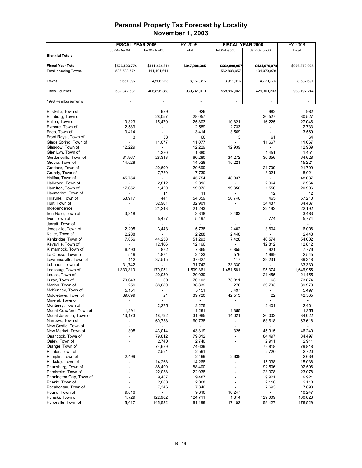|                                          | <b>FISCAL YEAR 2005</b> |                          | FY 2005          |                          | <b>FISCAL YEAR 2006</b>  | FY 2006          |
|------------------------------------------|-------------------------|--------------------------|------------------|--------------------------|--------------------------|------------------|
|                                          | Jul04-Dec04             | Jan05-Jun05              | Total            | Jul05-Dec05              | Jan06-Jun06              | Total            |
| <b>Biennial Totals:</b>                  |                         |                          |                  |                          |                          |                  |
|                                          |                         |                          |                  |                          |                          |                  |
| <b>Fiscal Year Total</b>                 | \$536,503,774           | \$411,404,611            | \$947,908,385    | \$562,808,957            | \$434,070,978            | \$996,879,935    |
| <b>Total including Towns</b>             | 536,503,774             | 411,404,611              |                  | 562,808,957              | 434,070,978              |                  |
|                                          |                         |                          |                  |                          |                          |                  |
| Towns                                    | 3,661,092               | 4,506,223                | 8,167,316        | 3,911,916                | 4,770,776                | 8,682,691        |
|                                          |                         |                          |                  |                          |                          |                  |
| Cities, Counties                         | 532,842,681             | 406,898,388              | 939,741,070      | 558,897,041              | 429,300,203              | 988, 197, 244    |
|                                          |                         |                          |                  |                          |                          |                  |
| 1998 Reimbursements                      |                         |                          |                  |                          |                          |                  |
|                                          |                         | 929                      | 929              |                          | 982                      | 982              |
| Eastville, Town of<br>Edinburg, Town of  |                         | 28,057                   | 28,057           |                          | 30,527                   | 30,527           |
| Elkton, Town of                          | 10,323                  | 15,479                   | 25,803           | 10,821                   | 16,225                   | 27,046           |
| Exmore, Town of                          | 2,589                   |                          | 2,589            | 2,733                    |                          | 2,733            |
| Fries, Town of                           | 3,414                   | $\overline{a}$           | 3,414            | 3,569                    | $\overline{\phantom{a}}$ | 3,569            |
| Front Royal, Town of                     | 3                       | 58                       | 60               | 3                        | 61                       | 64               |
| Glade Spring, Town of                    |                         | 11,077                   | 11,077           |                          | 11,667                   | 11,667           |
| Glasgow, Town of                         | 12,229                  |                          | 12,229           | 12,939                   |                          | 12,939           |
| Glen Lyn, Town of                        |                         | 1,380                    | 1,380            | $\overline{a}$           | 1,451                    | 1,451            |
| Gordonsville, Town of                    | 31,967                  | 28,313                   | 60,280           | 34,272                   | 30,356                   | 64,628           |
| Gretna, Town of                          | 14,528                  | $\overline{\phantom{0}}$ | 14,528           | 15,221                   | $\overline{\phantom{a}}$ | 15,221           |
| Grottoes, Town of                        |                         | 20,699                   | 20,699           | $\overline{a}$           | 21,709                   | 21,709           |
| Grundy, Town of                          |                         | 7,739                    | 7,739            | $\overline{a}$           | 8,021                    | 8,021            |
| Halifax, Town of                         | 45,754                  | $\overline{a}$           | 45,754           | 48,037                   | $\overline{a}$           | 48,037           |
| Hallwood, Town of                        |                         | 2,812                    | 2,812            |                          | 2,964                    | 2,964            |
| Hamilton, Town of                        | 17,652                  | 1,420                    | 19,072           | 19,350                   | 1,556                    | 20,906           |
| Haymarket, Town of                       |                         | 11                       | 11               |                          | 12                       | 12               |
| Hillsville, Town of                      | 53,917                  | 441                      | 54,359           | 56,746                   | 465                      | 57,210           |
| Hurt, Town of                            |                         | 32,901                   | 32,901           |                          | 34,487                   | 34,487           |
| Independence                             |                         | 21,243                   | 21,243           |                          | 22,192                   | 22,192           |
| Iron Gate, Town of                       | 3,318                   |                          | 3,318            | 3,483                    |                          | 3,483            |
| Ivor, Town of                            | $\overline{a}$          | 5,497                    | 5,497            | $\overline{a}$           | 5,774                    | 5,774            |
| Jarratt, Town of                         |                         |                          |                  |                          |                          |                  |
| Jonesville, Town of                      | 2,295                   | 3,443                    | 5,738            | 2,402                    | 3,604                    | 6,006            |
| Keller, Town of                          | 2,288                   | $\overline{a}$           | 2,288            | 2,448                    |                          | 2,448            |
| Kenbridge, Town of                       | 7,056                   | 44,238                   | 51,293           | 7,428                    | 46,574                   | 54,002           |
| Keysville, Town of                       |                         | 12,166                   | 12,166           | $\overline{\phantom{a}}$ | 12,812                   | 12,812           |
| Kilmarnock, Town of                      | 6,493                   | 872                      | 7,365            | 6,855                    | 921                      | 7,776            |
| La Crosse, Town of                       | 549                     | 1,874                    | 2,423            | 576                      | 1,969                    | 2,545            |
| Lawrenceville, Town of                   | 112                     | 37,515                   | 37,627           | 117                      | 39,231                   | 39,348           |
| Lebanon, Town of                         | 31,742                  |                          | 31,742           | 33,330                   |                          | 33,330           |
| Leesburg, Town of                        | 1,330,310               | 179,051                  | 1,509,361        | 1,451,581                | 195,374                  | 1,646,955        |
| Louisa, Town of                          |                         | 20,039                   | 20,039           |                          | 21,455                   | 21,455           |
| Luray, Town of                           | 70,043                  | 60                       | 70,103           | 73,811                   | 63                       | 73,874           |
| Marion, Town of                          | 259                     | 38,080                   | 38,339           | 270                      | 39,703                   | 39,973           |
| McKenney, Town of                        | 5,151                   | $\overline{a}$           | 5,151            | 5,497                    |                          | 5,497            |
| Middletown, Town of                      | 39,699                  | 21                       | 39,720           | 42,513                   | 22                       | 42,535           |
| Mineral, Town of                         |                         |                          |                  | $\overline{a}$           |                          |                  |
| Monterey, Town of                        |                         | 2,275                    | 2,275            |                          | 2,401                    | 2,401            |
| Mount Crawford, Town of                  | 1,291                   | ۰                        | 1,291            | 1,355                    | $\overline{a}$           | 1,355            |
| Mount Jackson, Town of                   | 13,173                  | 18,792                   | 31,965           | 14,021                   | 20,002                   | 34,022           |
| Narrows, Town of                         |                         | 60,738                   | 60,738           | $\overline{\phantom{a}}$ | 63,618                   | 63,618           |
| New Castle, Town of                      | $\frac{1}{2}$           | ۰                        | $\blacksquare$   | $\overline{\phantom{a}}$ | $\overline{\phantom{a}}$ |                  |
| New Market, Town of                      | 305                     | 43,014                   | 43,319           | 325                      | 45,915                   | 46,240           |
| Onancock, Town of                        |                         | 79,812                   | 79,812           | $\overline{a}$           | 84,497                   | 84,497           |
| Onley, Town of                           |                         | 2,740                    | 2,740            |                          | 2,911                    | 2,911            |
| Orange, Town of                          |                         | 74,639                   | 74,639           |                          | 79,818                   | 79,818           |
| Painter, Town of                         |                         | 2,591                    | 2,591            |                          | 2,720                    | 2,720            |
| Pamplin, Town of                         | 2,499                   |                          | 2,499            | 2,639                    | 15,038                   | 2,639            |
| Parksley, Town of                        |                         | 14,268                   | 14,268<br>88,400 |                          |                          | 15,038           |
| Pearisburg, Town of<br>Pembroke, Town of |                         | 88,400<br>22,038         | 22,038           |                          | 92,506<br>23,078         | 92,506<br>23,078 |
| Pennington Gap, Town of                  |                         | 9,487                    | 9,487            |                          | 9,921                    | 9,921            |
| Phenix, Town of                          |                         | 2,008                    | 2,008            |                          | 2,110                    | 2,110            |
| Pocahontas, Town of                      |                         | 7,346                    | 7,346            |                          | 7,693                    | 7,693            |
| Pound, Town of                           | 9,816                   | $\overline{\phantom{0}}$ | 9,816            | 10,247                   | $\overline{\phantom{a}}$ | 10,247           |
| Pulaski, Town of                         | 1,729                   | 122,982                  | 124,711          | 1,814                    | 129,009                  | 130,823          |
| Purceville, Town of                      | 15,617                  | 145,582                  | 161,199          | 17,102                   | 159,427                  | 176,529          |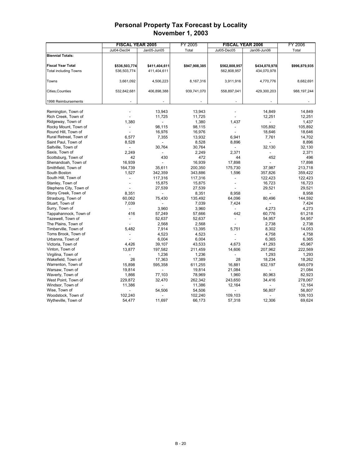|                              | <b>FISCAL YEAR 2005</b> |               | FY 2005           |                          | <b>FISCAL YEAR 2006</b> | FY 2006           |
|------------------------------|-------------------------|---------------|-------------------|--------------------------|-------------------------|-------------------|
|                              | Jul04-Dec04             | Jan05-Jun05   | Total             | Jul05-Dec05              | Jan06-Jun06             | Total             |
| <b>Biennial Totals:</b>      |                         |               |                   |                          |                         |                   |
|                              |                         |               |                   |                          |                         |                   |
| <b>Fiscal Year Total</b>     | \$536,503,774           | \$411,404,611 | \$947,908,385     | \$562,808,957            | \$434,070,978           | \$996,879,935     |
| <b>Total including Towns</b> | 536,503,774             | 411,404,611   |                   | 562,808,957              | 434,070,978             |                   |
|                              |                         |               |                   |                          |                         |                   |
| Towns                        | 3,661,092               | 4,506,223     | 8,167,316         | 3,911,916                | 4,770,776               | 8,682,691         |
|                              |                         |               |                   |                          |                         |                   |
| Cities, Counties             | 532,842,681             | 406,898,388   | 939,741,070       | 558,897,041              | 429,300,203             | 988,197,244       |
|                              |                         |               |                   |                          |                         |                   |
| 1998 Reimbursements          |                         |               |                   |                          |                         |                   |
|                              |                         |               |                   |                          |                         |                   |
| Remington, Town of           |                         | 13,943        | 13,943            |                          | 14,849                  | 14,849            |
| Rich Creek, Town of          |                         | 11,725        | 11,725            |                          | 12,251                  | 12,251            |
| Ridgeway, Town of            | 1.380                   | ٠             | 1,380             | 1.437                    |                         | 1,437             |
| Rocky Mount, Town of         |                         | 98,115        | 98,115            | $\overline{a}$           | 105,892                 | 105,892           |
| Round Hill, Town of          |                         | 16,976        | 16,976            |                          | 18,646                  | 18,646            |
| Rural Retreat, Town of       | 6,577                   | 7,355         | 13,932            | 6,941                    | 7,761                   | 14,702            |
| Saint Paul, Town of          | 8,528                   |               | 8,528             | 8,896                    |                         | 8,896             |
| Saltville, Town of           |                         | 30,764        | 30,764            | $\overline{a}$           | 32,130                  | 32,130            |
| Saxis, Town of               | 2,249                   |               | 2,249             | 2,371                    |                         | 2,371             |
| Scottsburg, Town of          | 42                      | 430           | 472               | 44                       | 452                     | 496               |
| Shenandoah, Town of          | 16,939                  |               | 16,939            | 17,898                   |                         | 17,898            |
| Smithfield, Town of          | 164,739                 | 35,611        | 200,350           | 175,730                  | 37,987                  | 213,718           |
| South Boston                 | 1,527                   | 342,359       | 343,886           | 1,596                    | 357,826                 | 359,422           |
| South Hill, Town of          |                         | 117,316       | 117,316           | $\overline{\phantom{a}}$ | 122,423                 | 122,423           |
| Stanley, Town of             |                         | 15,875        | 15,875            | L.                       | 16,723                  | 16,723            |
| Stephens City, Town of       |                         | 27,539        | 27,539            |                          | 29,521                  | 29,521            |
| Stony Creek, Town of         | 8,351                   |               | 8,351             | 8,958                    |                         | 8,958             |
| Strasburg, Town of           | 60,062                  | 75,430        | 135,492           | 64,096                   | 80,496                  | 144,592           |
| Stuart, Town of              | 7,039                   |               | 7,039             | 7,424                    |                         | 7,424             |
| Surry, Town of               |                         | 3,960         | 3,960             |                          | 4,273                   | 4,273             |
| Tappahannock, Town of        | 416                     | 57,249        | 57,666            | 442                      | 60,776                  | 61,218            |
| Tazewell, Town of            |                         | 52,637        | 52,637            |                          | 54,957                  | 54,957            |
| The Plains, Town of          |                         | 2,568         | 2,568             |                          | 2,738                   | 2,738             |
| Timberville, Town of         | 5,482                   | 7,914         | 13,395            | 5,751                    | 8,302                   | 14,053            |
| Toms Brook, Town of          |                         | 4,523         | 4,523             | $\overline{a}$           | 4,758                   | 4,758             |
| Urbanna, Town of             |                         | 6,004         | 6,004             | $\overline{\phantom{a}}$ | 6,365                   | 6,365             |
| Victoria, Town of            | 4,426                   | 39,107        | 43,533            | 4,673                    | 41,293                  | 45,967            |
| Vinton, Town of              | 13,877                  | 197,582       | 211,459           | 14,606                   | 207,962                 | 222,569           |
| Virgilina, Town of           |                         | 1,236         | 1,236             |                          | 1,293                   | 1,293             |
| Wakefield, Town of           | 26                      | 17,363        | 17,389            | 28                       | 18,234                  | 18,262            |
| Warrenton, Town of           | 15,898                  | 595,358       | 611,255           | 16,881                   | 632,197                 | 649,079           |
| Warsaw, Town of              | 19,814                  |               | 19,814            | 21,084                   |                         | 21,084            |
|                              |                         | 77,103        |                   |                          |                         |                   |
| Waverly, Town of             | 1,866                   |               | 78,969            | 1,960                    | 80,963                  | 82,923            |
| West Point, Town of          | 229,872<br>11,386       | 32,470        | 262,342<br>11,386 | 243,650<br>12,164        | 34,416                  | 278,067<br>12,164 |
| Windsor, Town of             |                         |               |                   |                          |                         |                   |
| Wise, Town of                |                         | 54,506        | 54,506            |                          | 56,807                  | 56,807            |
| Woodstock, Town of           | 102,240                 |               | 102,240           | 109,103                  |                         | 109,103           |
| Wytheville, Town of          | 54,477                  | 11,697        | 66,173            | 57,318                   | 12,306                  | 69,624            |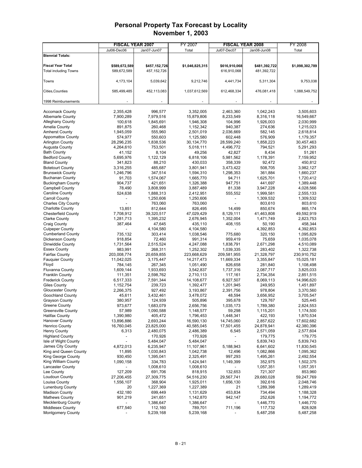|                                             | <b>FISCAL YEAR 2007</b> |                      | FY 2007                | <b>FISCAL YEAR 2008</b>      |                      | FY 2008                |
|---------------------------------------------|-------------------------|----------------------|------------------------|------------------------------|----------------------|------------------------|
|                                             | Jul06-Dec06             | Jan07-Jun07          | Total                  | Jul07-Dec07                  | Jan08-Jun08          | Total                  |
| <b>Biennial Totals:</b>                     |                         |                      |                        |                              |                      |                        |
|                                             |                         |                      |                        |                              |                      |                        |
| <b>Fiscal Year Total</b>                    | \$589,672,589           | \$457,152,726        | \$1,046,825,315        | \$616,910,068                | \$481,392,722        | \$1,098,302,789        |
| <b>Total including Towns</b>                | 589,672,589             | 457, 152, 726        |                        | 616,910,068                  | 481,392,722          |                        |
|                                             |                         |                      |                        |                              |                      |                        |
| Towns                                       | 4,173,104               | 5,039,642            | 9,212,746              | 4,441,734                    | 5,311,304            | 9,753,038              |
| Cities, Counties                            | 585,499,485             | 452,113,083          | 1,037,612,569          | 612,468,334                  | 476,081,418          | 1,088,549,752          |
|                                             |                         |                      |                        |                              |                      |                        |
| 1998 Reimbursements                         |                         |                      |                        |                              |                      |                        |
|                                             |                         |                      |                        |                              |                      |                        |
| <b>Accomack County</b>                      | 2,355,428               | 996,577              | 3,352,005              | 2,463,360                    | 1,042,243            | 3,505,603              |
| <b>Albemarle County</b>                     | 7,900,289               | 7,979,516            | 15,879,806             | 8,233,549                    | 8,316,118            | 16,549,667             |
| <b>Alleghany County</b>                     | 100,618                 | 1,845,691            | 1,946,308              | 104,996                      | 1,926,003            | 2,030,999              |
| Amelia County                               | 891,875                 | 260,468              | 1,152,342              | 940,387                      | 274,636              | 1,215,023              |
| <b>Amherst County</b>                       | 1,945,059               | 555,960              | 2,501,019              | 2,036,669                    | 582,145              | 2,618,814              |
| <b>Appomattox County</b>                    | 574,977                 | 550,603              | 1,125,580              | 602,448                      | 576,909              | 1,179,357              |
| <b>Arlington County</b>                     | 28,296,235              | 1,838,536            | 30,134,770             | 28,599,240                   | 1,858,223            | 30,457,463             |
| Augusta County                              | 4,264,610               | 753,501              | 5,018,111              | 4,496,772                    | 794,521              | 5,291,293              |
| <b>Bath County</b>                          | 41,152                  | 8,104                | 49,256                 | 42,827                       | 8,434                | 51,261                 |
| <b>Bedford County</b>                       | 5,695,976               | 1,122,129            | 6,818,106              | 5,981,562                    | 1,178,391            | 7,159,952              |
| <b>Bland County</b>                         | 341,823                 | 88,210               | 430,033                | 358,339                      | 92,472               | 450,812                |
| <b>Botetourt County</b>                     | 3,316,255               | 485,687              | 3,801,941              | 3,473,422                    | 508,705              | 3,982,127              |
| <b>Brunswick County</b>                     | 1,246,796               | 347,514              | 1,594,310              | 1,298,353                    | 361,884              | 1,660,237              |
| <b>Buchanan County</b>                      | 91,703                  | 1,574,067            | 1,665,770              | 94,711                       | 1,625,701            | 1,720,412<br>1,389,448 |
| <b>Buckingham County</b><br>Campbell County | 904,737<br>78,490       | 421,651<br>3,808,999 | 1,326,388<br>3,887,489 | 947,751<br>81,338            | 441,697<br>3,947,228 | 4,028,566              |
| Caroline County                             | 524,638                 | 1,888,313            | 2,412,951              | 555,552                      | 1,999,581            | 2,555,133              |
| <b>Carroll County</b>                       |                         | 1,250,606            | 1,250,606              | $\overline{a}$               | 1,309,532            | 1,309,532              |
| <b>Charles City County</b>                  |                         | 763,060              | 763,060                |                              | 803,610              | 803,610                |
| <b>Charlotte County</b>                     | 13,851                  | 812,644              | 826,495                | 14,499                       | 850,674              | 865,174                |
| <b>Chesterfield County</b>                  | 7,708,912               | 39,320,517           | 47,029,429             | 8,129,111                    | 41,463,808           | 49,592,919             |
| <b>Clarke County</b>                        | 1,281,713               | 1,395,232            | 2,676,945              | 1,352,004                    | 1,471,749            | 2,823,753              |
| <b>Craig County</b>                         | 387,464                 | 47,645               | 435,110                | 408,155                      | 50,190               | 458,344                |
| <b>Culpeper County</b>                      |                         | 4,104,580            | 4,104,580              |                              | 4,392,853            | 4,392,853              |
| <b>Cumberland County</b>                    | 735,132                 | 303,414              | 1,038,546              | 775,680                      | 320,150              | 1,095,829              |
| Dickenson County                            | 918,854                 | 72,460               | 991,314                | 959,419                      | 75,659               | 1,035,078              |
| Dinwiddie County                            | 1,731,564               | 2,515,524            | 4,247,088              | 1,838,791                    | 2,671,298            | 4,510,089              |
| <b>Essex County</b>                         | 983,991                 | 268,311              | 1,252,302              | 1,039,335                    | 283,402              | 1,322,738              |
| <b>Fairfax County</b>                       | 203,008,774             | 20,659,855           | 223,668,629            | 209,581,955                  | 21,328,797           | 230,910,752            |
| <b>Fauguier County</b>                      | 11,042,025              | 3,175,447            | 14,217,473             | 11,669,334                   | 3,355,847            | 15,025,181             |
| Floyd                                       | 784,145                 | 267,345              | 1,051,490              | 826,658                      | 281,840              | 1,108,498              |
| <b>Fluvanna County</b>                      | 1,609,144               | 1,933,693            | 3,542,837              | 1,737,316                    | 2,087,717            | 3,825,033              |
| <b>Franklin County</b>                      | 111,351                 | 2,598,762            | 2,710,113              | 117,161                      | 2,734,354            | 2,851,515              |
| <b>Frederick County</b>                     | 6,517,333               | 7,591,344            | 14,108,677             | 6,927,507                    | 8,069,113            | 14,996,620             |
| <b>Giles County</b>                         | 1,152,754               | 239,723              | 1,392,477              | 1,201,945                    | 249,953              | 1,451,897              |
| <b>Gloucester County</b>                    | 2,266,375               | 927,492              | 3,193,867              | 2,391,756                    | 978,804              | 3,370,560              |
| Goochland County                            | 45,611                  | 3,432,461            | 3,478,072              | 48,594                       | 3,656,952            | 3,705,547              |
| <b>Grayson County</b><br>Greene County      | 380,957<br>973.677      | 124,939<br>1,683,079 | 505,896<br>2,656,756   | 395,678<br>1,035,173         | 129,767<br>1.789.380 | 525,445<br>2.824.553   |
| <b>Greensville County</b>                   | 57,989                  | 1,090,588            | 1,148,577              | 59,298                       | 1,115,201            | 1,174,500              |
| <b>Halifax County</b>                       | 1,390,980               | 405,472              | 1,796,453              | 1,448,341                    | 422,193              | 1,870,534              |
| <b>Hanover County</b>                       | 13,896,886              | 2,693,244            | 16,590,130             | 14,745,060                   | 2,857,622            | 17,602,682             |
| <b>Henrico County</b>                       | 16,760,045              | 23,825,000           | 40,585,045             | 17,501,455                   | 24,878,941           | 42,380,396             |
| <b>Henry County</b>                         | 6,313                   | 2,480,075            | 2,486,389              | 6,545                        | 2,571,059            | 2,577,604              |
| <b>Highland County</b>                      |                         | 170,926              | 170,926                | $\qquad \qquad \blacksquare$ | 179,775              | 179,775                |
| Isle of Wight County                        | $\overline{a}$          | 5,484,047            | 5,484,047              | $\overline{a}$               | 5,839,743            | 5,839,743              |
| James City County                           | 4,872,013               | 6,235,947            | 11,107,961             | 5,188,943                    | 6,641,602            | 11,830,545             |
| King and Queen County                       | 11,895                  | 1,030,843            | 1,042,738              | 12,496                       | 1,082,866            | 1,095,362              |
| King George County                          | 930,450                 | 1,395,041            | 2,325,491              | 997,293                      | 1,495,261            | 2,492,554              |
| King William County                         | 1,090,158               | 334,783              | 1,424,941              | 1,149,399                    | 352,975              | 1,502,375              |
| <b>Lancaster County</b>                     |                         | 1,008,610            | 1,008,610              |                              | 1,057,351            | 1,057,351              |
| Lee County                                  | 127,209                 | 691,706              | 818,915                | 132,653                      | 721,307              | 853,960                |
| Loudoun County                              | 27,206,455              | 27,309,775           | 54,516,230             | 29,567,741                   | 29,680,028           | 59,247,769             |
| Louisa County                               | 1,556,107               | 368,904              | 1,925,011              | 1,656,130                    | 392,616              | 2,048,746              |
| <b>Lunenburg County</b>                     | 20                      | 1,227,369            | 1,227,389              | 21                           | 1,289,398            | 1,289,419              |
| <b>Madison County</b>                       | 432,180                 | 699,449              | 1,131,629              | 453,834                      | 734,494              | 1,188,328              |
| <b>Mathews County</b>                       | 901,219                 | 241,651              | 1,142,870              | 942,147                      | 252,626              | 1,194,772              |
| Mecklenburg County                          |                         | 1,386,647            | 1,386,647              | $\blacksquare$               | 1,446,770            | 1,446,770              |
| <b>Middlesex County</b>                     | 677,540                 | 112,160              | 789,701                | 711,196                      | 117,732              | 828,928                |
| <b>Montgomery County</b>                    |                         | 5,239,168            | 5,239,168              |                              | 5,487,258            | 5,487,258              |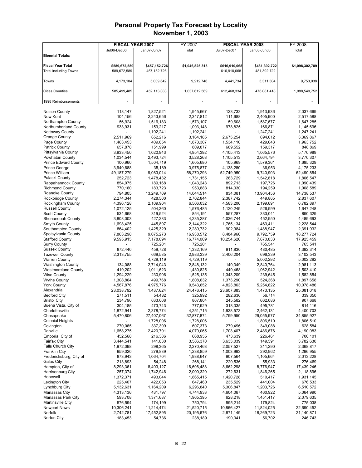|                                           | <b>FISCAL YEAR 2007</b> |                     | FY 2007               | <b>FISCAL YEAR 2008</b> |                      | FY 2008                 |
|-------------------------------------------|-------------------------|---------------------|-----------------------|-------------------------|----------------------|-------------------------|
|                                           | Jul06-Dec06             | Jan07-Jun07         | Total                 | Jul07-Dec07             | Jan08-Jun08          | Total                   |
| <b>Biennial Totals:</b>                   |                         |                     |                       |                         |                      |                         |
|                                           |                         |                     |                       |                         |                      |                         |
| <b>Fiscal Year Total</b>                  | \$589,672,589           | \$457,152,726       | \$1,046,825,315       | \$616,910,068           | \$481,392,722        | \$1,098,302,789         |
| <b>Total including Towns</b>              | 589,672,589             | 457, 152, 726       |                       | 616,910,068             | 481,392,722          |                         |
|                                           |                         |                     |                       |                         |                      |                         |
| Towns                                     | 4,173,104               | 5,039,642           | 9,212,746             | 4,441,734               | 5,311,304            | 9,753,038               |
|                                           |                         |                     |                       |                         |                      |                         |
| Cities, Counties                          | 585,499,485             | 452,113,083         | 1,037,612,569         | 612,468,334             | 476,081,418          | 1,088,549,752           |
|                                           |                         |                     |                       |                         |                      |                         |
| 1998 Reimbursements                       |                         |                     |                       |                         |                      |                         |
|                                           |                         |                     |                       |                         |                      |                         |
| <b>Nelson County</b>                      | 118,147                 | 1,827,521           | 1,945,667             | 123,733                 | 1,913,936            | 2,037,669               |
| New Kent                                  | 104,156                 | 2,243,656           | 2,347,812             | 111,688                 | 2,405,900            | 2,517,588               |
| Northampton County                        | 56,924                  | 1,516,183           | 1,573,107             | 59,608                  | 1,587,677            | 1,647,285               |
| Northumberland County                     | 933,931                 | 159,217             | 1,093,148             | 978.825                 | 166,871              | 1,145,696               |
| Nottoway County                           |                         | 1,192,241           | 1,192,241             |                         | 1,247,241            | 1,247,241               |
| Orange County                             | 2,511,969               | 652,216             | 3,164,185             | 2,675,254               | 694,612              | 3,369,867               |
| Page County                               | 1,463,453               | 409,854             | 1,873,307             | 1,534,110               | 429,643              | 1,963,752               |
| <b>Patrick County</b>                     | 657,878                 | 151,999             | 809,877               | 689,552                 | 159,317              | 848,869                 |
| Pittsylvania County                       | 3,933,450               | 1,020,943           | 4,954,392             | 4,105,413               | 1,065,576            | 5,170,989               |
| Powhatan County                           | 1,034,544               | 2,493,724           | 3,528,268             | 1,105,513               | 2,664,794            | 3,770,307               |
| <b>Prince Edward County</b>               | 100,960                 | 1,504,719           | 1,605,680             | 105,969                 | 1,579,361            | 1,685,329               |
| Prince George                             | 3.940.688               | 35,189              | 3,975,877             | 4,138,280               | 36,953               | 4,175,233               |
| Prince William                            | 49, 187, 279            | 9,083,014           | 58,270,293            | 52,749,950              | 9,740,903            | 62,490,854              |
| Pulaski County                            | 252,723                 | 1,478,432           | 1,731,155             | 263,729                 | 1,542,818            | 1,806,547               |
| Rappahannock County                       | 854,075                 | 189,168             | 1,043,243             | 892,713                 | 197,726              | 1,090,439               |
| <b>Richmond County</b>                    | 770.160                 | 183,723             | 953,883               | 814,330                 | 194,259              | 1,008,589               |
| Roanoke County                            | 794,805                 | 13,249,709          | 14,044,514            | 834,081                 | 13,904,456           | 14,738,537              |
| Rockbridge County                         | 2,274,344               | 428,500             | 2,702,844             | 2,387,742               | 449,865              | 2,837,607               |
| Rockingham County                         | 4,396,128               | 2,109,904           | 6,506,032             | 4,583,206               | 2,199,691            | 6,782,897               |
| <b>Russell County</b>                     | 1,072,125               | 504,360             | 1,576,485             | 1,120,249               | 526,999              | 1,647,248               |
| <b>Scott County</b>                       | 534,668                 | 319,524             | 854,191               | 557,287                 | 333,041              | 890,329                 |
| Shenandoah County                         | 3,808,003               | 427,283             | 4,235,287             | 4,036,744               | 452,950              | 4,489,693               |
| Smyth County                              | 1,698,425               | 445,897             | 2,144,322             | 1,765,134               | 463,411              | 2,228,544               |
| Southampton County                        | 864,402                 | 1,425,329           | 2,289,732             | 902,984                 | 1,488,947            | 2,391,932               |
| Spotsylvania County                       | 7,863,298               | 9,075,273           | 16,938,572            | 8,484,966               | 9,792,759            | 18,277,724              |
| <b>Stafford County</b>                    | 9,595,915               | 7,178,094           | 16,774,009            | 10,254,626              | 7,670,833            | 17,925,459              |
| <b>Surry County</b>                       |                         | 725,201             | 725,201               |                         | 765,541              | 765,541                 |
| <b>Sussex County</b>                      | 872,440                 | 459,728             | 1,332,169             | 911,830                 | 480,485              | 1,392,314               |
| <b>Tazewell County</b>                    | 2,313,755               | 669,585             | 2,983,339             | 2,406,204               | 696,339              | 3,102,543               |
| <b>Warren County</b>                      |                         | 4,729,119           | 4,729,119             |                         | 5,002,292            | 5,002,292               |
| <b>Washington County</b>                  | 134,088                 | 2,714,043           | 2,848,132             | 140,349                 | 2,840,764            | 2,981,113               |
| <b>Westmoreland County</b>                | 419,202                 | 1,011,623           | 1,430,825             | 440,468                 | 1,062,942<br>239,645 | 1,503,410               |
| <b>Wise County</b><br><b>Wythe County</b> | 1,294,229<br>1,308,864  | 230,906<br>499,768  | 1,525,135             | 1,343,209<br>1,373,290  | 524,368              | 1,582,854               |
| <b>York County</b>                        | 4,567,876               |                     | 1,808,632             |                         |                      | 1,897,658<br>10,078,486 |
| Alexandria                                | 23,038,792              | 4,975,776           | 9,543,652             | 4,823,863               | 5,254,622            |                         |
| <b>Bedford City</b>                       | 271,511                 | 1,437,624<br>54,482 | 24,476,415<br>325,992 | 23,607,883              | 1,473,135<br>56,714  | 25,081,018<br>339,350   |
| <b>Bristol City</b>                       | 234,796                 | 633,008             | 867,804               | 282,636<br>245,582      | 662,086              | 907,668                 |
| Buena Vista, City of                      | 304,185                 | 473,743             | 777.929               | 318,335                 | 495,781              | 814,116                 |
| Charlottesville                           | 1,872,941               | 2,378,774           | 4,251,715             | 1,938,573               | 2,462,131            | 4,400,703               |
| Chesapeake                                | 5,470,806               | 27,407,067          | 32,877,874            | 5,799,950               | 29,055,977           | 34,855,927              |
| <b>Colonial Heights</b>                   |                         | 1,728,006           | 1,728,006             |                         | 1,806,510            | 1,806,510               |
| Covington                                 | 270,065                 | 337,309             | 607,373               | 279,496                 | 349,088              | 628,584                 |
| Danville                                  | 1,658,275               | 2,420,791           | 4,079,065             | 1,703,407               | 2,486,676            | 4,190,083               |
| Emporia, City of                          | 452,568                 | 216,386             | 668,955               | 473,639                 | 226,461              | 700,101                 |
| <b>Fairfax City</b>                       | 3,444,541               | 141,830             | 3,586,370             | 3,633,039               | 149,591              | 3,782,630               |
| <b>Falls Church City</b>                  | 1,972,098               | 298,365             | 2,270,463             | 2,057,527               | 311,290              | 2,368,817               |
| <b>Franklin City</b>                      | 959,020                 | 279,839             | 1,238,859             | 1,003,993               | 292,962              | 1,296,955               |
| Fredericksburg, City of                   | 873,943                 | 1,064,704           | 1,938,647             | 907,564                 | 1,105,664            | 2,013,228               |
| Galax City                                | 213,893                 | 54,248              | 268,141               | 220,536                 | 55,933               | 276,469                 |
| Hampton, City of                          | 8,293,361               | 8,403,127           | 16,696,488            | 8,662,298               | 8,776,947            | 17,439,246              |
| Harrisonburg City                         | 257,374                 | 1,742,946           | 2,000,320             | 272,631                 | 1,846,265            | 2,118,896               |
| Hopewell                                  | 1,372,371               | 493,044             | 1,865,415             | 1,420,728               | 510,417              | 1,931,145               |
| Lexington City                            | 225,407                 | 422,053             | 647,460               | 235,529                 | 441,004              | 676,533                 |
| Lynchburg City                            | 5,132,631               | 1,164,209           | 6,296,840             | 5,306,847               | 1,203,726            | 6,510,572               |
| Manassas City                             | 4,313,136               | 431,797             | 4,744,933             | 4,604,067               | 460,922              | 5,064,990               |
| Manassas Park City                        | 593,708                 | 1,371,687           | 1,965,395             | 628,218                 | 1,451,417            | 2,079,635               |
| Martinsville City                         | 576,594                 | 174,199             | 750,794               | 595,214                 | 179,824              | 775,038                 |
| <b>Newport News</b>                       | 10,306,241              | 11,214,474          | 21,520,715            | 10,866,427              | 11,824,025           | 22,690,452              |
| Norfolk                                   | 2,742,781               | 17,452,895          | 20,195,676            | 2,871,149               | 18,269,723           | 21,140,871              |
| Norton City                               | 183,453                 | 54,736              | 238,189               | 190,041                 | 56,702               | 246,743                 |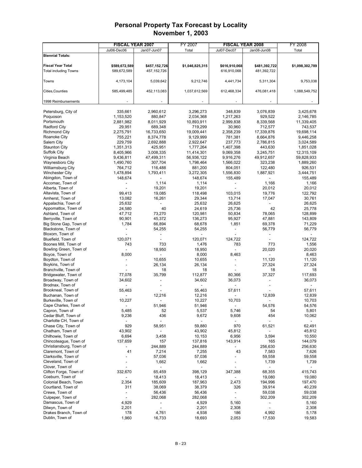|                                       | <b>FISCAL YEAR 2007</b>  |                              | FY 2007                  | <b>FISCAL YEAR 2008</b>  |                | FY 2008         |
|---------------------------------------|--------------------------|------------------------------|--------------------------|--------------------------|----------------|-----------------|
|                                       | Jul06-Dec06              | Jan07-Jun07                  | Total                    | Jul07-Dec07              | Jan08-Jun08    | Total           |
| <b>Biennial Totals:</b>               |                          |                              |                          |                          |                |                 |
|                                       |                          |                              |                          |                          |                |                 |
| <b>Fiscal Year Total</b>              | \$589,672,589            | \$457,152,726                | \$1,046,825,315          | \$616,910,068            | \$481,392,722  | \$1,098,302,789 |
| <b>Total including Towns</b>          | 589,672,589              | 457, 152, 726                |                          | 616,910,068              | 481,392,722    |                 |
|                                       |                          |                              |                          |                          |                |                 |
| Towns                                 | 4,173,104                | 5,039,642                    | 9,212,746                | 4,441,734                | 5,311,304      | 9,753,038       |
|                                       |                          |                              |                          |                          |                |                 |
| Cities, Counties                      | 585,499,485              | 452,113,083                  | 1,037,612,569            | 612,468,334              | 476,081,418    | 1,088,549,752   |
|                                       |                          |                              |                          |                          |                |                 |
| 1998 Reimbursements                   |                          |                              |                          |                          |                |                 |
|                                       |                          |                              |                          |                          |                |                 |
| Petersburg, City of                   | 335,661                  | 2,960,612                    | 3,296,273                | 348,839                  | 3,076,839      | 3,425,678       |
| Poquoson                              | 1,153,520                | 880,847                      | 2,034,368                | 1,217,263                | 929,522        | 2,146,785       |
| Portsmouth                            | 2,881,982                | 8,011,929                    | 10,893,911               | 2,999,838                | 8,339,568      | 11,339,405      |
| Radford City                          | 29,951                   | 689,348                      | 719.299                  | 30,960                   | 712,577        | 743,537         |
| <b>Richmond City</b>                  | 2,275,791                | 16,733,650                   | 19,009,441               | 2,358,239                | 17,339,876     | 19,698,114      |
| Roanoke City                          | 755,221                  | 8,374,778                    | 9,129,999                | 781,381                  | 8,664,876      | 9,446,258       |
| Salem City                            | 229,759                  | 2,692,888                    | 2,922,647                | 237,773                  | 2,786,815      | 3,024,589       |
| <b>Staunton City</b>                  | 1,351,313                | 425,951                      | 1,777,264                | 1,407,398                | 443,630        | 1,851,028       |
| <b>Suffolk City</b>                   | 8,405,966                | 3,008,335                    | 11,414,301               | 9,069,358                | 3,245,751      | 12,315,109      |
| Virginia Beach                        | 9,436,811                | 47,499,311                   | 56,936,122               | 9,916,276                | 49,912,657     | 59,828,933      |
| Waynesboro City                       | 1,490,760                | 307,704                      | 1,798,464                | 1,566,022                | 323,238        | 1,889,260       |
| Williamsburg City                     | 764,712                  | 116,488                      | 881,200                  | 804,051                  | 122,480        | 926,531         |
| <b>Winchester City</b>                | 1,478,894                | 1,793,411                    | 3,272,305                | 1,556,830                | 1,887,921      | 3,444,751       |
| Abingdon, Town of                     | 148,674                  |                              | 148,674                  | 155,489                  |                | 155,489         |
| Accomac, Town of                      |                          | 1,114                        | 1,114                    |                          | 1,166          | 1,166           |
| Alberta, Town of                      |                          | 19,201                       | 19,201                   |                          | 20,012         | 20,012          |
| Altavista, Town of                    | 99,413                   | 19,085                       | 118,498                  | 103,015                  | 19,776         | 122,792         |
| Amherst, Town of                      | 13,082                   | 16,261                       | 29,344                   | 13,714                   | 17,047         | 30,761          |
| Appalachia, Town of                   | 25,632                   |                              | 25,632                   | 26,625                   |                | 26,625          |
| Appomattox, Town of                   | 24,580                   | 40                           | 24,619                   | 25,736                   | 42             | 25,778          |
| Ashland, Town of                      | 47,712                   | 73,270                       | 120,981                  | 50,834                   | 78,065         | 128,899         |
| Berryville, Town of                   | 90,901                   | 45,372                       | 136,273                  | 95,927                   | 47,881         | 143,809         |
| Big Stone Gap, Town of                | 1,784                    | 66,894                       | 68,678                   | 1,851                    | 69,378         | 71,229          |
| Blackstone, Town of                   |                          | 54,255<br>$\overline{a}$     | 54,255<br>$\overline{a}$ |                          | 56,779         | 56,779          |
| Bloxom, Town of<br>Bluefield, Town of | 120,071                  |                              | 120,071                  | 124,722                  |                | 124,722         |
| Boones Mill, Town of                  | 743                      | 733                          | 1,476                    | 783                      | 773            | 1,556           |
| Bowling Green, Town of                |                          | 18,950                       | 18,950                   | ÷,                       | 20,020         | 20,020          |
| Boyce, Town of                        | 8,000                    | ۰                            | 8,000                    | 8,463                    | $\overline{a}$ | 8,463           |
| Boydton, Town of                      |                          | 10,655                       | 10,655                   |                          | 11,120         | 11,120          |
| Boykins, Town of                      |                          | 26,134                       | 26,134                   |                          | 27,324         | 27,324          |
| Branchville, Town of                  |                          | 18                           | 18                       |                          | 18             | 18              |
| Bridgewater, Town of                  | 77,078                   | 35,799                       | 112,877                  | 80,366                   | 37,327         | 117,693         |
| Broadway, Town of                     | 34,602                   |                              | 34,602                   | 36,073                   |                | 36,073          |
| Brodnax, Town of                      |                          |                              |                          |                          |                |                 |
| Brookneal, Town of                    | 55,463                   |                              | 55,463                   | 57,611                   |                | 57,611          |
| Buchanan, Town of                     |                          | 12,216                       | 12,216                   |                          | 12,839         | 12,839          |
| Burkeville, Town of                   | 10,227                   |                              | 10,227                   | 10,703                   |                | 10,703          |
| Cape Charles, Town of                 |                          | 51,946                       | 51,946                   |                          | 54,576         | 54,576          |
| Capron, Town of                       | 5,485                    | 52                           | 5,537                    | 5,746                    | 54             | 5,801           |
| Cedar Bluff, Town of                  | 9,236                    | 436                          | 9,672                    | 9,608                    | 454            | 10,062          |
| Charlotte CH, Town of                 |                          | $\overline{a}$               |                          |                          |                |                 |
| Chase City, Town of                   | 929                      | 58,951                       | 59,880                   | 970                      | 61,521         | 62,491          |
| Chatham, Town of                      | 43,902                   | $\overline{\phantom{a}}$     | 43,902                   | 45,812                   |                | 45,812          |
| Chilhowie, Town of                    | 6,694                    | 3,458                        | 10,153                   | 6,956                    | 3,594          | 10,550          |
| Chincoteague, Town of                 | 137,659                  | 157                          | 137,816                  | 143,914                  | 165            | 144,079         |
| Christiansburg, Town of               |                          | 244,889                      | 244,889                  |                          | 256,630        | 256,630         |
| Claremont, Town of                    | 41                       | 7,214                        | 7,255                    | 43                       | 7,583          | 7,626           |
| Clarksville, Town of                  |                          | 57,036                       | 57,036                   |                          | 59,558         | 59,558          |
| Cleveland, Town of                    |                          | 1,662                        | 1,662                    |                          | 1,739          | 1,739           |
| Clover, Town of                       |                          | $\qquad \qquad \blacksquare$ | $\overline{\phantom{0}}$ |                          |                |                 |
| Clifton Forge, Town of                | 332,670                  | 65,459                       | 398,129                  | 347,388                  | 68,355         | 415,743         |
| Coeburn, Town of                      |                          | 18,413                       | 18,413                   |                          | 19,080         | 19,080          |
| Colonial Beach, Town                  | 2,354                    | 185,609                      | 187,963                  | 2,473                    | 194,996        | 197,470         |
| Courtland, Town of                    | 311                      | 38,069                       | 38,379                   | 326                      | 39,914         | 40,239          |
| Crewe, Town of                        | $\overline{\phantom{a}}$ | 56,436                       | 56,436                   | $\overline{\phantom{a}}$ | 59,038         | 59,038          |
| Culpeper, Town of                     | $\overline{\phantom{a}}$ | 282,068                      | 282,068                  | $\overline{a}$           | 302,209        | 302,209         |
| Damascus, Town of                     | 4,929                    |                              | 4,929                    | 5,160                    |                | 5,160           |
| Dilwyn, Town of                       | 2,201                    | ÷,                           | 2,201                    | 2,308                    |                | 2,308           |
| Drakes Branch, Town of                | 178                      | 4,761                        | 4,938                    | 186                      | 4,992          | 5,178           |
| Dublin, Town of                       | 1,960                    | 16,733                       | 18,693                   | 2,053                    | 17,530         | 19,583          |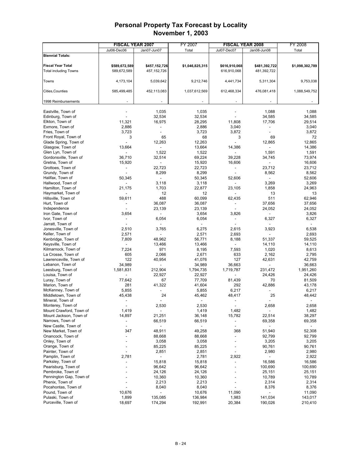|                                         | <b>FISCAL YEAR 2007</b>  |                              | FY 2007                  | <b>FISCAL YEAR 2008</b>  |                          | FY 2008         |
|-----------------------------------------|--------------------------|------------------------------|--------------------------|--------------------------|--------------------------|-----------------|
|                                         | Jul06-Dec06              | Jan07-Jun07                  | Total                    | Jul07-Dec07              | Jan08-Jun08              | Total           |
| <b>Biennial Totals:</b>                 |                          |                              |                          |                          |                          |                 |
|                                         |                          |                              |                          |                          |                          |                 |
| <b>Fiscal Year Total</b>                | \$589,672,589            | \$457,152,726                | \$1,046,825,315          | \$616,910,068            | \$481,392,722            | \$1,098,302,789 |
| <b>Total including Towns</b>            | 589,672,589              | 457, 152, 726                |                          | 616,910,068              | 481,392,722              |                 |
|                                         |                          |                              |                          |                          |                          |                 |
| Towns                                   | 4,173,104                | 5,039,642                    | 9,212,746                | 4,441,734                | 5,311,304                | 9,753,038       |
|                                         |                          |                              |                          |                          |                          |                 |
| Cities, Counties                        | 585,499,485              | 452,113,083                  | 1,037,612,569            | 612,468,334              | 476,081,418              | 1,088,549,752   |
|                                         |                          |                              |                          |                          |                          |                 |
| 1998 Reimbursements                     |                          |                              |                          |                          |                          |                 |
|                                         |                          |                              |                          |                          |                          | 1,088           |
| Eastville, Town of<br>Edinburg, Town of |                          | 1,035<br>32,534              | 1,035<br>32,534          |                          | 1,088<br>34,585          | 34,585          |
| Elkton, Town of                         | 11,321                   | 16,975                       | 28,295                   | 11,808                   | 17,706                   | 29,514          |
| Exmore, Town of                         | 2,886                    | $\overline{a}$               | 2,886                    | 3,040                    |                          | 3,040           |
| Fries, Town of                          | 3,723                    | $\overline{a}$               | 3,723                    | 3,872                    |                          | 3,872           |
| Front Royal, Town of                    | 3                        | 65                           | 68                       | 3                        | 69                       | 72              |
| Glade Spring, Town of                   |                          | 12,263                       | 12,263                   |                          | 12,865                   | 12,865          |
| Glasgow, Town of                        | 13,664                   |                              | 13,664                   | 14,386                   |                          | 14,386          |
| Glen Lyn, Town of                       |                          | 1,522                        | 1,522                    |                          | 1,591                    | 1,591           |
| Gordonsville, Town of                   | 36,710                   | 32,514                       | 69,224                   | 39,228                   | 34,745                   | 73,974          |
| Gretna, Town of                         | 15,920                   | $\overline{\phantom{a}}$     | 15,920                   | 16,606                   | $\overline{\phantom{a}}$ | 16,606          |
| Grottoes, Town of                       |                          | 22,723                       | 22,723                   | $\frac{1}{2}$            | 23,712                   | 23,712          |
| Grundy, Town of                         |                          | 8,299                        | 8,299                    | $\frac{1}{2}$            | 8,562                    | 8,562           |
| Halifax, Town of                        | 50,345                   | $\overline{a}$               | 50,345                   | 52,606                   |                          | 52,606          |
| Hallwood, Town of                       |                          | 3,118                        | 3,118                    | $\overline{\phantom{a}}$ | 3,269                    | 3,269           |
| Hamilton, Town of                       | 21,175                   | 1,703                        | 22,877                   | 23,105                   | 1,858                    | 24,963          |
| Haymarket, Town of                      |                          | 12                           | 12                       |                          | 13                       | 13              |
| Hillsville, Town of                     | 59,611                   | 488                          | 60,099                   | 62,435                   | 511                      | 62,946          |
| Hurt, Town of                           |                          | 36,087                       | 36,087                   |                          | 37,656                   | 37,656          |
| Independence                            |                          | 23,139                       | 23,139                   | L,                       | 24,052                   | 24,052          |
| Iron Gate, Town of                      | 3,654                    | $\qquad \qquad \blacksquare$ | 3,654                    | 3,826                    |                          | 3,826           |
| Ivor, Town of                           | $\overline{a}$           | 6,054                        | 6,054                    | $\blacksquare$           | 6,327                    | 6,327           |
| Jarratt, Town of                        |                          |                              |                          |                          |                          |                 |
| Jonesville, Town of                     | 2,510                    | 3,765                        | 6,275                    | 2,615                    | 3,923                    | 6,538           |
| Keller, Town of                         | 2,571                    | $\overline{a}$               | 2,571                    | 2,693                    |                          | 2,693           |
| Kenbridge, Town of                      | 7,809                    | 48,962                       | 56,771                   | 8,188                    | 51,337                   | 59,525          |
| Keysville, Town of                      |                          | 13,466                       | 13,466                   |                          | 14,110                   | 14,110          |
| Kilmarnock, Town of                     | 7,224                    | 971                          | 8,195                    | 7,593                    | 1,020                    | 8,613           |
| La Crosse, Town of                      | 605                      | 2,066                        | 2,671                    | 633                      | 2,162                    | 2,795           |
| Lawrenceville, Town of                  | 122                      | 40,954                       | 41,076                   | 127                      | 42,631                   | 42,759          |
| Lebanon, Town of                        | 34,989                   |                              | 34,989                   | 36,663                   |                          | 36,663          |
| Leesburg, Town of                       | 1,581,831                | 212,904                      | 1,794,735                | 1,719,787                | 231,472                  | 1,951,260       |
| Louisa, Town of                         |                          | 22,927                       | 22,927                   |                          | 24,426                   | 24,426          |
| Luray, Town of                          | 77,642                   | 67                           | 77,709                   | 81,439                   | 70                       | 81,509          |
| Marion, Town of                         | 281                      | 41,322                       | 41,604                   | 292                      | 42,886                   | 43,178          |
| McKenney, Town of                       | 5,855                    |                              | 5,855                    | 6,217                    |                          | 6,217           |
| Middletown, Town of                     | 45,438                   | 24                           | 45,462                   | 48,417                   | 25                       | 48,442          |
| Mineral, Town of                        |                          |                              |                          |                          |                          |                 |
| Monterey, Town of                       |                          | 2,530                        | 2,530                    |                          | 2,658                    | 2,658           |
| Mount Crawford, Town of                 | 1,419                    | $\overline{a}$               | 1,419                    | 1,482                    | $\overline{\phantom{a}}$ | 1,482           |
| Mount Jackson, Town of                  | 14,897                   | 21,251                       | 36,148                   | 15,782                   | 22,514                   | 38,297          |
| Narrows, Town of                        | $\overline{\phantom{0}}$ | 66,519                       | 66,519                   |                          | 69,358                   | 69,358          |
| New Castle, Town of                     | $\overline{\phantom{a}}$ | $\overline{\phantom{a}}$     | $\overline{\phantom{a}}$ | $\overline{a}$           |                          |                 |
| New Market, Town of                     | 347                      | 48,911                       | 49,258                   | 368                      | 51,940                   | 52,308          |
| Onancock, Town of                       |                          | 88,668                       | 88,668                   | $\overline{a}$           | 92,799                   | 92,799          |
| Onley, Town of                          |                          | 3,058                        | 3,058                    |                          | 3,205                    | 3,205           |
| Orange, Town of<br>Painter, Town of     |                          | 85,225                       | 85,225                   |                          | 90,761<br>2,980          | 90,761<br>2,980 |
| Pamplin, Town of                        |                          | 2,851                        | 2,851                    | $\overline{\phantom{a}}$ |                          |                 |
| Parksley, Town of                       | 2,781                    | ۰<br>15,818                  | 2,781<br>15,818          | 2,922                    | 16,586                   | 2,922<br>16,586 |
| Pearisburg, Town of                     |                          | 96,642                       | 96,642                   |                          | 100,690                  | 100,690         |
| Pembroke, Town of                       |                          | 24,126                       | 24,126                   |                          | 25,151                   | 25,151          |
| Pennington Gap, Town of                 |                          | 10,360                       | 10,360                   |                          | 10,789                   | 10,789          |
| Phenix, Town of                         |                          | 2,213                        | 2,213                    |                          | 2,314                    | 2,314           |
| Pocahontas, Town of                     |                          | 8,040                        | 8,040                    |                          | 8,376                    | 8,376           |
| Pound, Town of                          | 10,676                   | $\qquad \qquad \blacksquare$ | 10,676                   | 11,090                   |                          | 11,090          |
| Pulaski, Town of                        | 1,899                    | 135,085                      | 136,984                  | 1,983                    | 141,034                  | 143,017         |
| Purceville, Town of                     | 18,697                   | 174,294                      | 192,991                  | 20,384                   | 190,026                  | 210,410         |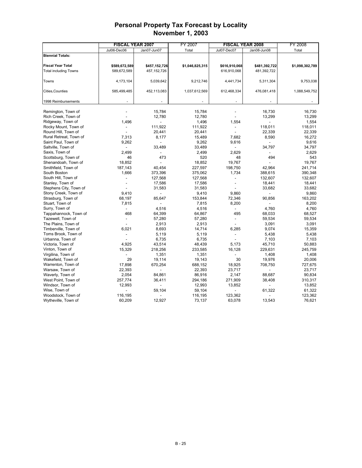|                              | <b>FISCAL YEAR 2007</b>  |                | FY 2007         | <b>FISCAL YEAR 2008</b>  |               | FY 2008         |  |
|------------------------------|--------------------------|----------------|-----------------|--------------------------|---------------|-----------------|--|
|                              | Jul06-Dec06              | Jan07-Jun07    | Total           | Jul07-Dec07              | Jan08-Jun08   | Total           |  |
| <b>Biennial Totals:</b>      |                          |                |                 |                          |               |                 |  |
|                              |                          |                |                 |                          |               |                 |  |
| <b>Fiscal Year Total</b>     | \$589,672,589            | \$457,152,726  | \$1,046,825,315 | \$616,910,068            | \$481,392,722 | \$1,098,302,789 |  |
| <b>Total including Towns</b> | 589,672,589              | 457, 152, 726  |                 | 616,910,068              | 481,392,722   |                 |  |
|                              |                          |                |                 |                          |               |                 |  |
| Towns                        | 4,173,104                | 5,039,642      | 9,212,746       | 4,441,734                | 5,311,304     | 9,753,038       |  |
|                              |                          |                |                 |                          |               |                 |  |
| Cities, Counties             | 585,499,485              | 452,113,083    | 1,037,612,569   | 612,468,334              | 476,081,418   | 1,088,549,752   |  |
|                              |                          |                |                 |                          |               |                 |  |
| 1998 Reimbursements          |                          |                |                 |                          |               |                 |  |
|                              |                          |                |                 |                          |               |                 |  |
| Remington, Town of           |                          | 15,784         | 15,784          |                          | 16,730        | 16,730          |  |
| Rich Creek, Town of          |                          | 12,780         | 12,780          |                          | 13,299        | 13,299          |  |
| Ridgeway, Town of            | 1,496                    |                | 1,496           | 1,554                    |               | 1,554           |  |
| Rocky Mount, Town of         |                          | 111,922        | 111,922         | $\overline{\phantom{a}}$ | 118,011       | 118,011         |  |
| Round Hill, Town of          |                          | 20,441         | 20,441          |                          | 22,339        | 22,339          |  |
| Rural Retreat, Town of       | 7,313                    | 8,177          | 15,489          | 7,682                    | 8,590         | 16,272          |  |
| Saint Paul, Town of          | 9,262                    |                | 9,262           | 9,616                    |               | 9,616           |  |
| Saltville, Town of           | $\overline{\phantom{a}}$ | 33,489         | 33,489          | $\overline{a}$           | 34,797        | 34,797          |  |
| Saxis, Town of               | 2,499                    |                | 2,499           | 2,629                    |               | 2,629           |  |
| Scottsburg, Town of          | 46                       | 473            | 520             | 48                       | 494           | 543             |  |
| Shenandoah, Town of          | 18,852                   |                | 18,852          | 19,767                   |               | 19,767          |  |
| Smithfield, Town of          | 187,143                  | 40,454         | 227,597         | 198,750                  | 42,964        | 241,714         |  |
| South Boston                 | 1,666                    | 373,396        | 375,062         | 1,734                    | 388,615       | 390,348         |  |
| South Hill, Town of          |                          | 127,568        | 127,568         | ٠                        | 132,607       | 132,607         |  |
| Stanley, Town of             |                          | 17,586         | 17,586          | $\overline{\phantom{a}}$ | 18,441        | 18,441          |  |
| Stephens City, Town of       |                          | 31,583         | 31,583          |                          | 33,682        | 33,682          |  |
| Stony Creek, Town of         | 9,410                    |                | 9,410           | 9,860                    |               | 9,860           |  |
| Strasburg, Town of           | 68,197                   | 85.647         | 153,844         | 72,346                   | 90.856        | 163,202         |  |
| Stuart, Town of              | 7,815                    | $\overline{a}$ | 7,815           | 8,200                    |               | 8,200           |  |
| Surry, Town of               |                          | 4,516          | 4,516           |                          | 4,760         | 4,760           |  |
| Tappahannock, Town of        | 468                      | 64,399         | 64,867          | 495                      | 68,033        | 68,527          |  |
| Tazewell, Town of            |                          | 57,280         | 57,280          | $\overline{\phantom{a}}$ | 59,534        | 59,534          |  |
| The Plains, Town of          |                          | 2,913          | 2,913           | $\overline{a}$           | 3,091         | 3,091           |  |
| Timberville, Town of         | 6,021                    | 8,693          | 14,714          | 6,285                    | 9,074         | 15,359          |  |
| Toms Brook, Town of          |                          | 5,119          | 5,119           |                          | 5,438         | 5,438           |  |
| Urbanna, Town of             |                          | 6,735          | 6,735           |                          | 7,103         | 7,103           |  |
| Victoria, Town of            | 4,925                    | 43,514         | 48,439          | 5,173                    | 45,710        | 50,883          |  |
| Vinton, Town of              | 15,329                   | 218,256        | 233,585         | 16,128                   | 229,631       | 245,759         |  |
| Virgilina, Town of           |                          | 1,351          | 1,351           |                          | 1,408         | 1,408           |  |
| Wakefield, Town of           | 29                       | 19,114         | 19,143          | 30                       | 19,976        | 20,006          |  |
| Warrenton, Town of           | 17,898                   | 670,254        | 688,152         | 18,925                   | 708,750       | 727,675         |  |
| Warsaw, Town of              | 22,393                   | $\overline{a}$ | 22,393          | 23,717                   |               | 23,717          |  |
| Waverly, Town of             | 2,054                    | 84,861         | 86,916          | 2,147                    | 88,687        | 90,834          |  |
| West Point, Town of          | 257,774                  | 36,411         | 294,186         | 271,909                  | 38,408        | 310,317         |  |
| Windsor, Town of             | 12,993                   |                | 12,993          | 13,852                   |               | 13,852          |  |
| Wise, Town of                |                          | 59,104         | 59,104          |                          | 61,322        | 61,322          |  |
| Woodstock, Town of           | 116,195                  |                | 116,195         | 123,362                  |               | 123,362         |  |
| Wytheville, Town of          | 60,209                   | 12,927         | 73,137          | 63,078                   | 13,543        | 76,621          |  |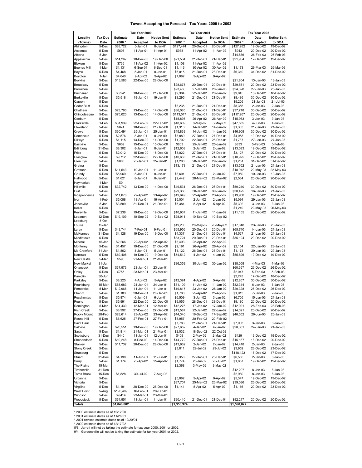| Towns Accepting the Forecast - Tax Years 2000 to 2002 |  |  |
|-------------------------------------------------------|--|--|
|                                                       |  |  |

|                               |                | Tax Year 2000       |                        | Tax Year 2001          |                     |                          | Tax Year 2002          |                     |                        |                        |
|-------------------------------|----------------|---------------------|------------------------|------------------------|---------------------|--------------------------|------------------------|---------------------|------------------------|------------------------|
| Locality                      | <b>Tax Due</b> | <b>Estimate</b>     | Date                   | <b>Notice Sent</b>     | <b>Estimate</b>     | Date                     | <b>Notice Sent</b>     | Estimate            | Date                   | Notice Sent            |
| (Towns)                       | Date           | 2000 *              | Accepted               | to DOA                 | 2001*               | Accepted                 | to DOA                 | 2002*               | Accepted               | to DOA                 |
| Abingdon                      | 5-Dec          | \$83,722            | 5-Jan-01               | 8-Jan-01               | \$127,474           | 20-Dec-01                | 20-Dec-01              | \$127,282           | 19-Dec-02              | 19-Dec-02              |
| Accomac                       | 5-Dec          | \$608               | 11-Apr-01              | 11-Apr-01              | \$938               | 11-Apr-02                | 11-Apr-02              | \$943               | 20-Dec-02              | 20-Dec-02              |
| Alberta                       | 5-Jan          |                     |                        |                        |                     |                          |                        | \$14,886            | 26-Feb-03              | 26-Feb-03              |
| Appalachia                    | 5-Dec          | \$14,267            | 18-Dec-00              | 19-Dec-00              | \$21,564            | 21-Dec-01                | 21-Dec-01              | \$21,954            | 17-Dec-02              | 19-Dec-02              |
| Bloxom                        | 5-Dec          | \$736               | 11-Apr-02              | 11-Apr-02              | \$1,108             | 11-Apr-02                | 11-Apr-02              |                     |                        |                        |
| <b>Boones Mill</b>            | 1-Mar          | \$1,131             | 6-Sep-01               | 6-Sep-01               | \$1,116             | 30-Apr-02                | 30-Apr-02              | \$1,173             | 26-Mar-03              | 26-Mar-03              |
| Boyce                         | 5-Dec          | \$4,468             | 5-Jan-01               | 8-Jan-01               | \$6,015             | 21-Dec-01                | 28-Dec-01              | \$6,310             | 31-Dec-02              | 31-Dec-02              |
| Boydton                       | 1-Jan          | \$4,640             | 9-Apr-02               | 9-Apr-02               | \$7,062             | 9-Apr-02                 | 9-Apr-02               |                     |                        |                        |
| <b>Boykins</b>                | 5-Dec          | \$13,583            | 22-Dec-00              | 28-Dec-00              |                     |                          |                        | \$21,804            | 13-Jan-03              | 13-Jan-03              |
| Broadway                      | 5-Dec          |                     |                        |                        | \$28,675            | 20-Dec-01                | 20-Dec-01              | \$29,551            | 20-Dec-02              | 23-Dec-02              |
| Brookneal                     | 5-Dec          |                     |                        | 21-Dec-00              | \$23,460            | 27-Jan-03                | 28-Jan-03<br>28-Jan-02 | \$24,328            | 27-Jan-03              | 28-Jan-03<br>18-Dec-02 |
| Buchanan<br><b>Burkeville</b> | 5-Dec<br>5-Dec | \$6,241<br>\$5,518  | 18-Dec-00<br>19-Jan-01 | 19-Jan-01              | \$9,384<br>\$8,295  | 22-Jan-02<br>21-Dec-01   | 21-Dec-01              | \$9,845<br>\$8,486  | 18-Dec-02<br>30-Dec-02 | 30-Dec-02              |
| Capron                        | 5-Dec          |                     |                        |                        |                     |                          |                        | \$5,205             | 21-Jul-03              | 21-Jul-03              |
| Cedar Bluff                   | 5-Dec          |                     |                        |                        | \$8,235             | 21-Dec-01                | 21-Dec-01              | \$8,356             | 2-Jan-03               | $2$ -Jan-03            |
| Chatham                       | 5-Dec          | \$23,760            | 13-Dec-00              | 14-Dec-00              | \$36,085            | 21-Dec-01                | 21-Dec-01              | \$37,718            | 30-Dec-02              | 30-Dec-02              |
| Chincoteague                  | 5-Dec          | \$75,020            | 13-Dec-00              | 14-Dec-00              | \$113,017           | 21-Dec-01                | 26-Dec-01              | \$117,267           | 20-Dec-02              | 20-Dec-02              |
| Coeburn                       | 5-Dec          |                     |                        |                        | \$15,895            | 26-Apr-02                | 26-Apr-02              | \$15,963            | 3-Jan-03               | 9-Jan-03               |
| Clarksville                   | 1-Feb          | \$31,939            | 22-Feb-02              | 22-Feb-02              | \$48,609            | 3-May-02                 | 3-May-02               | \$47,585            | 4-Jun-03               | 4-Jun-03               |
| Cleveland                     | 5-Dec          | \$874               | 18-Dec-00              | 21-Dec-00              | \$1,316             | 14-Jan-02                | 14-Jan-02              | \$1,363             | 21-Jan-03              | 21-Jan-03              |
| Crewe                         | 5-Dec          | \$30,494            | 25-Jan-01              | 25-Jan-01              | \$45,839            | 14-Jan-02                | 14-Jan-02              | \$46,909            | 30-Dec-02              | 30-Dec-02              |
| Damascus                      | 5-Dec          | \$2,576             | 8-Jan-01               | 8-Jan-00               | \$3,889             | 27-Dec-01                | 27-Dec-01              | \$4,053             | 19-Dec-02              | 19-Dec-02              |
| Dillwyn                       | 5-Dec          | \$1,115             | 13-Dec-00              | 14-Dec-00              | \$1,702             | 22-Dec-01                | 26-Dec-01              | \$1,787             | 27-Jan-03              | 27-Jan-03              |
| Eastville                     | 5-Dec          | \$609               | 15-Dec-00              | 15-Dec-00              | \$803               | 25-Jan-02                | 25-Jan-02              | \$833               | 5-Feb-03               | 5-Feb-03               |
| Edinburg                      | 31-Dec         | \$8,302             | 8-Jan-01               | 8-Jan-01               | \$12,608            | 2-Jan-02                 | 2-Jan-02               | \$13,093            | 19-Dec-02              | 19-Dec-02              |
| Fries                         | 5-Dec          | \$2,012             | 15-Dec-00              | 15-Dec-00              | \$3,022             | 27-Dec-01                | 27-Dec-01              | \$3,127             | 20-Dec-02              | 20-Dec-02              |
| Glasglow                      | 5-Dec          | \$9,712             | 22-Dec-00              | 22-Dec-00              | \$10,665            | 21-Dec-01                | 21-Dec-01              | \$10,925            | 19-Dec-02              | 19-Dec-02              |
| Glen Lyn                      | 5-Dec          | \$800               | 25-Jan-01              | 25-Jan-01              | \$1,208             | 28-Jan-02                | 29-Jan-02              | \$1,251             | 31-Dec-02              | 31-Dec-02              |
| Gretna                        | 5-Dec          |                     |                        |                        | \$13,178            | 21-Dec-01                | 21-Dec-01              | \$13,552            | 21-Jan-03              | 21-Jan-03              |
| Grottoes                      | 5-Dec          | \$11,543            | 10-Jan-01              | 11-Jan-01              |                     |                          |                        | \$18,912            | 22-May-03              | 22-May-03              |
| Grundy                        | 5-Dec          | \$5,969             | 5-Jan-01               | 8-Jan-01               | \$8,601             | 27-Dec-01                | 2-Jan-02               | \$7,950             | 10-Jan-03              | 10-Jan-03              |
| Hallwood                      | 5-Dec          | \$1,621             | 8-Jan-01               | 8-Jan-01               | \$2,442             | 28-Mar-02                | 28-Mar-02              | \$2,534             | 20-Dec-02              | 20-Dec-02              |
| Haymarket                     | 1-Mar          | \$0                 |                        |                        |                     |                          |                        |                     |                        |                        |
| Hillsville                    | 5-Dec          | \$32,742            | 13-Dec-00              | 14-Dec-00              | \$49,531            | 26-Dec-01                | 26-Dec-01              | \$50,240            | 30-Dec-02              | 30-Dec-02              |
| Hurt                          | 5-Dec          |                     |                        | 23-Apr-02              | \$29,388            | 30-Jan-02                | 30-Jan-02              | \$30,425            | 16-Jan-03<br>19-Dec-02 | 21-Jan-03<br>19-Dec-02 |
| Independence<br>Ivor          | 5-Dec<br>1-Feb | \$11,076<br>\$5,058 | 22-Apr-02<br>18-Apr-01 | 19-Apr-01              | \$19,649            | 22-Apr-02<br>$2$ -Jan-02 | 23-Apr-02<br>2-Jan-02  | \$19,900<br>\$5,094 | 29-Jan-03              | 29-Jan-03              |
| Jonesville                    | 5-Jan          | \$3,589             | 21-Dec-01              | 21-Dec-01              | \$5,004<br>\$5,384  | 5-Apr-02                 | 5-Apr-02               | \$5,392             | 3-Jan-03               | 3-Jan-03               |
| Keller                        | 5-Dec          |                     |                        |                        |                     |                          |                        | \$1,249             | 29-May-03              | 26-May-03              |
| Keysville                     | 5-Dec          | \$7,238             | 19-Dec-00              | 19-Dec-00              | \$10,937            | 11-Jan-02                | 11-Jan-02              | \$11,155            | 20-Dec-02              | 20-Dec-02              |
| Lebanon                       | 12-Dec         | \$19,109            | 10-Sep-02              | 10-Sep-02              | \$28,911            | 10-Sep-02                | 10-Sep-02              |                     |                        |                        |
| Leesburg                      | 5-Oct          |                     |                        |                        |                     |                          |                        |                     |                        |                        |
| Louisa                        | 15-Jan         |                     |                        |                        | \$19,203            | 28-May-02                | 28-May-02              | \$17,648            | 23-Jan-03              | 23-Jan-03              |
| Luray                         | 5-Dec          | \$43,744            | 7-Feb-01               | 9-Feb-01               | \$65,956            | 20-Dec-01                | 20-Dec-01              | \$65,740            | 14-Jan-03              | 21-Jan-03              |
| McKenney                      | 31-Dec         | \$4,128             | 19-Dec-00              | 19-Dec-00              | \$4,337             | 21-Dec-01                | 26-Dec-01              | \$4,527             | 21-Jan-03              | 21-Jan-03              |
| Middletown                    | 5-Dec          |                     |                        |                        | \$33,724            | 20-Dec-01                | 20-Dec-01              | \$35,124            | 20-Dec-02              | 20-Dec-02              |
| Mineral                       | 15-Jan         | \$2,266             | 22-Apr-02              | 22-Apr-02              | \$3,493             | 22-Apr-02                | 22-Apr-02              |                     |                        |                        |
| Monterey                      | 5-Dec          | \$1,457             | 19-Dec-00              | 21-Dec-00              | \$2,191             | 26-Apr-02                | 26-Apr-02              | \$2,154             | 22-Jan-03              | 23-Jan-03              |
| Mt. Crawford                  | 31-Jan         | \$1,862             | 4-Jan-01               | 5-Jan-01               | \$1,122             | 26-Dec-01                | 26-Dec-01              | \$1,173             | 29-Jan-03              | 29-Jan-03              |
| Narrows                       | 5-Dec          | \$69,408            | 19-Dec-00              | 19-Dec-00              | \$54,512            | 4-Jan-02                 | 4-Jan-02               | \$55,896            | 19-Dec-02              | 19-Dec-02              |
| New Castle                    | 5-Mar          | \$595               | 21-Mar-01              | 21-Mar-01              |                     |                          |                        |                     |                        |                        |
| New Market                    | 31-Jan         |                     |                        |                        | \$36,359            | 30-Jan-02                | 30-Jan-02              | \$38,059            | 4-Mar-03               | 4-Mar-03               |
| Onancock                      | 5-Dec          | \$37,973            | 23-Jan-01              | 23-Jan-01              |                     |                          |                        | \$60,367            | 26-Dec-02              | 26-Dec-02              |
| Onley                         | 5-Dec          | \$755               | 23-Mar-01              | 23-Mar-01              |                     |                          |                        | \$2,047             | 5-Feb-03               | 5-Feb-03               |
| Pamplin                       | 30-Jun         |                     |                        |                        |                     |                          |                        | \$2,243             | 17-Dec-02              | 18-Dec-02              |
| Parksley                      | 5-Dec          | \$8,225             | 4-Apr-02               | 5-Apr-02               | \$12,391            | 4-Apr-02                 | 5-Apr-02               | \$12,857            | 30-Dec-02              | 30-Dec-02              |
| Pearisburg                    | 15-Mar         | \$53,683            | 24-Jan-01              | 24-Jan-01              | \$81,109            | 11-Jan-02                | 11-Jan-02              | \$82,314            | $6$ -Jan-03            | 6-Jan-03               |
| Pembroke                      | 5-Mar          | \$12,966            | 11-Jan-01              | 11-Jan-01              | \$19,817            | 23-Jan-02                | 28-Jan-02              | \$20,328            | 26-Dec-02              | 26-Dec-02              |
| Phenix                        | 5-Dec          | \$1,183             | 28-Dec-01              | 28-Dec-01              | \$1,788             | 25-Apr-02                | 25-Apr-02              | \$1,913             | 7-Jan-03               | 7-Jan-03               |
| Pocahontas<br>Pound           | 5-Dec<br>5-Dec | \$5,874             | 6-Jun-01               | 6-Jun-01               | \$6,509             | 3-Jan-02                 | 3-Jan-02<br>28-Dec-01  | \$6,705             | 15-Jan-03<br>20-Dec-02 | 21-Jan-03              |
| Remington                     | 5-Mar          | \$5,991<br>\$14,439 | 22-Dec-00<br>12-Mar-01 | 22-Dec-00<br>12-Mar-01 | \$9,055<br>\$12,276 | 28-Dec-01<br>17-Jan-02   | 17-Jan-02              | \$9,180<br>\$12,921 | 28-Feb-03              | 20-Dec-02<br>28-Feb-03 |
| <b>Rich Creek</b>             | 5-Dec          | \$8,992             | 27-Dec-00              | 27-Dec-00              | \$13,587            | 22-Jan-02                | 22-Jan-02              | \$14,021            | 20-Dec-02              | 20-Dec-02              |
| Rocky Mount                   | 28-Feb         | \$28,614            | 23-Apr-02              | 23-Apr-02              | \$44,340            | 16-Sep-02                | 17-Sep-02              | \$46,552            | 26-Jun-03              | 26-Jun-03              |
| Round Hill                    | 5-Dec          | \$6,625             | 27-Feb-01              | 27-Feb-01              | \$8,957             | 20-Feb-02                | 20-Feb-02              |                     |                        |                        |
| Saint Paul                    | 5-Dec          |                     |                        |                        | \$7,783             | 21-Dec-01                | 21-Dec-01              | \$7,903             | $3 - Jan-03$           | $3 - Jan-03$           |
| Saltville                     | 5-Dec          | \$20,551            | 19-Dec-00              | 19-Dec-00              | \$27,652            | 4-Jan-02                 | 4-Jan-02               | \$28,381            | 24-Jan-03              | 24-Jan-03              |
| Saxis                         | 5-Dec          | \$1,814             | 21-Mar-01              | 21-Mar-01              | \$2,032             | 18-Sep-02                | 22-Oct-02              |                     |                        |                        |
| Scottsburg                    | 31-Dec         | \$440               | 11-Jun-01              | 12-Jun-01              | \$409               | 2-May-02                 | 2-May-02               | \$429               | 19-Dec-02              | 19-Dec-02              |
| Shenandoah                    | 5-Dec          | \$10,248            | 8-Dec-00               | 14-Dec-00              | \$14,772            | 27-Dec-01                | 27-Dec-01              | \$15,187            | 18-Dec-02              | 20-Dec-02              |
| Stanley                       | 5-Dec          | \$11,732            | 28-Dec-00              | 28-Dec-00              | \$13,962            | 2-Jan-02                 | 2-Jan-02               | \$14,418            | 2-Jan-03               | 2-Jan-03               |
| <b>Stony Creek</b>            | 5-Dec          |                     |                        |                        | \$3,811             | 29-Jul-02                | 29-Jul-02              | \$3,952             | 23-Dec-02              | 23-Dec-02              |
| Strasburg                     | 5-Dec          |                     |                        |                        |                     |                          |                        | \$118,123           | 17-Dec-02              | 17-Dec-02              |
| Stuart                        | 31-Dec         | \$4,198             | 11-Jun-01              | 11-Jun-01              | \$6,356             | 27-Dec-01                | 28-Dec-01              | \$6,565             | $2$ -Jan-03            | $3-Jan-03$             |
| Surry                         | 5-Dec          | \$1,174             | 25-Apr-02              | 25-Apr-02              | \$1,774             | 25-Jul-02                | 25-Jul-02              | \$1,857             | 19-Dec-02              | 19-Dec-02              |
| The Plains                    | 15-Mar         |                     |                        |                        | \$2,368             | 3-May-02                 | 3-May-02               |                     |                        |                        |
| Timberville                   | 31-Dec         |                     |                        |                        |                     |                          |                        | \$12,297            | 8-Jan-03               | 8-Jan-03               |
| Toms Brook                    | 15-Dec         | \$1,828             | 30-Jul-02              | 7-Aug-02               |                     |                          |                        | \$2,980             | 8-Jan-03               | 8-Jan-03               |
| Urbanna                       | 5-Dec          |                     |                        |                        | \$5,062             | 9-Apr-02                 | 9-Apr-02               | \$5,347             | 19-Dec-02              | 19-Dec-02              |
| Victoria                      | 5-Dec          |                     |                        |                        | \$37,707            | 25-Mar-02                | 26-Mar-02              | \$39,086            | 26-Dec-02              | 26-Dec-02              |
| Virgilina                     | 5-Dec          | \$1,191             | 28-Dec-00              | 28-Dec-00              | \$1,141             | 5-Apr-02                 | 5-Apr-02               | \$1,166             | 20-Dec-02              | 23-Dec-02              |
| West Point                    | 5-Aug          | \$195,409           | 16-Feb-01              | 28-Feb-01              |                     |                          |                        |                     |                        |                        |
| Windsor                       | 5-Dec          | \$9,414             | 23-Mar-01              | 23-Mar-01              |                     |                          |                        |                     |                        |                        |
| Woodstock                     | 5-Dec          | \$61,951            | 11-Jan-01              | 11-Jan-01              | \$90,410            | 21-Dec-01                | 21-Dec-01              | \$92,217            | 20-Dec-02              | 20-Dec-02              |
| <b>Totals</b>                 |                | \$1,048,802         |                        |                        | \$1,356,974         |                          |                        | \$1,590,077         |                        |                        |

\* 2000 estimate dates as of 12/12/00<br>\* 2001 estimate dates as of 1/1/26/01<br>\* 2001 revised estimate dates as of 12/20/01<br>\* 2002 estimate dates as of 12/17/02<br>5/8: Jarratt will not be taking the estimate for tax year 2000, 2